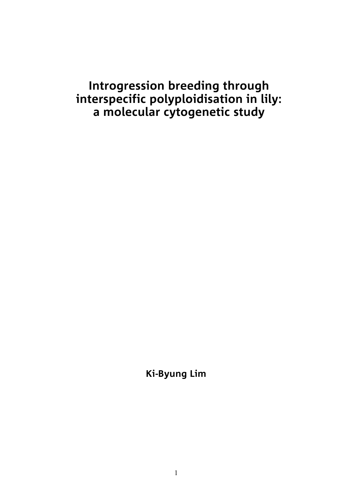## **Introgression breeding through interspecific polyploidisation in lily: a molecular cytogenetic study**

**Ki-Byung Lim**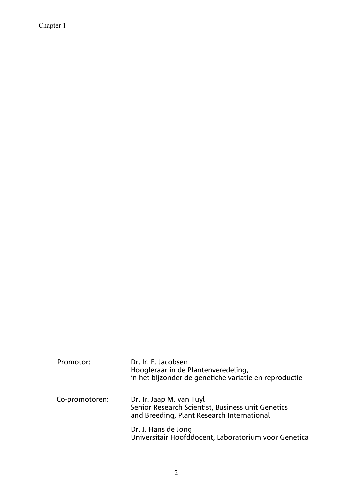| Promotor:      | Dr. Ir. E. Jacobsen<br>Hoogleraar in de Plantenveredeling,<br>in het bijzonder de genetiche variatie en reproductie         |
|----------------|-----------------------------------------------------------------------------------------------------------------------------|
| Co-promotoren: | Dr. Ir. Jaap M. van Tuyl<br>Senior Research Scientist, Business unit Genetics<br>and Breeding, Plant Research International |
|                | Dr. J. Hans de Jong<br>Universitair Hoofddocent, Laboratorium voor Genetica                                                 |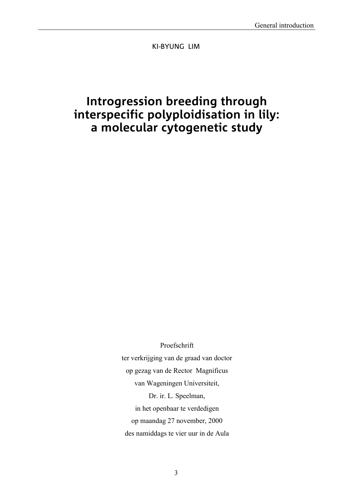KI-BYUNG LIM

## **Introgression breeding through interspecific polyploidisation in lily: a molecular cytogenetic study**

Proefschrift

ter verkrijging van de graad van doctor op gezag van de Rector Magnificus van Wageningen Universiteit, Dr. ir. L. Speelman, in het openbaar te verdedigen op maandag 27 november, 2000 des namiddags te vier uur in de Aula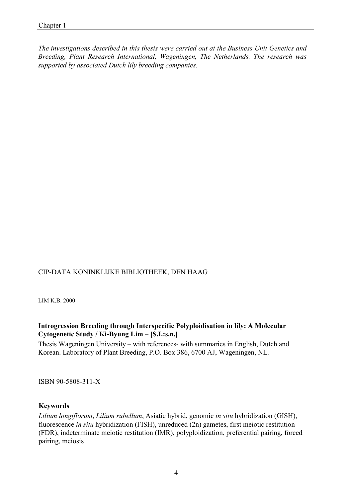*. The investigations described in this thesis were carried out at the Business Unit Genetics and Breeding, Plant Research International, Wageningen, The Netherlands. The research was supported by associated Dutch lily breeding companies.*

#### CIP-DATA KONINKLIJKE BIBLIOTHEEK, DEN HAAG

LIM K.B. 2000

#### **Introgression Breeding through Interspecific Polyploidisation in lily: A Molecular Cytogenetic Study / Ki-Byung Lim – [S.I.:s.n.]**

Thesis Wageningen University – with references- with summaries in English, Dutch and Korean. Laboratory of Plant Breeding, P.O. Box 386, 6700 AJ, Wageningen, NL.

ISBN 90-5808-311-X

#### **Keywords**

*Lilium longiflorum*, *Lilium rubellum*, Asiatic hybrid, genomic *in situ* hybridization (GISH), fluorescence *in situ* hybridization (FISH), unreduced (2n) gametes, first meiotic restitution (FDR), indeterminate meiotic restitution (IMR), polyploidization, preferential pairing, forced pairing, meiosis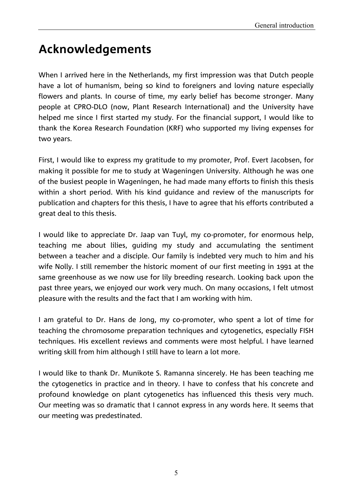# **Acknowledgements**

When I arrived here in the Netherlands, my first impression was that Dutch people have a lot of humanism, being so kind to foreigners and loving nature especially flowers and plants. In course of time, my early belief has become stronger. Many people at CPRO-DLO (now, Plant Research International) and the University have helped me since I first started my study. For the financial support, I would like to thank the Korea Research Foundation (KRF) who supported my living expenses for two years.

First, I would like to express my gratitude to my promoter, Prof. Evert Jacobsen, for making it possible for me to study at Wageningen University. Although he was one of the busiest people in Wageningen, he had made many efforts to finish this thesis within a short period. With his kind guidance and review of the manuscripts for publication and chapters for this thesis, I have to agree that his efforts contributed a great deal to this thesis.

I would like to appreciate Dr. Jaap van Tuyl, my co-promoter, for enormous help, teaching me about lilies, guiding my study and accumulating the sentiment between a teacher and a disciple. Our family is indebted very much to him and his wife Nolly. I still remember the historic moment of our first meeting in 1991 at the same greenhouse as we now use for lily breeding research. Looking back upon the past three years, we enjoyed our work very much. On many occasions, I felt utmost pleasure with the results and the fact that I am working with him.

I am grateful to Dr. Hans de Jong, my co-promoter, who spent a lot of time for teaching the chromosome preparation techniques and cytogenetics, especially FISH techniques. His excellent reviews and comments were most helpful. I have learned writing skill from him although I still have to learn a lot more.

I would like to thank Dr. Munikote S. Ramanna sincerely. He has been teaching me the cytogenetics in practice and in theory. I have to confess that his concrete and profound knowledge on plant cytogenetics has influenced this thesis very much. Our meeting was so dramatic that I cannot express in any words here. It seems that our meeting was predestinated.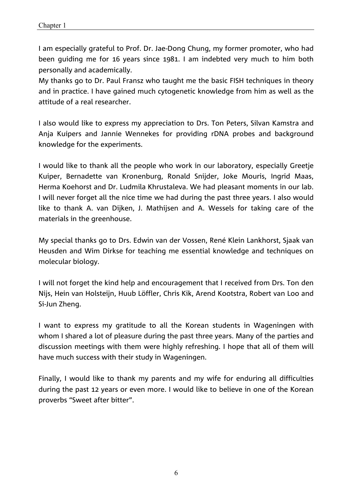I am especially grateful to Prof. Dr. Jae-Dong Chung, my former promoter, who had been guiding me for 16 years since 1981. I am indebted very much to him both personally and academically.

My thanks go to Dr. Paul Fransz who taught me the basic FISH techniques in theory and in practice. I have gained much cytogenetic knowledge from him as well as the attitude of a real researcher.

I also would like to express my appreciation to Drs. Ton Peters, Silvan Kamstra and Anja Kuipers and Jannie Wennekes for providing rDNA probes and background knowledge for the experiments.

I would like to thank all the people who work in our laboratory, especially Greetje Kuiper, Bernadette van Kronenburg, Ronald Snijder, Joke Mouris, Ingrid Maas, Herma Koehorst and Dr. Ludmila Khrustaleva. We had pleasant moments in our lab. I will never forget all the nice time we had during the past three years. I also would like to thank A. van Dijken, J. Mathijsen and A. Wessels for taking care of the materials in the greenhouse.

My special thanks go to Drs. Edwin van der Vossen, René Klein Lankhorst, Sjaak van Heusden and Wim Dirkse for teaching me essential knowledge and techniques on molecular biology.

I will not forget the kind help and encouragement that I received from Drs. Ton den Nijs, Hein van Holsteijn, Huub Löffler, Chris Kik, Arend Kootstra, Robert van Loo and Si-Jun Zheng.

I want to express my gratitude to all the Korean students in Wageningen with whom I shared a lot of pleasure during the past three years. Many of the parties and discussion meetings with them were highly refreshing. I hope that all of them will have much success with their study in Wageningen.

Finally, I would like to thank my parents and my wife for enduring all difficulties during the past 12 years or even more. I would like to believe in one of the Korean proverbs "Sweet after bitter".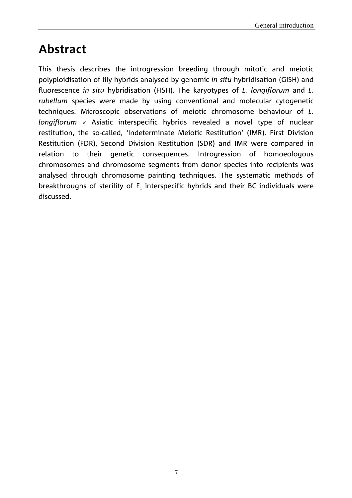# **Abstract**

This thesis describes the introgression breeding through mitotic and meiotic polyploidisation of lily hybrids analysed by genomic *in situ* hybridisation (GISH) and fluorescence *in situ* hybridisation (FISH). The karyotypes of *L. longiflorum* and *L. rubellum* species were made by using conventional and molecular cytogenetic techniques. Microscopic observations of meiotic chromosome behaviour of *L. longiflorum* Asiatic interspecific hybrids revealed a novel type of nuclear restitution, the so-called, 'Indeterminate Meiotic Restitution' (IMR). First Division Restitution (FDR), Second Division Restitution (SDR) and IMR were compared in relation to their genetic consequences. Introgression of homoeologous chromosomes and chromosome segments from donor species into recipients was analysed through chromosome painting techniques. The systematic methods of breakthroughs of sterility of  $F_1$  interspecific hybrids and their BC individuals were discussed.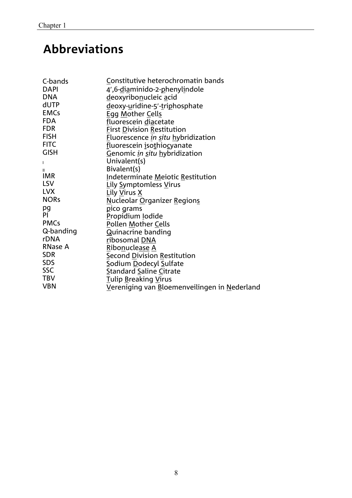# **Abbreviations**

| C-bands        | Constitutive heterochromatin bands           |
|----------------|----------------------------------------------|
| <b>DAPI</b>    | 4',6-diaminido-2-phenylindole                |
| <b>DNA</b>     | deoxyribonucleic acid                        |
| dUTP           | deoxy-uridine-5'-triphosphate                |
| <b>EMCs</b>    | Egg Mother Cells                             |
| <b>FDA</b>     | fluorescein diacetate                        |
| <b>FDR</b>     | <b>First Division Restitution</b>            |
| <b>FISH</b>    | Eluorescence in situ hybridization           |
| <b>FITC</b>    | fluorescein isothiocyanate                   |
| <b>GISH</b>    | Genomic in situ hybridization                |
| $\mathbf{I}$   | Univalent(s)                                 |
| $\mathbf{II}$  | Bivalent(s)                                  |
| <b>IMR</b>     | Indeterminate Meiotic Restitution            |
| <b>LSV</b>     | Lily Symptomless Virus                       |
| <b>LVX</b>     | Lily Virus X                                 |
| <b>NORs</b>    | Nucleolar Organizer Regions                  |
| pg             | pico grams                                   |
| PI.            | Propidium lodide                             |
| <b>PMCs</b>    | Pollen Mother Cells                          |
| Q-banding      | <b>Quinacrine banding</b>                    |
| rDNA           | ribosomal DNA                                |
| <b>RNase A</b> | Ribonuclease A                               |
| <b>SDR</b>     | <b>Second Division Restitution</b>           |
| <b>SDS</b>     | Sodium Dodecyl Sulfate                       |
| <b>SSC</b>     | <b>Standard Saline Citrate</b>               |
| <b>TBV</b>     | Tulip Breaking Virus                         |
| <b>VBN</b>     | Vereniging van Bloemenveilingen in Nederland |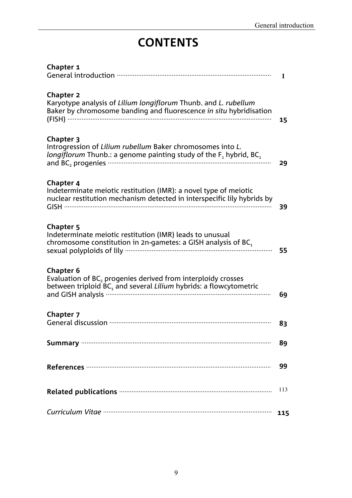# **CONTENTS**

| <b>Chapter 1</b>                                                                                                                                                          | $\mathbf{1}$ |
|---------------------------------------------------------------------------------------------------------------------------------------------------------------------------|--------------|
| <b>Chapter 2</b><br>Karyotype analysis of Lilium longiflorum Thunb. and L. rubellum<br>Baker by chromosome banding and fluorescence in situ hybridisation                 | 15           |
| <b>Chapter 3</b><br>Introgression of Lilium rubellum Baker chromosomes into L.<br><i>longiflorum</i> Thunb.: a genome painting study of the $F_1$ hybrid, BC <sub>1</sub> | 29           |
| Chapter 4<br>Indeterminate meiotic restitution (IMR): a novel type of meiotic<br>nuclear restitution mechanism detected in interspecific lily hybrids by                  | 39           |
| <b>Chapter 5</b><br>Indeterminate meiotic restitution (IMR) leads to unusual<br>chromosome constitution in 2n-gametes: a GISH analysis of $BC1$                           | 55           |
| <b>Chapter 6</b><br>Evaluation of BC, progenies derived from interploidy crosses<br>between triploid $BC_1$ and several Lilium hybrids: a flowcytometric                  | 69           |
| Chapter 7                                                                                                                                                                 | 83           |
|                                                                                                                                                                           | 89           |
|                                                                                                                                                                           | 99           |
|                                                                                                                                                                           | 113          |
|                                                                                                                                                                           | 115          |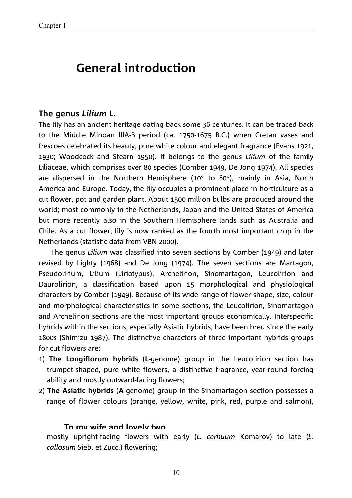## **General introduction**

#### **The genus** *Lilium* **L.**

The lily has an ancient heritage dating back some 36 centuries. It can be traced back to the Middle Minoan IIIA-B period (ca. 1750-1675 B.C.) when Cretan vases and frescoes celebrated its beauty, pure white colour and elegant fragrance (Evans 1921, 1930; Woodcock and Stearn 1950). It belongs to the genus *Lilium* of the family Liliaceae, which comprises over 80 species (Comber 1949, De Jong 1974). All species are dispersed in the Northern Hemisphere (10 $\degree$  to 60 $\degree$ ), mainly in Asia, North America and Europe. Today, the lily occupies a prominent place in horticulture as a cut flower, pot and garden plant. About 1500 million bulbs are produced around the world; most commonly in the Netherlands, Japan and the United States of America but more recently also in the Southern Hemisphere lands such as Australia and Chile. As a cut flower, lily is now ranked as the fourth most important crop in the Netherlands (statistic data from VBN 2000).

The genus *Lilium* was classified into seven sections by Comber (1949) and later revised by Lighty (1968) and De Jong (1974). The seven sections are Martagon, Pseudolirium, Lilium (Liriotypus), Archelirion, Sinomartagon, Leucolirion and Daurolirion, a classification based upon 15 morphological and physiological characters by Comber (1949). Because of its wide range of flower shape, size, colour and morphological characteristics in some sections, the Leucolirion, Sinomartagon and Archelirion sections are the most important groups economically. Interspecific hybrids within the sections, especially Asiatic hybrids, have been bred since the early 1800s (Shimizu 1987). The distinctive characters of three important hybrids groups for cut flowers are:

- 1) **The Longiflorum hybrids** (**L**-genome) group in the Leucolirion section has trumpet-shaped, pure white flowers, a distinctive fragrance, year-round forcing ability and mostly outward-facing flowers;
- 2) **The Asiatic hybrids** (**A**-genome) group in the Sinomartagon section possesses a range of flower colours (orange, yellow, white, pink, red, purple and salmon),

#### **To my wife and lovely two**

mostly upright-facing flowers with early (*L. cernuum* Komarov) to late (*L. callosum* Sieb. et Zucc.) flowering;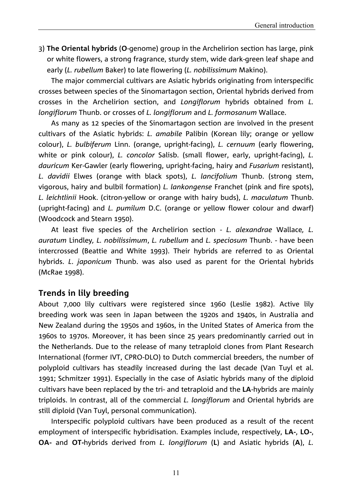3) **The Oriental hybrids** (**O**-genome) group in the Archelirion section has large, pink or white flowers, a strong fragrance, sturdy stem, wide dark-green leaf shape and early (*L. rubellum* Baker) to late flowering (*L. nobilissimum* Makino).

The major commercial cultivars are Asiatic hybrids originating from interspecific crosses between species of the Sinomartagon section, Oriental hybrids derived from crosses in the Archelirion section, and *Longiflorum* hybrids obtained from *L. longiflorum* Thunb. or crosses of *L. longiflorum* and *L. formosanum* Wallace.

As many as 12 species of the Sinomartagon section are involved in the present cultivars of the Asiatic hybrids: *L. amabile* Palibin (Korean lily; orange or yellow colour), *L. bulbiferum* Linn. (orange, upright-facing), *L. cernuum* (early flowering, white or pink colour), *L. concolor* Salisb. (small flower, early, upright-facing), *L. dauricum* Ker-Gawler (early flowering, upright-facing, hairy and *Fusarium* resistant), *L. davidii* Elwes (orange with black spots), *L. lancifolium* Thunb. (strong stem, vigorous, hairy and bulbil formation) *L. lankongense* Franchet (pink and fire spots), *L. leichtlinii* Hook. (citron-yellow or orange with hairy buds), *L. maculatum* Thunb. (upright-facing) and *L. pumilum* D.C. (orange or yellow flower colour and dwarf) (Woodcock and Stearn 1950).

At least five species of the Archelirion section - *L. alexandrae* Wallace*, L. auratum* Lindley*, L. nobilissimum*, *L. rubellum* and *L. speciosum* Thunb. - have been intercrossed (Beattie and White 1993). Their hybrids are referred to as Oriental hybrids. *L*. *japonicum* Thunb. was also used as parent for the Oriental hybrids (McRae 1998).

#### **Trends in lily breeding**

About 7,000 lily cultivars were registered since 1960 (Leslie 1982). Active lily breeding work was seen in Japan between the 1920s and 1940s, in Australia and New Zealand during the 1950s and 1960s, in the United States of America from the 1960s to 1970s. Moreover, it has been since 25 years predominantly carried out in the Netherlands. Due to the release of many tetraploid clones from Plant Research International (former IVT, CPRO-DLO) to Dutch commercial breeders, the number of polyploid cultivars has steadily increased during the last decade (Van Tuyl et al. 1991; Schmitzer 1991). Especially in the case of Asiatic hybrids many of the diploid cultivars have been replaced by the tri- and tetraploid and the **LA**-hybrids are mainly triploids. In contrast, all of the commercial *L. longiflorum* and Oriental hybrids are still diploid (Van Tuyl, personal communication).

Interspecific polyploid cultivars have been produced as a result of the recent employment of interspecific hybridisation. Examples include, respectively, **LA-**, **LO-**, **OA-** and **OT-**hybrids derived from *L. longiflorum* (**L**) and Asiatic hybrids (**A**), *L.*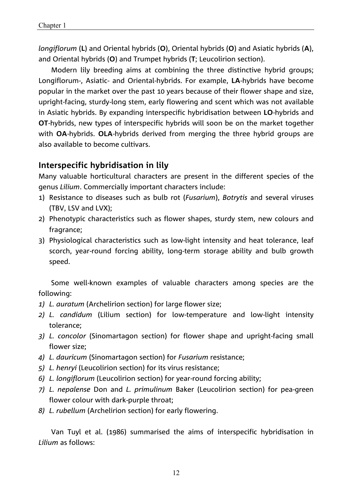*longiflorum* (**L**) and Oriental hybrids (**O**), Oriental hybrids (**O**) and Asiatic hybrids (**A**), and Oriental hybrids (**O**) and Trumpet hybrids (**T**; Leucolirion section).

Modern lily breeding aims at combining the three distinctive hybrid groups; Longiflorum-, Asiatic- and Oriental-hybrids. For example, **LA**-hybrids have become popular in the market over the past 10 years because of their flower shape and size, upright-facing, sturdy-long stem, early flowering and scent which was not available in Asiatic hybrids. By expanding interspecific hybridisation between **LO**-hybrids and **OT**-hybrids, new types of interspecific hybrids will soon be on the market together with **OA**-hybrids. **OLA**-hybrids derived from merging the three hybrid groups are also available to become cultivars.

### **Interspecific hybridisation in lily**

Many valuable horticultural characters are present in the different species of the genus *Lilium*. Commercially important characters include:

- 1) Resistance to diseases such as bulb rot (*Fusarium*), *Botrytis* and several viruses (TBV, LSV and LVX);
- 2) Phenotypic characteristics such as flower shapes, sturdy stem, new colours and fragrance;
- 3) Physiological characteristics such as low-light intensity and heat tolerance, leaf scorch, year-round forcing ability, long-term storage ability and bulb growth speed.

Some well-known examples of valuable characters among species are the following:

- 1) L. auratum (Archelirion section) for large flower size;
- *2) L. candidum* (Lilium section) for low-temperature and low-light intensity tolerance;
- *3) L. concolor* (Sinomartagon section) for flower shape and upright-facing small flower size;
- *4) L. dauricum* (Sinomartagon section) for *Fusarium* resistance;
- *5) L. henryi* (Leucolirion section) for its virus resistance;
- *6) L. longiflorum* (Leucolirion section) for year-round forcing ability;
- *7) L. nepalense* Don and *L. primulinum* Baker (Leucolirion section) for pea-green flower colour with dark-purple throat;
- *8) L. rubellum* (Archelirion section) for early flowering.

Van Tuyl et al. (1986) summarised the aims of interspecific hybridisation in *Lilium* as follows: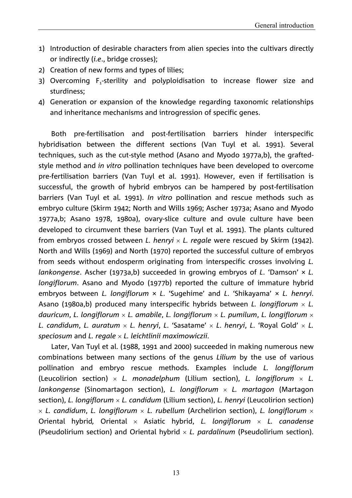- 1) Introduction of desirable characters from alien species into the cultivars directly or indirectly (*i.e*., bridge crosses);
- 2) Creation of new forms and types of lilies;
- 3) Overcoming F<sub>1</sub>-sterility and polyploidisation to increase flower size and sturdiness;
- 4) Generation or expansion of the knowledge regarding taxonomic relationships and inheritance mechanisms and introgression of specific genes.

Both pre-fertilisation and post-fertilisation barriers hinder interspecific hybridisation between the different sections (Van Tuyl et al. 1991). Several techniques, such as the cut-style method (Asano and Myodo 1977a,b), the graftedstyle method and *in vitro* pollination techniques have been developed to overcome pre-fertilisation barriers (Van Tuyl et al. 1991). However, even if fertilisation is successful, the growth of hybrid embryos can be hampered by post-fertilisation barriers (Van Tuyl et al. 1991). *In vitro* pollination and rescue methods such as embryo culture (Skirm 1942; North and Wills 1969; Ascher 1973a; Asano and Myodo 1977a,b; Asano 1978, 1980a), ovary-slice culture and ovule culture have been developed to circumvent these barriers (Van Tuyl et al. 1991). The plants cultured from embryos crossed between *L. henryi L. regale* were rescued by Skirm (1942). North and Wills (1969) and North (1970) reported the successful culture of embryos from seeds without endosperm originating from interspecific crosses involving *L. lankongense*. Ascher (1973a,b) succeeded in growing embryos of *L*. 'Damson' × *L. longiflorum*. Asano and Myodo (1977b) reported the culture of immature hybrid embryos between *L. longiflorum* × *L*. 'Sugehime' and *L*. 'Shikayama' × *L. henryi*. Asano (1980a,b) produced many interspecific hybrids between *L. longiflorum L. dauricum*, *L. longiflorum L. amabile*, *L. longiflorum L. pumilum*, *L. longiflorum L. candidum*, *L. auratum L. henryi*, *L*. 'Sasatame' *L*. *henryi*, *L*. 'Royal Gold'  *L. speciosum* and *L. regale L. leichtlinii maximowiczii*.

Later, Van Tuyl et al. (1988, 1991 and 2000) succeeded in making numerous new combinations between many sections of the genus *Lilium* by the use of various pollination and embryo rescue methods. Examples include *L. longiflorum* (Leucolirion section)  $\times$  *L. monadelphum* (Lilium section), *L. longiflorum*  $\times$  *L. lankongense* (Sinomartagon section), *L. longiflorum L. martagon* (Martagon section), *L. longiflorum L. candidum* (Lilium section), *L. henryi* (Leucolirion section) *L. candidum*, *L. longiflorum L. rubellum* (Archelirion section), *L. longiflorum*  Oriental hybrid*,* Oriental Asiatic hybrid, *L. longiflorum L. canadense* (Pseudolirium section) and Oriental hybrid *L. pardalinum* (Pseudolirium section).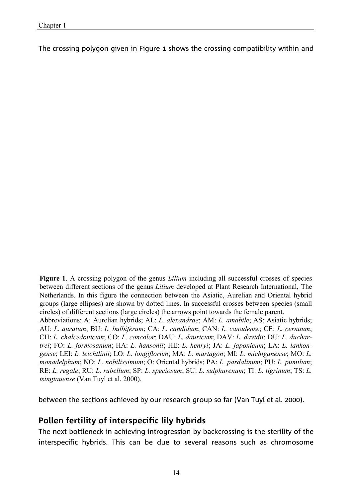The crossing polygon given in Figure 1 shows the crossing compatibility within and

**Figure 1**. A crossing polygon of the genus *Lilium* including all successful crosses of species between different sections of the genus *Lilium* developed at Plant Research International, The Netherlands. In this figure the connection between the Asiatic, Aurelian and Oriental hybrid groups (large ellipses) are shown by dotted lines. In successful crosses between species (small circles) of different sections (large circles) the arrows point towards the female parent.

Abbreviations: A: Aurelian hybrids; AL: *L. alexandrae*; AM: *L. amabile*; AS: Asiatic hybrids; AU: *L. auratum*; BU: *L. bulbiferum*; CA: *L. candidum*; CAN: *L. canadense*; CE: *L. cernuum*; CH: *L. chalcedonicum*; CO: *L. concolor*; DAU: *L. dauricum*; DAV: *L. davidii*; DU: *L. duchartrei*; FO: *L. formosanum*; HA: *L. hansonii*; HE: *L. henryi*; JA: *L. japonicum*; LA: *L. lankongense*; LEI: *L. leichtlinii*; LO: *L. longiflorum*; MA: *L. martagon*; MI: *L. michiganense*; MO: *L. monadelphum*; NO: *L. nobilissimum*; O: Oriental hybrids; PA: *L. pardalinum*; PU: *L. pumilum*; RE: *L. regale*; RU: *L. rubellum*; SP: *L. speciosum*; SU: *L. sulphurenum*; TI: *L. tigrinum*; TS: *L. tsingtauense* (Van Tuyl et al. 2000).

between the sections achieved by our research group so far (Van Tuyl et al. 2000).

#### **Pollen fertility of interspecific lily hybrids**

The next bottleneck in achieving introgression by backcrossing is the sterility of the interspecific hybrids. This can be due to several reasons such as chromosome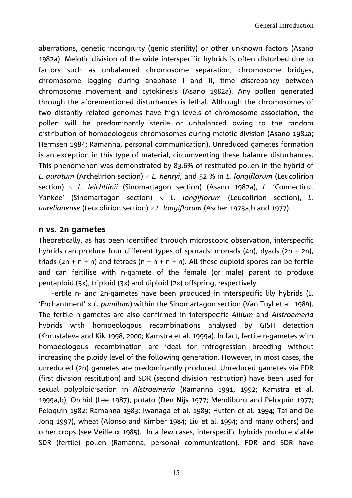aberrations, genetic incongruity (genic sterility) or other unknown factors (Asano 1982a). Meiotic division of the wide interspecific hybrids is often disturbed due to factors such as unbalanced chromosome separation, chromosome bridges, chromosome lagging during anaphase I and II, time discrepancy between chromosome movement and cytokinesis (Asano 1982a). Any pollen generated through the aforementioned disturbances is lethal. Although the chromosomes of two distantly related genomes have high levels of chromosome association, the pollen will be predominantly sterile or unbalanced owing to the random distribution of homoeologous chromosomes during meiotic division (Asano 1982a; Hermsen 1984; Ramanna, personal communication). Unreduced gametes formation is an exception in this type of material, circumventing these balance disturbances. This phenomenon was demonstrated by 83.6% of restituted pollen in the hybrid of *L. auratum* (Archelirion section) *L. henryi*, and 52 % in *L. longiflorum* (Leucolirion section) *L. leichtlinii* (Sinomartagon section) (Asano 1982a), *L*. 'Connecticut Yankee' (Sinomartagon section) *L. longiflorum* (Leucolirion section), *L. aurelianense* (Leucolirion section) *L. longiflorum* (Ascher 1973a,b and 1977).

#### **n vs. 2n gametes**

Theoretically, as has been identified through microscopic observation, interspecific hybrids can produce four different types of sporads: monads (4n), dyads (2n + 2n), triads (2n + n + n) and tetrads (n + n + n + n). All these euploid spores can be fertile and can fertilise with n-gamete of the female (or male) parent to produce pentaploid (5x), triploid (3x) and diploid (2x) offspring, respectively.

Fertile n- and 2n-gametes have been produced in interspecific lily hybrids (L. 'Enchantment' *L. pumilum*) within the Sinomartagon section (Van Tuyl et al. 1989). The fertile n-gametes are also confirmed in interspecific *Allium* and *Alstroemeria* hybrids with homoeologous recombinations analysed by GISH detection (Khrustaleva and Kik 1998, 2000; Kamstra et al. 1999a). In fact, fertile n-gametes with homoeologous recombination are ideal for introgression breeding without increasing the ploidy level of the following generation. However, in most cases, the unreduced (2n) gametes are predominantly produced. Unreduced gametes via FDR (first division restitution) and SDR (second division restitution) have been used for sexual polyploidisation in *Alstroemeria* (Ramanna 1991, 1992; Kamstra et al. 1999a,b), Orchid (Lee 1987), potato (Den Nijs 1977; Mendiburu and Peloquin 1977; Peloquin 1982; Ramanna 1983; Iwanaga et al. 1989; Hutten et al. 1994; Tai and De Jong 1997), wheat (Alonso and Kimber 1984; Liu et al. 1994; and many others) and other crops (see Veilleux 1985). In a few cases, interspecific hybrids produce viable SDR (fertile) pollen (Ramanna, personal communication). FDR and SDR have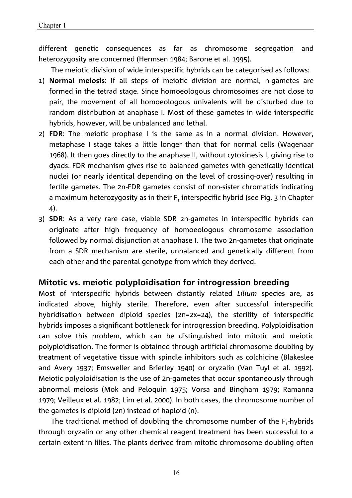different genetic consequences as far as chromosome segregation and heterozygosity are concerned (Hermsen 1984; Barone et al. 1995).

The meiotic division of wide interspecific hybrids can be categorised as follows:

- 1) **Normal meiosis**: If all steps of meiotic division are normal, n-gametes are formed in the tetrad stage. Since homoeologous chromosomes are not close to pair, the movement of all homoeologous univalents will be disturbed due to random distribution at anaphase I. Most of these gametes in wide interspecific hybrids, however, will be unbalanced and lethal.
- 2) **FDR**: The meiotic prophase I is the same as in a normal division. However, metaphase I stage takes a little longer than that for normal cells (Wagenaar 1968). It then goes directly to the anaphase II, without cytokinesis I, giving rise to dyads. FDR mechanism gives rise to balanced gametes with genetically identical nuclei (or nearly identical depending on the level of crossing-over) resulting in fertile gametes. The 2n-FDR gametes consist of non-sister chromatids indicating a maximum heterozygosity as in their  $F_1$  interspecific hybrid (see Fig. 3 in Chapter 4).
- 3) **SDR**: As a very rare case, viable SDR 2n-gametes in interspecific hybrids can originate after high frequency of homoeologous chromosome association followed by normal disjunction at anaphase I. The two 2n-gametes that originate from a SDR mechanism are sterile, unbalanced and genetically different from each other and the parental genotype from which they derived.

### **Mitotic vs. meiotic polyploidisation for introgression breeding**

Most of interspecific hybrids between distantly related *Lilium* species are, as indicated above, highly sterile. Therefore, even after successful interspecific hybridisation between diploid species (2n=2x=24), the sterility of interspecific hybrids imposes a significant bottleneck for introgression breeding. Polyploidisation can solve this problem, which can be distinguished into mitotic and meiotic polyploidisation. The former is obtained through artificial chromosome doubling by treatment of vegetative tissue with spindle inhibitors such as colchicine (Blakeslee and Avery 1937; Emsweller and Brierley 1940) or oryzalin (Van Tuyl et al. 1992). Meiotic polyploidisation is the use of 2n-gametes that occur spontaneously through abnormal meiosis (Mok and Peloquin 1975; Vorsa and Bingham 1979; Ramanna 1979; Veilleux et al. 1982; Lim et al. 2000). In both cases, the chromosome number of the gametes is diploid (2n) instead of haploid (n).

The traditional method of doubling the chromosome number of the  $F_1$ -hybrids through oryzalin or any other chemical reagent treatment has been successful to a certain extent in lilies. The plants derived from mitotic chromosome doubling often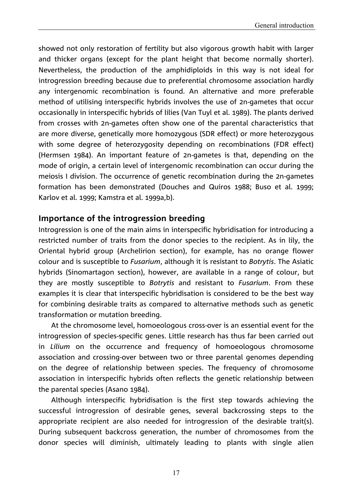showed not only restoration of fertility but also vigorous growth habit with larger and thicker organs (except for the plant height that become normally shorter). Nevertheless, the production of the amphidiploids in this way is not ideal for introgression breeding because due to preferential chromosome association hardly any intergenomic recombination is found. An alternative and more preferable method of utilising interspecific hybrids involves the use of 2n-gametes that occur occasionally in interspecific hybrids of lilies (Van Tuyl et al. 1989). The plants derived from crosses with 2n-gametes often show one of the parental characteristics that are more diverse, genetically more homozygous (SDR effect) or more heterozygous with some degree of heterozygosity depending on recombinations (FDR effect) (Hermsen 1984). An important feature of 2n-gametes is that, depending on the mode of origin, a certain level of intergenomic recombination can occur during the meiosis I division. The occurrence of genetic recombination during the 2n-gametes formation has been demonstrated (Douches and Quiros 1988; Buso et al. 1999; Karlov et al. 1999; Kamstra et al. 1999a,b).

#### **Importance of the introgression breeding**

Introgression is one of the main aims in interspecific hybridisation for introducing a restricted number of traits from the donor species to the recipient. As in lily, the Oriental hybrid group (Archelirion section), for example, has no orange flower colour and is susceptible to *Fusarium*, although it is resistant to *Botrytis*. The Asiatic hybrids (Sinomartagon section), however, are available in a range of colour, but they are mostly susceptible to *Botrytis* and resistant to *Fusarium*. From these examples it is clear that interspecific hybridisation is considered to be the best way for combining desirable traits as compared to alternative methods such as genetic transformation or mutation breeding.

At the chromosome level, homoeologous cross-over is an essential event for the introgression of species-specific genes. Little research has thus far been carried out in *Lilium* on the occurrence and frequency of homoeologous chromosome association and crossing-over between two or three parental genomes depending on the degree of relationship between species. The frequency of chromosome association in interspecific hybrids often reflects the genetic relationship between the parental species (Asano 1984).

Although interspecific hybridisation is the first step towards achieving the successful introgression of desirable genes, several backcrossing steps to the appropriate recipient are also needed for introgression of the desirable trait(s). During subsequent backcross generation, the number of chromosomes from the donor species will diminish, ultimately leading to plants with single alien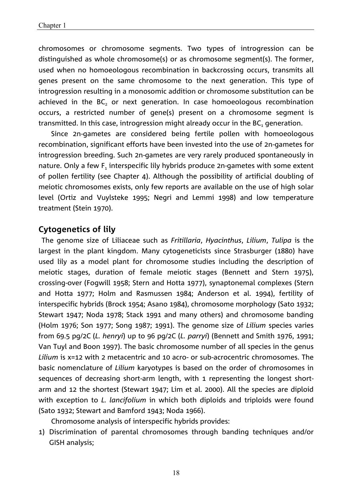chromosomes or chromosome segments. Two types of introgression can be distinguished as whole chromosome(s) or as chromosome segment(s). The former, used when no homoeologous recombination in backcrossing occurs, transmits all genes present on the same chromosome to the next generation. This type of introgression resulting in a monosomic addition or chromosome substitution can be achieved in the BC<sub>2</sub> or next generation. In case homoeologous recombination occurs, a restricted number of gene(s) present on a chromosome segment is transmitted. In this case, introgression might already occur in the  $BC<sub>1</sub>$  generation.

Since 2n-gametes are considered being fertile pollen with homoeologous recombination, significant efforts have been invested into the use of 2n-gametes for introgression breeding. Such 2n-gametes are very rarely produced spontaneously in nature. Only a few F<sub>1</sub> interspecific lily hybrids produce 2n-gametes with some extent of pollen fertility (see Chapter 4). Although the possibility of artificial doubling of meiotic chromosomes exists, only few reports are available on the use of high solar level (Ortiz and Vuylsteke 1995; Negri and Lemmi 1998) and low temperature treatment (Stein 1970).

### **Cytogenetics of lily**

 The genome size of Liliaceae such as *Fritillaria*, *Hyacinthus*, *Lilium*, *Tulipa* is the largest in the plant kingdom. Many cytogeneticists since Strasburger (1880) have used lily as a model plant for chromosome studies including the description of meiotic stages, duration of female meiotic stages (Bennett and Stern 1975), crossing-over (Fogwill 1958; Stern and Hotta 1977), synaptonemal complexes (Stern and Hotta 1977; Holm and Rasmussen 1984; Anderson et al. 1994), fertility of interspecific hybrids (Brock 1954; Asano 1984), chromosome morphology (Sato 1932; Stewart 1947; Noda 1978; Stack 1991 and many others) and chromosome banding (Holm 1976; Son 1977; Song 1987; 1991). The genome size of *Lilium* species varies from 69.5 pg/2C (*L. henryi*) up to 96 pg/2C (*L. parryi*) (Bennett and Smith 1976, 1991; Van Tuyl and Boon 1997). The basic chromosome number of all species in the genus *Lilium* is x=12 with 2 metacentric and 10 acro- or sub-acrocentric chromosomes. The basic nomenclature of *Lilium* karyotypes is based on the order of chromosomes in sequences of decreasing short-arm length, with 1 representing the longest shortarm and 12 the shortest (Stewart 1947; Lim et al. 2000). All the species are diploid with exception to *L. lancifolium* in which both diploids and triploids were found (Sato 1932; Stewart and Bamford 1943; Noda 1966).

Chromosome analysis of interspecific hybrids provides:

1) Discrimination of parental chromosomes through banding techniques and/or GISH analysis;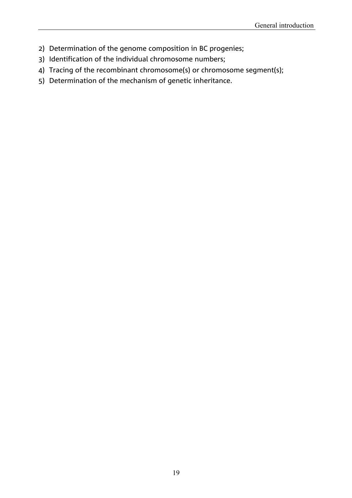- 2) Determination of the genome composition in BC progenies;
- 3) Identification of the individual chromosome numbers;
- 4) Tracing of the recombinant chromosome(s) or chromosome segment(s);
- 5) Determination of the mechanism of genetic inheritance.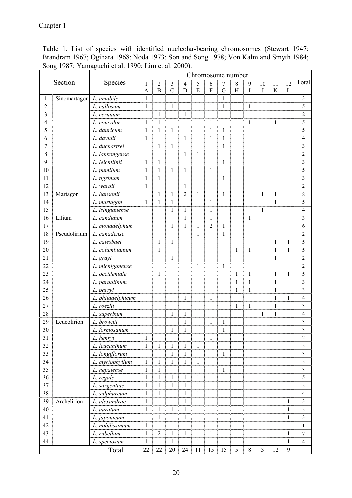|                |                         |                   | $1,0,1,1$ and $1,0,0,1,0,0,1$ and $1,0,0,0,1$<br>Chromosome number                                                             |                |               |                |              |                |              |              |              |                |              |              |                         |
|----------------|-------------------------|-------------------|--------------------------------------------------------------------------------------------------------------------------------|----------------|---------------|----------------|--------------|----------------|--------------|--------------|--------------|----------------|--------------|--------------|-------------------------|
| Section        |                         | Species           | 5<br>$\overline{7}$<br>$\mathbf{1}$<br>$\overline{2}$<br>$\mathfrak{Z}$<br>6<br>$8\,$<br>9<br>10<br>11<br>12<br>$\overline{4}$ |                |               |                |              |                |              |              |              | Total          |              |              |                         |
|                |                         |                   | A                                                                                                                              | $\overline{B}$ | $\mathcal{C}$ | D              | E            | ${\bf F}$      | G            | H            | I            | J              | $\rm K$      | $\Gamma$     |                         |
| 1              | Sinomartagon L. amabile |                   | $\mathbf{1}$                                                                                                                   |                |               |                |              | $\mathbf{1}$   | $\mathbf{1}$ |              |              |                |              |              | 3                       |
| $\overline{2}$ |                         | L. callosum       | 1                                                                                                                              |                | $\mathbf{1}$  |                |              | 1              | 1            |              | $\mathbf{1}$ |                |              |              | 5                       |
| 3              |                         | L. cernuum        |                                                                                                                                | 1              |               | $\mathbf{1}$   |              |                |              |              |              |                |              |              | $\overline{c}$          |
| 4              |                         | L. concolor       | 1                                                                                                                              | 1              |               |                |              | 1              |              |              | $\mathbf{1}$ |                | $\mathbf{1}$ |              | 5                       |
| 5              |                         | L. dauricum       | 1                                                                                                                              | $\mathbf{1}$   | $\mathbf{1}$  |                |              | $\mathbf{1}$   | $\mathbf{1}$ |              |              |                |              |              | 5                       |
| 6              |                         | L. davidii        | $\mathbf{1}$                                                                                                                   |                |               | $\mathbf{1}$   |              | $\mathbf{1}$   | $\mathbf{1}$ |              |              |                |              |              | $\overline{\mathbf{4}}$ |
| 7              |                         | L. duchartrei     |                                                                                                                                | $\mathbf{1}$   | $\mathbf{1}$  |                |              |                | $\mathbf{1}$ |              |              |                |              |              | $\overline{\mathbf{3}}$ |
| 8              |                         | L. lankongense    |                                                                                                                                |                |               | $\mathbf{1}$   | 1            |                |              |              |              |                |              |              | $\overline{c}$          |
| 9              |                         | L. leichtlinii    | $\mathbf{1}$                                                                                                                   | $\mathbf{1}$   |               |                |              |                | $\mathbf{1}$ |              |              |                |              |              | $\overline{\mathbf{3}}$ |
| 10             |                         | L. pumilum        | $\mathbf{1}$                                                                                                                   | $\mathbf{1}$   | 1             | $\mathbf{1}$   |              | $\mathbf{1}$   |              |              |              |                |              |              | 5                       |
| 11             |                         | L. tigrinum       | $\mathbf{1}$                                                                                                                   | 1              |               |                |              |                | 1            |              |              |                |              |              | $\overline{\mathbf{3}}$ |
| 12             |                         | L. wardii         | $\mathbf{1}$                                                                                                                   |                |               | $\mathbf{1}$   |              |                |              |              |              |                |              |              | $\overline{c}$          |
| 13             | Martagon                | L. hansonii       |                                                                                                                                | 1              | $\mathbf{1}$  | $\overline{2}$ | $\mathbf{1}$ |                | $\mathbf{1}$ |              |              | 1              | $\mathbf{1}$ |              | $\,8\,$                 |
| 14             |                         | L. martagon       | 1                                                                                                                              | $\mathbf{1}$   | $\mathbf{1}$  |                |              | $\mathbf{1}$   |              |              |              |                | $\mathbf{1}$ |              | 5                       |
| 15             |                         | L. tsingtauense   |                                                                                                                                |                | $\mathbf{1}$  | $\mathbf{1}$   |              | $\mathbf{1}$   |              |              |              | 1              |              |              | $\overline{\mathbf{4}}$ |
| 16             | Lilium                  | L. candidum       |                                                                                                                                |                |               | 1              |              | $\mathbf{1}$   |              |              | 1            |                |              |              | $\mathfrak{Z}$          |
| 17             |                         | L. monadelphum    |                                                                                                                                |                | $\mathbf{1}$  | $\mathbf{1}$   | $\mathbf{1}$ | $\overline{2}$ | $\mathbf{1}$ |              |              |                |              |              | 6                       |
| 18             | Pseudolirium            | L. canadense      |                                                                                                                                |                |               |                | 1            |                | $\mathbf{1}$ |              |              |                |              |              | $\overline{c}$          |
| 19             |                         | L. catesbaei      |                                                                                                                                | $\mathbf{1}$   | 1             |                |              |                |              |              |              |                | $\mathbf{1}$ | $\mathbf{1}$ | 5                       |
| 20             |                         | L. columbianum    |                                                                                                                                | $\mathbf{1}$   |               |                |              |                |              | $\mathbf{1}$ | 1            |                | $\mathbf{1}$ | $\mathbf{1}$ | 5                       |
| 21             |                         | L. grayi          |                                                                                                                                |                | $\mathbf{1}$  |                |              |                |              |              |              |                | $\mathbf{1}$ |              | $\overline{c}$          |
| 22             |                         | L. michiganense   |                                                                                                                                |                |               |                | $\mathbf{1}$ |                | $\mathbf{1}$ |              |              |                |              |              | $\overline{c}$          |
| 23             |                         | L. occidentale    |                                                                                                                                | $\mathbf{1}$   |               |                |              |                |              | 1            | $\mathbf{1}$ |                | $\mathbf{1}$ | $\mathbf{1}$ | 5                       |
| 24             |                         | L. pardalinum     |                                                                                                                                |                |               |                |              |                |              | $\mathbf{1}$ | $\mathbf{1}$ |                | $\mathbf{1}$ |              | $\overline{\mathbf{3}}$ |
| 25             |                         | L. parryi         |                                                                                                                                |                |               |                |              |                |              | 1            | $\mathbf{1}$ |                | $\mathbf{1}$ |              | $\overline{3}$          |
| 26             |                         | L. philadelphicum |                                                                                                                                |                |               | 1              |              | 1              |              |              |              |                | $\mathbf{1}$ | $\mathbf{1}$ | $\overline{\mathbf{4}}$ |
| 27             |                         | L. roezlii        |                                                                                                                                |                |               |                |              |                |              | $\mathbf{1}$ | $\mathbf{1}$ |                | 1            |              | $\overline{\mathbf{3}}$ |
| 28             |                         | L. superbum       |                                                                                                                                |                | 1             | $\mathbf{1}$   |              |                |              |              |              | 1              | $\mathbf{1}$ |              | $\overline{4}$          |
| 29             | Leucolirion             | L. brownii        |                                                                                                                                |                |               | $\mathbf{1}$   |              | $\mathbf{1}$   | $\mathbf{1}$ |              |              |                |              |              | $\mathfrak{Z}$          |
| 30             |                         | L. formosanum     |                                                                                                                                |                | 1             | $\mathbf{1}$   |              |                | 1            |              |              |                |              |              | $\overline{\mathbf{3}}$ |
| 31             |                         | L. henryi         | $\mathbf{1}$                                                                                                                   |                |               |                |              | 1              |              |              |              |                |              |              | $\boldsymbol{2}$        |
| 32             |                         | L. leucanthum     | $\mathbf{1}$                                                                                                                   | 1              | $\mathbf{1}$  | 1              | $\mathbf{1}$ |                |              |              |              |                |              |              | 5                       |
| 33             |                         | L. longiflorum    |                                                                                                                                |                | $\mathbf{1}$  | $\mathbf{1}$   |              |                | $\mathbf{1}$ |              |              |                |              |              | $\overline{\mathbf{3}}$ |
| 34             |                         | L. myriophyllum   | $\mathbf{1}$                                                                                                                   | $\mathbf{1}$   | $\mathbf{1}$  | $\mathbf{1}$   | $\mathbf{1}$ |                |              |              |              |                |              |              | 5                       |
| 35             |                         | L. nepalense      | $\mathbf{1}$                                                                                                                   | $\mathbf{1}$   |               |                |              |                | $\mathbf{1}$ |              |              |                |              |              | $\overline{3}$          |
| 36             |                         | L. regale         | $\mathbf{1}$                                                                                                                   | 1              | $\mathbf{1}$  | 1              | $\mathbf{1}$ |                |              |              |              |                |              |              | 5                       |
| 37             |                         | L. sargentiae     | $\mathbf{1}$                                                                                                                   | $\mathbf{1}$   | $\mathbf{1}$  | $\mathbf{1}$   | $\mathbf{1}$ |                |              |              |              |                |              |              | 5                       |
| 38             |                         | L. sulphureum     | $\mathbf{1}$                                                                                                                   | $\mathbf{1}$   |               | $\mathbf{1}$   | $\mathbf{1}$ |                |              |              |              |                |              |              | $\overline{4}$          |
| 39             | Archelirion             | L. alexandrae     | $\mathbf{1}$                                                                                                                   |                |               | $\mathbf{1}$   |              |                |              |              |              |                |              | $\mathbf{1}$ | $\overline{3}$          |
| 40             |                         | L. auratum        | $\mathbf{1}$                                                                                                                   | $\mathbf{1}$   | $\mathbf{1}$  | $\mathbf{1}$   |              |                |              |              |              |                |              | 1            | 5                       |
| 41             |                         | L. japonicum      |                                                                                                                                | $\mathbf{1}$   |               | $\,1$          |              |                |              |              |              |                |              | $\mathbf{1}$ | $\overline{3}$          |
| 42             |                         | L. nobilissimum   | $\mathbf{1}$                                                                                                                   |                |               |                |              |                |              |              |              |                |              |              | $\mathbf{1}$            |
| 43             |                         | L. rubellum       | $\mathbf{1}$                                                                                                                   | $\overline{2}$ | $\mathbf{1}$  | $\mathbf{1}$   |              | $\mathbf{1}$   |              |              |              |                |              | $\mathbf{1}$ | $\boldsymbol{7}$        |
| 44             |                         | L. speciosum      | $\mathbf{1}$                                                                                                                   |                | $\mathbf{1}$  |                | $\mathbf{1}$ |                |              |              |              |                |              | $\mathbf{1}$ | $\overline{4}$          |
|                |                         | Total             | 22                                                                                                                             | $22\,$         | 20            | 24             | 11           | 15             | 15           | 5            | $8\,$        | $\overline{3}$ | 12           | $\mathbf{9}$ |                         |

Table 1. List of species with identified nucleolar-bearing chromosomes (Stewart 1947; Brandram 1967; Ogihara 1968; Noda 1973; Son and Song 1978; Von Kalm and Smyth 1984; Song 1987; Yamaguchi et al. 1990; Lim et al. 2000).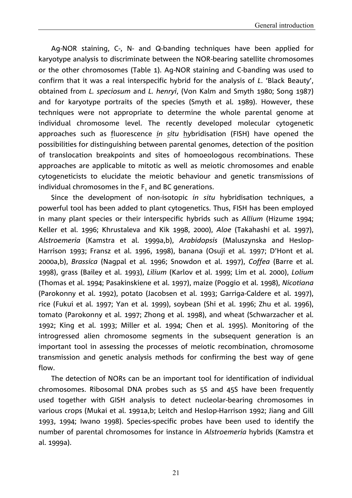Ag-NOR staining, C-, N- and Q-banding techniques have been applied for karyotype analysis to discriminate between the NOR-bearing satellite chromosomes or the other chromosomes (Table 1). Ag-NOR staining and C-banding was used to confirm that it was a real interspecific hybrid for the analysis of *L*. 'Black Beauty', obtained from *L. speciosum* and *L. henryi*, (Von Kalm and Smyth 1980; Song 1987) and for karyotype portraits of the species (Smyth et al. 1989). However, these techniques were not appropriate to determine the whole parental genome at individual chromosome level. The recently developed molecular cytogenetic approaches such as fluorescence *in situ* hybridisation (FISH) have opened the possibilities for distinguishing between parental genomes, detection of the position of translocation breakpoints and sites of homoeologous recombinations. These approaches are applicable to mitotic as well as meiotic chromosomes and enable cytogeneticists to elucidate the meiotic behaviour and genetic transmissions of individual chromosomes in the  $F_1$  and BC generations.

Since the development of non-isotopic *in situ* hybridisation techniques, a powerful tool has been added to plant cytogenetics. Thus, FISH has been employed in many plant species or their interspecific hybrids such as *Allium* (Hizume 1994; Keller et al. 1996; Khrustaleva and Kik 1998, 2000), *Aloe* (Takahashi et al. 1997), *Alstroemeria* (Kamstra et al. 1999a,b), *Arabidopsis* (Maluszynska and Heslop-Harrison 1993; Fransz et al. 1996, 1998), banana (Osuji et al. 1997; D'Hont et al. 2000a,b), *Brassica* (Nagpal et al. 1996; Snowdon et al. 1997), *Coffea* (Barre et al. 1998), grass (Bailey et al. 1993), *Lilium* (Karlov et al. 1999; Lim et al. 2000), *Lolium* (Thomas et al. 1994; Pasakinskiene et al. 1997), maize (Poggio et al. 1998), *Nicotiana* (Parokonny et al. 1992), potato (Jacobsen et al. 1993; Garriga-Caldere et al. 1997), rice (Fukui et al. 1997; Yan et al. 1999), soybean (Shi et al. 1996; Zhu et al. 1996), tomato (Parokonny et al. 1997; Zhong et al. 1998), and wheat (Schwarzacher et al. 1992; King et al. 1993; Miller et al. 1994; Chen et al. 1995). Monitoring of the introgressed alien chromosome segments in the subsequent generation is an important tool in assessing the processes of meiotic recombination, chromosome transmission and genetic analysis methods for confirming the best way of gene flow.

The detection of NORs can be an important tool for identification of individual chromosomes. Ribosomal DNA probes such as 5S and 45S have been frequently used together with GISH analysis to detect nucleolar-bearing chromosomes in various crops (Mukai et al. 1991a,b; Leitch and Heslop-Harrison 1992; Jiang and Gill 1993, 1994; Iwano 1998). Species-specific probes have been used to identify the number of parental chromosomes for instance in *Alstroemeria* hybrids (Kamstra et al. 1999a).

21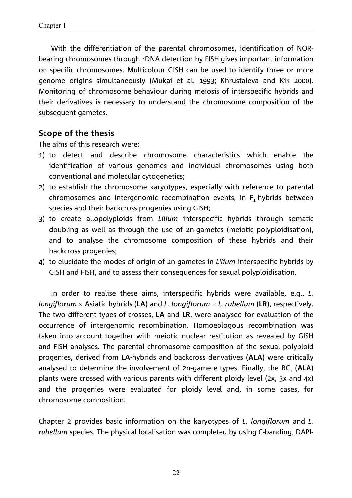With the differentiation of the parental chromosomes, identification of NORbearing chromosomes through rDNA detection by FISH gives important information on specific chromosomes. Multicolour GISH can be used to identify three or more genome origins simultaneously (Mukai et al. 1993; Khrustaleva and Kik 2000). Monitoring of chromosome behaviour during meiosis of interspecific hybrids and their derivatives is necessary to understand the chromosome composition of the subsequent gametes.

### **Scope of the thesis**

The aims of this research were:

- 1) to detect and describe chromosome characteristics which enable the identification of various genomes and individual chromosomes using both conventional and molecular cytogenetics;
- 2) to establish the chromosome karyotypes, especially with reference to parental chromosomes and intergenomic recombination events, in  $F_1$ -hybrids between species and their backcross progenies using GISH;
- 3) to create allopolyploids from *Lilium* interspecific hybrids through somatic doubling as well as through the use of 2n-gametes (meiotic polyploidisation), and to analyse the chromosome composition of these hybrids and their backcross progenies;
- 4) to elucidate the modes of origin of 2n-gametes in *Lilium* interspecific hybrids by GISH and FISH, and to assess their consequences for sexual polyploidisation.

In order to realise these aims, interspecific hybrids were available, e.g., *L. longiflorum* Asiatic hybrids (**LA**) and *L. longiflorum L. rubellum* (**LR**), respectively. The two different types of crosses, **LA** and **LR**, were analysed for evaluation of the occurrence of intergenomic recombination. Homoeologous recombination was taken into account together with meiotic nuclear restitution as revealed by GISH and FISH analyses. The parental chromosome composition of the sexual polyploid progenies, derived from **LA-**hybrids and backcross derivatives (**ALA**) were critically analysed to determine the involvement of 2n-gamete types. Finally, the BC<sub>1</sub> (ALA) plants were crossed with various parents with different ploidy level (2x, 3x and 4x) and the progenies were evaluated for ploidy level and, in some cases, for chromosome composition.

Chapter 2 provides basic information on the karyotypes of *L. longiflorum* and *L. rubellum* species. The physical localisation was completed by using C-banding, DAPI-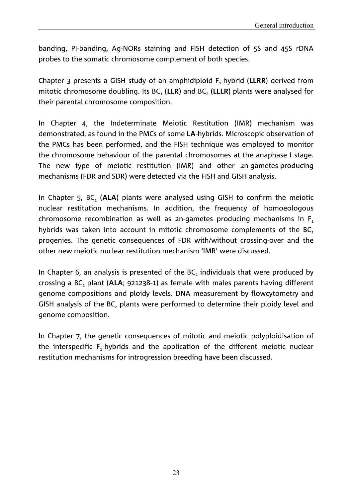banding, PI-banding, Ag-NORs staining and FISH detection of 5S and 45S rDNA probes to the somatic chromosome complement of both species.

Chapter 3 presents a GISH study of an amphidiploid F<sub>1</sub>-hybrid (**LLRR**) derived from mitotic chromosome doubling. Its BC<sub>1</sub> (LLR) and BC<sub>2</sub> (LLLR) plants were analysed for their parental chromosome composition.

In Chapter 4, the Indeterminate Meiotic Restitution (IMR) mechanism was demonstrated, as found in the PMCs of some **LA**-hybrids. Microscopic observation of the PMCs has been performed, and the FISH technique was employed to monitor the chromosome behaviour of the parental chromosomes at the anaphase I stage. The new type of meiotic restitution (IMR) and other 2n-gametes-producing mechanisms (FDR and SDR) were detected via the FISH and GISH analysis.

In Chapter 5, BC<sub>1</sub> (ALA) plants were analysed using GISH to confirm the meiotic nuclear restitution mechanisms. In addition, the frequency of homoeologous chromosome recombination as well as 2n-gametes producing mechanisms in  $F_1$ hybrids was taken into account in mitotic chromosome complements of the  $BC<sub>1</sub>$ progenies. The genetic consequences of FDR with/without crossing-over and the other new meiotic nuclear restitution mechanism 'IMR' were discussed.

In Chapter 6, an analysis is presented of the  $BC_2$  individuals that were produced by crossing a BC<sub>1</sub> plant (ALA; 921238-1) as female with males parents having different genome compositions and ploidy levels. DNA measurement by flowcytometry and GISH analysis of the BC, plants were performed to determine their ploidy level and genome composition.

In Chapter 7, the genetic consequences of mitotic and meiotic polyploidisation of the interspecific F<sub>1</sub>-hybrids and the application of the different meiotic nuclear restitution mechanisms for introgression breeding have been discussed.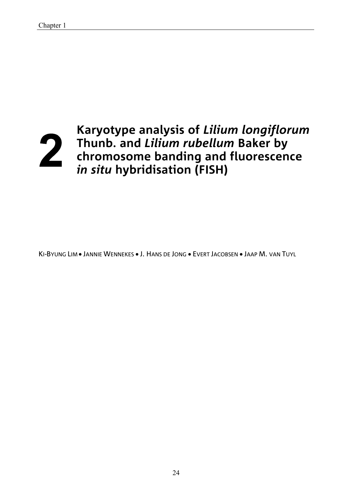

**Karyotype analysis of** *Lilium longiflorum* **Thunb. and** *Lilium rubellum* **Baker by chromosome banding and fluorescence** *in situ* **hybridisation (FISH)**

KI-BYUNG LIM · JANNIE WENNEKES · J. HANS DE JONG · EVERT JACOBSEN · JAAP M. VAN TUYL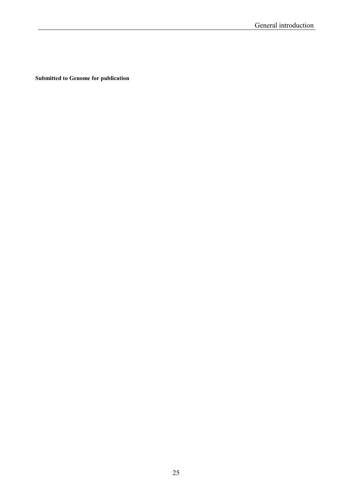**Submitted to Genome for publication**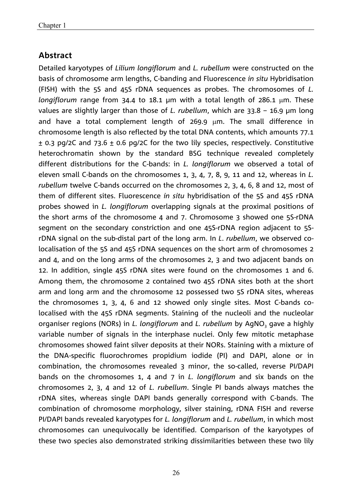### **Abstract**

Detailed karyotypes of *Lilium longiflorum* and *L. rubellum* were constructed on the basis of chromosome arm lengths, C-banding and Fluorescence *in situ* Hybridisation (FISH) with the 5S and 45S rDNA sequences as probes. The chromosomes of *L. longiflorum* range from 34.4 to 18.1 µm with a total length of 286.1 µm. These values are slightly larger than those of *L. rubellum*, which are 33.8 – 16.9 µm long and have a total complement length of  $269.9 \mu m$ . The small difference in chromosome length is also reflected by the total DNA contents, which amounts 77.1  $\pm$  0.3 pg/2C and 73.6  $\pm$  0.6 pg/2C for the two lily species, respectively. Constitutive heterochromatin shown by the standard BSG technique revealed completely different distributions for the C-bands: in *L. longiflorum* we observed a total of eleven small C-bands on the chromosomes 1, 3, 4, 7, 8, 9, 11 and 12, whereas in *L. rubellum* twelve C-bands occurred on the chromosomes 2, 3, 4, 6, 8 and 12, most of them of different sites. Fluorescence *in situ* hybridisation of the 5S and 45S rDNA probes showed in *L. longiflorum* overlapping signals at the proximal positions of the short arms of the chromosome 4 and 7. Chromosome 3 showed one 5S-rDNA segment on the secondary constriction and one 45S-rDNA region adjacent to 5SrDNA signal on the sub-distal part of the long arm. In *L*. *rubellum*, we observed colocalisation of the 5S and 45S rDNA sequences on the short arm of chromosomes 2 and 4, and on the long arms of the chromosomes 2, 3 and two adjacent bands on 12. In addition, single 45S rDNA sites were found on the chromosomes 1 and 6. Among them, the chromosome 2 contained two 45S rDNA sites both at the short arm and long arm and the chromosome 12 possessed two 5S rDNA sites, whereas the chromosomes 1, 3, 4, 6 and 12 showed only single sites. Most C-bands colocalised with the 45S rDNA segments. Staining of the nucleoli and the nucleolar organiser regions (NORs) in *L. longiflorum* and *L. rubellum* by AgNO<sub>3</sub> gave a highly variable number of signals in the interphase nuclei. Only few mitotic metaphase chromosomes showed faint silver deposits at their NORs. Staining with a mixture of the DNA-specific fluorochromes propidium iodide (PI) and DAPI, alone or in combination, the chromosomes revealed 3 minor, the so-called, reverse PI/DAPI bands on the chromosomes 1, 4 and 7 in *L. longiflorum* and six bands on the chromosomes 2, 3, 4 and 12 of *L. rubellum*. Single PI bands always matches the rDNA sites, whereas single DAPI bands generally correspond with C-bands. The combination of chromosome morphology, silver staining, rDNA FISH and reverse PI/DAPI bands revealed karyotypes for *L. longiflorum* and *L. rubellum*, in which most chromosomes can unequivocally be identified. Comparison of the karyotypes of these two species also demonstrated striking dissimilarities between these two lily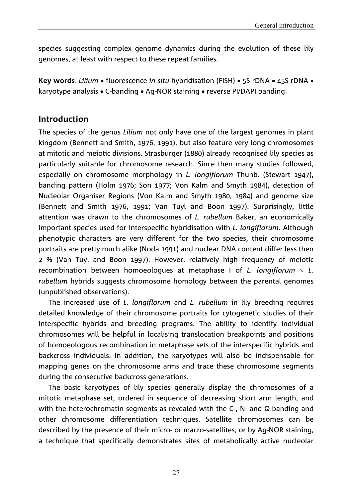species suggesting complex genome dynamics during the evolution of these lily genomes, at least with respect to these repeat families.

**Key words**: *Lilium* • fluorescence *in situ* hybridisation (FISH) • 5S rDNA • 45S rDNA • karyotype analysis • C-banding • Ag-NOR staining • reverse PI/DAPI banding

## **Introduction**

The species of the genus *Lilium* not only have one of the largest genomes in plant kingdom (Bennett and Smith, 1976, 1991), but also feature very long chromosomes at mitotic and meiotic divisions. Strasburger (1880) already recognised lily species as particularly suitable for chromosome research. Since then many studies followed, especially on chromosome morphology in *L. longiflorum* Thunb. (Stewart 1947), banding pattern (Holm 1976; Son 1977; Von Kalm and Smyth 1984), detection of Nucleolar Organiser Regions (Von Kalm and Smyth 1980, 1984) and genome size (Bennett and Smith 1976, 1991; Van Tuyl and Boon 1997). Surprisingly, little attention was drawn to the chromosomes of *L. rubellum* Baker, an economically important species used for interspecific hybridisation with *L. longiflorum*. Although phenotypic characters are very different for the two species, their chromosome portraits are pretty much alike (Noda 1991) and nuclear DNA content differ less then 2 % (Van Tuyl and Boon 1997). However, relatively high frequency of meiotic recombination between homoeologues at metaphase I of *L. longiflorum L. rubellum* hybrids suggests chromosome homology between the parental genomes (unpublished observations).

The increased use of *L. longiflorum* and *L. rubellum* in lily breeding requires detailed knowledge of their chromosome portraits for cytogenetic studies of their interspecific hybrids and breeding programs. The ability to identify individual chromosomes will be helpful in localising translocation breakpoints and positions of homoeologous recombination in metaphase sets of the interspecific hybrids and backcross individuals. In addition, the karyotypes will also be indispensable for mapping genes on the chromosome arms and trace these chromosome segments during the consecutive backcross generations.

The basic karyotypes of lily species generally display the chromosomes of a mitotic metaphase set, ordered in sequence of decreasing short arm length, and with the heterochromatin segments as revealed with the C-, N- and Q-banding and other chromosome differentiation techniques. Satellite chromosomes can be described by the presence of their micro- or macro-satellites, or by Ag-NOR staining, a technique that specifically demonstrates sites of metabolically active nucleolar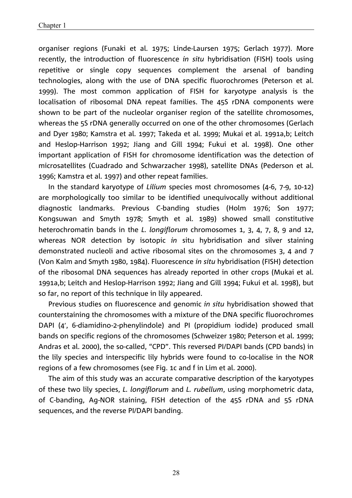organiser regions (Funaki et al. 1975; Linde-Laursen 1975; Gerlach 1977). More recently, the introduction of fluorescence *in situ* hybridisation (FISH) tools using repetitive or single copy sequences complement the arsenal of banding technologies, along with the use of DNA specific fluorochromes (Peterson et al. 1999). The most common application of FISH for karyotype analysis is the localisation of ribosomal DNA repeat families. The 45S rDNA components were shown to be part of the nucleolar organiser region of the satellite chromosomes, whereas the 5S rDNA generally occurred on one of the other chromosomes (Gerlach and Dyer 1980; Kamstra et al. 1997; Takeda et al. 1999; Mukai et al. 1991a,b; Leitch and Heslop-Harrison 1992; Jiang and Gill 1994; Fukui et al. 1998). One other important application of FISH for chromosome identification was the detection of microsatellites (Cuadrado and Schwarzacher 1998), satellite DNAs (Pederson et al. 1996; Kamstra et al. 1997) and other repeat families.

In the standard karyotype of *Lilium* species most chromosomes (4-6, 7-9, 10-12) are morphologically too similar to be identified unequivocally without additional diagnostic landmarks. Previous C-banding studies (Holm 1976; Son 1977; Kongsuwan and Smyth 1978; Smyth et al. 1989) showed small constitutive heterochromatin bands in the *L. longiflorum* chromosomes 1, 3, 4, 7, 8, 9 and 12, whereas NOR detection by isotopic *in* situ hybridisation and silver staining demonstrated nucleoli and active ribosomal sites on the chromosomes 3, 4 and 7 (Von Kalm and Smyth 1980, 1984). Fluorescence *in situ* hybridisation (FISH) detection of the ribosomal DNA sequences has already reported in other crops (Mukai et al. 1991a,b; Leitch and Heslop-Harrison 1992; Jiang and Gill 1994; Fukui et al. 1998), but so far, no report of this technique in lily appeared.

Previous studies on fluorescence and genomic *in situ* hybridisation showed that counterstaining the chromosomes with a mixture of the DNA specific fluorochromes DAPI (4', 6-diamidino-2-phenylindole) and PI (propidium iodide) produced small bands on specific regions of the chromosomes (Schweizer 1980; Peterson et al. 1999; Andras et al. 2000), the so-called, "CPD". This reversed PI/DAPI bands (CPD bands) in the lily species and interspecific lily hybrids were found to co-localise in the NOR regions of a few chromosomes (see Fig. 1c and f in Lim et al. 2000).

The aim of this study was an accurate comparative description of the karyotypes of these two lily species, *L. longiflorum* and *L. rubellum*, using morphometric data, of C-banding, Ag-NOR staining, FISH detection of the 45S rDNA and 5S rDNA sequences, and the reverse PI/DAPI banding.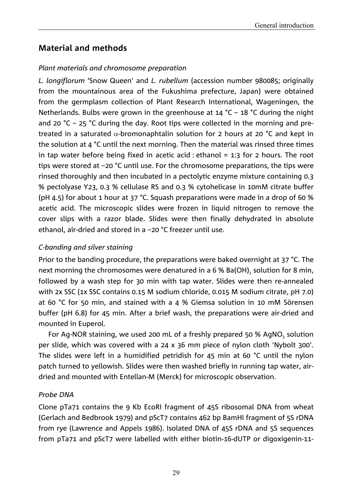## **Material and methods**

#### *Plant materials and chromosome preparation*

*L. longiflorum* 'Snow Queen' and *L. rubellum* (accession number 980085; originally from the mountainous area of the Fukushima prefecture, Japan) were obtained from the germplasm collection of Plant Research International, Wageningen, the Netherlands. Bulbs were grown in the greenhouse at 14 °C – 18 °C during the night and 20  $^{\circ}$ C – 25  $^{\circ}$ C during the day. Root tips were collected in the morning and pretreated in a saturated  $\alpha$ -bromonaphtalin solution for 2 hours at 20 °C and kept in the solution at 4 °C until the next morning. Then the material was rinsed three times in tap water before being fixed in acetic acid : ethanol  $= 1:3$  for 2 hours. The root tips were stored at –20 °C until use. For the chromosome preparations, the tips were rinsed thoroughly and then incubated in a pectolytic enzyme mixture containing 0.3 % pectolyase Y23, 0.3 % cellulase RS and 0.3 % cytohelicase in 10mM citrate buffer (pH 4.5) for about 1 hour at 37 °C. Squash preparations were made in a drop of 60 % acetic acid. The microscopic slides were frozen in liquid nitrogen to remove the cover slips with a razor blade. Slides were then finally dehydrated in absolute ethanol, air-dried and stored in a –20 °C freezer until use.

#### *C-banding and silver staining*

Prior to the banding procedure, the preparations were baked overnight at 37 °C. The next morning the chromosomes were denatured in a 6 % Ba(OH)<sub>2</sub> solution for 8 min, followed by a wash step for 30 min with tap water. Slides were then re-annealed with 2x SSC (1x SSC contains 0.15 M sodium chloride, 0.015 M sodium citrate, pH 7.0) at 60 °C for 50 min, and stained with a 4 % Giemsa solution in 10 mM Sörensen buffer (pH 6.8) for 45 min. After a brief wash, the preparations were air-dried and mounted in Euperol.

For Ag-NOR staining, we used 200 mL of a freshly prepared 50 % AgNO<sub>3</sub> solution per slide, which was covered with a 24 x 36 mm piece of nylon cloth 'Nybolt 300'. The slides were left in a humidified petridish for 45 min at 60 °C until the nylon patch turned to yellowish. Slides were then washed briefly in running tap water, airdried and mounted with Entellan-M (Merck) for microscopic observation.

#### *Probe DNA*

Clone pTa71 contains the 9 Kb EcoRI fragment of 45S ribosomal DNA from wheat (Gerlach and Bedbrook 1979) and pScT7 contains 462 bp BamHI fragment of 5S rDNA from rye (Lawrence and Appels 1986). Isolated DNA of 45S rDNA and 5S sequences from pTa71 and pScT7 were labelled with either biotin-16-dUTP or digoxigenin-11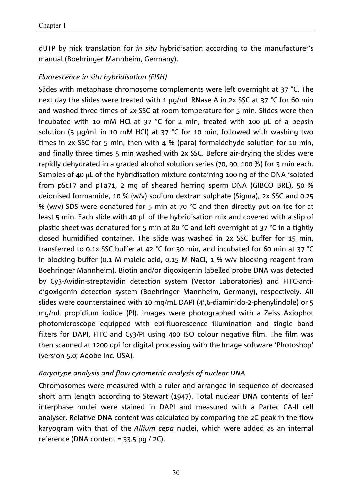dUTP by nick translation for *in situ* hybridisation according to the manufacturer's manual (Boehringer Mannheim, Germany).

#### *Fluorescence in situ hybridisation (FISH)*

Slides with metaphase chromosome complements were left overnight at 37 °C. The next day the slides were treated with 1  $\mu$ g/mL RNase A in 2x SSC at 37 °C for 60 min and washed three times of 2x SSC at room temperature for 5 min. Slides were then incubated with 10 mM HCl at 37 °C for 2 min, treated with 100 µL of a pepsin solution (5 µg/mL in 10 mM HCl) at 37 °C for 10 min, followed with washing two times in 2x SSC for 5 min, then with 4 % (para) formaldehyde solution for 10 min, and finally three times 5 min washed with 2x SSC. Before air-drying the slides were rapidly dehydrated in a graded alcohol solution series (70, 90, 100 %) for 3 min each. Samples of 40  $\mu$ L of the hybridisation mixture containing 100 ng of the DNA isolated from pScT7 and pTa71, 2 mg of sheared herring sperm DNA (GIBCO BRL), 50 % deionised formamide, 10 % (w/v) sodium dextran sulphate (Sigma), 2x SSC and 0.25 % (w/v) SDS were denatured for 5 min at 70 °C and then directly put on ice for at least 5 min. Each slide with 40 µL of the hybridisation mix and covered with a slip of plastic sheet was denatured for 5 min at 80 °C and left overnight at 37 °C in a tightly closed humidified container. The slide was washed in 2x SSC buffer for 15 min, transferred to 0.1x SSC buffer at 42 °C for 30 min, and incubated for 60 min at 37 °C in blocking buffer (0.1 M maleic acid, 0.15 M NaCl, 1 % w/v blocking reagent from Boehringer Mannheim). Biotin and/or digoxigenin labelled probe DNA was detected by Cy3-Avidin-streptavidin detection system (Vector Laboratories) and FITC-antidigoxigenin detection system (Boehringer Mannheim, Germany), respectively. All slides were counterstained with 10 mg/mL DAPI (4',6-diaminido-2-phenylindole) or 5 mg/mL propidium iodide (PI). Images were photographed with a Zeiss Axiophot photomicroscope equipped with epi-fluorescence illumination and single band filters for DAPI, FITC and Cy3/PI using 400 ISO colour negative film. The film was then scanned at 1200 dpi for digital processing with the Image software 'Photoshop' (version 5.0; Adobe Inc. USA).

#### *Karyotype analysis and flow cytometric analysis of nuclear DNA*

Chromosomes were measured with a ruler and arranged in sequence of decreased short arm length according to Stewart (1947). Total nuclear DNA contents of leaf interphase nuclei were stained in DAPI and measured with a Partec CA-II cell analyser. Relative DNA content was calculated by comparing the 2C peak in the flow karyogram with that of the *Allium cepa* nuclei, which were added as an internal reference (DNA content =  $33.5$  pg / 2C).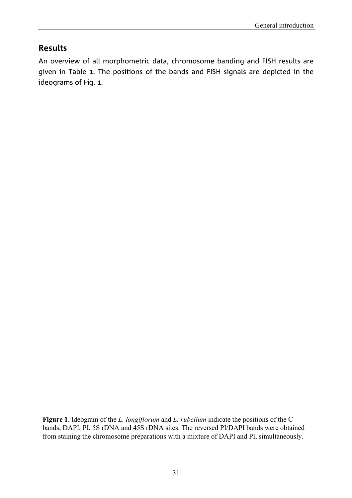## **Results**

An overview of all morphometric data, chromosome banding and FISH results are given in Table 1. The positions of the bands and FISH signals are depicted in the ideograms of Fig. 1.

**Figure 1**. Ideogram of the *L. longiflorum* and *L. rubellum* indicate the positions of the Cbands, DAPI, PI, 5S rDNA and 45S rDNA sites. The reversed PI/DAPI bands were obtained from staining the chromosome preparations with a mixture of DAPI and PI, simultaneously.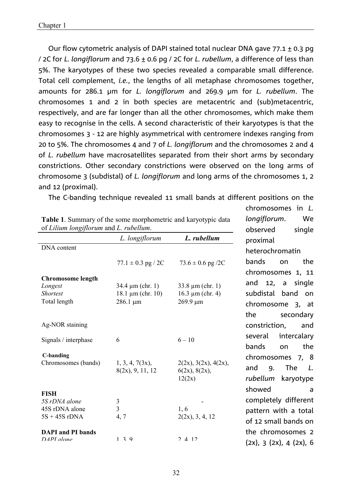Our flow cytometric analysis of DAPI stained total nuclear DNA gave  $77.1 \pm 0.3$  pg / 2C for *L. longiflorum* and 73.6 ± 0.6 pg / 2C for *L. rubellum*, a difference of less than 5%. The karyotypes of these two species revealed a comparable small difference. Total cell complement, *i.e.*, the lengths of all metaphase chromosomes together, amounts for 286.1 µm for *L. longiflorum* and 269.9 µm for *L. rubellum*. The chromosomes 1 and 2 in both species are metacentric and (sub)metacentric, respectively, and are far longer than all the other chromosomes, which make them easy to recognise in the cells. A second characteristic of their karyotypes is that the chromosomes 3 - 12 are highly asymmetrical with centromere indexes ranging from 20 to 5%. The chromosomes 4 and 7 of *L. longiflorum* and the chromosomes 2 and 4 of *L. rubellum* have macrosatellites separated from their short arms by secondary constrictions. Other secondary constrictions were observed on the long arms of chromosome 3 (subdistal) of *L. longiflorum* and long arms of the chromosomes 1, 2 and 12 (proximal).

The C-banding technique revealed 11 small bands at different positions on the

chromosomes in *L. longiflorum*. We

| of Lilium longiflorum and L. rubellum. | observed<br>single     |                         |                               |  |  |
|----------------------------------------|------------------------|-------------------------|-------------------------------|--|--|
|                                        | L. longiflorum         | L. rubellum             | proximal                      |  |  |
| DNA content                            |                        |                         | heterochromatin               |  |  |
|                                        | $77.1 \pm 0.3$ pg / 2C | $73.6 \pm 0.6$ pg /2C   | bands<br>the<br>on            |  |  |
| Chromosome length                      |                        |                         | chromosomes 1, 11             |  |  |
| Longest                                | $34.4 \mu m$ (chr. 1)  | 33.8 $\mu$ m (chr. 1)   | and 12, a<br>single           |  |  |
| <b>Shortest</b>                        | $18.1 \mu m$ (chr. 10) | $16.3 \mu m$ (chr. 4)   | subdistal<br>band<br>on       |  |  |
| Total length                           | $286.1 \mu m$          | $269.9 \mu m$           | chromosome 3, at              |  |  |
|                                        |                        |                         | the<br>secondary              |  |  |
| Ag-NOR staining                        |                        |                         | constriction,<br>and          |  |  |
| Signals / interphase                   | 6                      | $6 - 10$                | intercalary<br>several        |  |  |
|                                        |                        |                         | bands<br>the<br>on            |  |  |
| <b>C-banding</b>                       |                        |                         | chromosomes 7, 8              |  |  |
| Chromosomes (bands)                    | 1, 3, 4, 7(3x),        | 2(2x), 3(2x), 4(2x),    | <b>The</b><br>and<br>9.<br>L. |  |  |
|                                        | 8(2x), 9, 11, 12       | 6(2x), 8(2x),<br>12(2x) | rubellum<br>karyotype         |  |  |
|                                        |                        |                         |                               |  |  |
| <b>FISH</b>                            |                        |                         | showed<br>a                   |  |  |
| 5S rDNA alone                          | $\mathfrak{Z}$         |                         | completely different          |  |  |
| 45S rDNA alone                         | $\overline{3}$         | 1, 6                    | pattern with a total          |  |  |
| $5S + 45S$ rDNA                        | 4, 7                   | 2(2x), 3, 4, 12         | of 12 small bands on          |  |  |
| <b>DAPI</b> and PI bands               |                        |                         | the chromosomes 2             |  |  |
| $DAPI$ alone                           | $1 \t3 \t9$            | 2 4 12                  | (2x), 3 (2x), 4 (2x), 6       |  |  |

| <b>Table 1.</b> Summary of the some morphometric and karyotypic data<br>of Lilium longiflorum and L. rubellum. |                |            |
|----------------------------------------------------------------------------------------------------------------|----------------|------------|
|                                                                                                                | L. longiflorum | L ruhellum |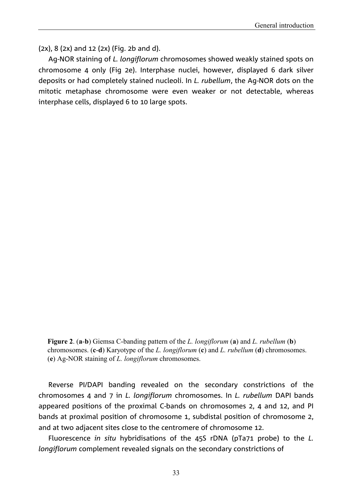(2x), 8 (2x) and 12 (2x) (Fig. 2b and d).

Ag-NOR staining of *L. longiflorum* chromosomes showed weakly stained spots on chromosome 4 only (Fig 2e). Interphase nuclei, however, displayed 6 dark silver deposits or had completely stained nucleoli. In *L. rubellum*, the Ag-NOR dots on the mitotic metaphase chromosome were even weaker or not detectable, whereas interphase cells, displayed 6 to 10 large spots.

**Figure 2**. (**a**-**b**) Giemsa C-banding pattern of the *L. longiflorum* (**a**) and *L. rubellum* (**b**) chromosomes. (**c**-**d**) Karyotype of the *L. longiflorum* (**c**) and *L. rubellum* (**d**) chromosomes. (**e**) Ag-NOR staining of *L. longiflorum* chromosomes.

Reverse PI/DAPI banding revealed on the secondary constrictions of the chromosomes 4 and 7 in *L. longiflorum* chromosomes. In *L. rubellum* DAPI bands appeared positions of the proximal C-bands on chromosomes 2, 4 and 12, and PI bands at proximal position of chromosome 1, subdistal position of chromosome 2, and at two adjacent sites close to the centromere of chromosome 12.

Fluorescence *in situ* hybridisations of the 45S rDNA (pTa71 probe) to the *L. longiflorum* complement revealed signals on the secondary constrictions of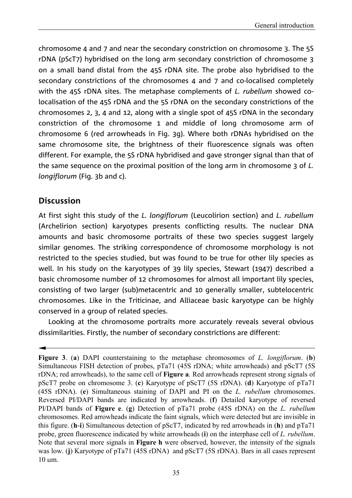chromosome 4 and 7 and near the secondary constriction on chromosome 3. The 5S rDNA (pScT7) hybridised on the long arm secondary constriction of chromosome 3 on a small band distal from the 45S rDNA site. The probe also hybridised to the secondary constrictions of the chromosomes 4 and 7 and co-localised completely with the 45S rDNA sites. The metaphase complements of *L. rubellum* showed colocalisation of the 45S rDNA and the 5S rDNA on the secondary constrictions of the chromosomes 2, 3, 4 and 12, along with a single spot of 45S rDNA in the secondary constriction of the chromosome 1 and middle of long chromosome arm of chromosome 6 (red arrowheads in Fig. 3g). Where both rDNAs hybridised on the same chromosome site, the brightness of their fluorescence signals was often different. For example, the 5S rDNA hybridised and gave stronger signal than that of the same sequence on the proximal position of the long arm in chromosome 3 of *L. longiflorum* (Fig. 3b and c).

## **Discussion**

At first sight this study of the *L. longiflorum* (Leucolirion section) and *L. rubellum* (Archelirion section) karyotypes presents conflicting results. The nuclear DNA amounts and basic chromosome portraits of these two species suggest largely similar genomes. The striking correspondence of chromosome morphology is not restricted to the species studied, but was found to be true for other lily species as well. In his study on the karyotypes of 39 lily species, Stewart (1947) described a basic chromosome number of 12 chromosomes for almost all important lily species, consisting of two larger (sub)metacentric and 10 generally smaller, subtelocentric chromosomes. Like in the Triticinae, and Alliaceae basic karyotype can be highly conserved in a group of related species.

Looking at the chromosome portraits more accurately reveals several obvious dissimilarities. Firstly, the number of secondary constrictions are different:

**Figure 3**. (**a**) DAPI counterstaining to the metaphase chromosomes of *L. longiflorum*. (**b**) Simultaneous FISH detection of probes, pTa71 (45S rDNA; white arrowheads) and pScT7 (5S rDNA; red arrowheads), to the same cell of **Figure a**. Red arrowheads represent strong signals of pScT7 probe on chromosome 3. (**c**) Karyotype of pScT7 (5S rDNA). (**d**) Karyotype of pTa71 (45S rDNA). (**e**) Simultaneous staining of DAPI and PI on the *L. rubellum* chromosomes. Reversed PI/DAPI bands are indicated by arrowheads. (**f**) Detailed karyotype of reversed PI/DAPI bands of **Figure e**. (**g**) Detection of pTa71 probe (45S rDNA) on the *L. rubellum* chromosomes. Red arrowheads indicate the faint signals, which were detected but are invisible in this figure. (**h**-**i**) Simultaneous detection of pScT7, indicated by red arrowheads in (**h**) and pTa71 probe, green fluorescence indicated by white arrowheads (**i**) on the interphase cell of *L. rubellum*. Note that several more signals in **Figure h** were observed, however, the intensity of the signals was low. (**j**) Karyotype of pTa71 (45S rDNA) and pScT7 (5S rDNA). Bars in all cases represent 10 m.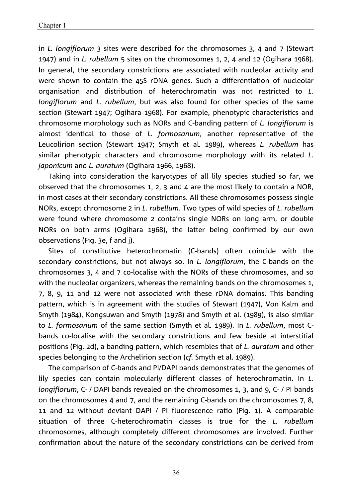in *L. longiflorum* 3 sites were described for the chromosomes 3, 4 and 7 (Stewart 1947) and in *L. rubellum* 5 sites on the chromosomes 1, 2, 4 and 12 (Ogihara 1968). In general, the secondary constrictions are associated with nucleolar activity and were shown to contain the 45S rDNA genes. Such a differentiation of nucleolar organisation and distribution of heterochromatin was not restricted to *L. longiflorum* and *L. rubellum*, but was also found for other species of the same section (Stewart 1947; Ogihara 1968). For example, phenotypic characteristics and chromosome morphology such as NORs and C-banding pattern of *L. longiflorum* is almost identical to those of *L. formosanum*, another representative of the Leucolirion section (Stewart 1947; Smyth et al*.* 1989), whereas *L. rubellum* has similar phenotypic characters and chromosome morphology with its related *L. japonicum* and *L. auratum* (Ogihara 1966, 1968).

Taking into consideration the karyotypes of all lily species studied so far, we observed that the chromosomes 1, 2, 3 and 4 are the most likely to contain a NOR, in most cases at their secondary constrictions. All these chromosomes possess single NORs, except chromosome 2 in *L. rubellum*. Two types of wild species of *L. rubellum* were found where chromosome 2 contains single NORs on long arm, or double NORs on both arms (Ogihara 1968), the latter being confirmed by our own observations (Fig. 3e, f and j).

Sites of constitutive heterochromatin (C-bands) often coincide with the secondary constrictions, but not always so. In *L. longiflorum*, the C-bands on the chromosomes 3, 4 and 7 co-localise with the NORs of these chromosomes, and so with the nucleolar organizers, whereas the remaining bands on the chromosomes 1, 7, 8, 9, 11 and 12 were not associated with these rDNA domains. This banding pattern, which is in agreement with the studies of Stewart (1947), Von Kalm and Smyth (1984), Kongsuwan and Smyth (1978) and Smyth et al. (1989), is also similar to *L. formosanum* of the same section (Smyth et al*.* 1989). In *L. rubellum*, most Cbands co-localise with the secondary constrictions and few beside at interstitial positions (Fig. 2d), a banding pattern, which resembles that of *L. auratum* and other species belonging to the Archelirion section (*cf.* Smyth et al. 1989).

The comparison of C-bands and PI/DAPI bands demonstrates that the genomes of lily species can contain molecularly different classes of heterochromatin. In *L. longiflorum*, C- / DAPI bands revealed on the chromosomes 1, 3, and 9, C- / PI bands on the chromosomes 4 and 7, and the remaining C-bands on the chromosomes 7, 8, 11 and 12 without deviant DAPI / PI fluorescence ratio (Fig. 1). A comparable situation of three C-heterochromatin classes is true for the *L. rubellum* chromosomes, although completely different chromosomes are involved. Further confirmation about the nature of the secondary constrictions can be derived from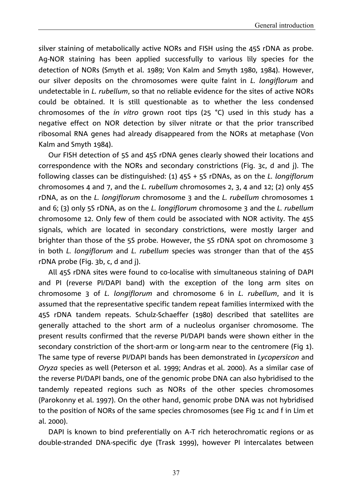silver staining of metabolically active NORs and FISH using the 45S rDNA as probe. Ag-NOR staining has been applied successfully to various lily species for the detection of NORs (Smyth et al. 1989; Von Kalm and Smyth 1980, 1984). However, our silver deposits on the chromosomes were quite faint in *L. longiflorum* and undetectable in *L. rubellum*, so that no reliable evidence for the sites of active NORs could be obtained. It is still questionable as to whether the less condensed chromosomes of the *in vitro* grown root tips (25 °C) used in this study has a negative effect on NOR detection by silver nitrate or that the prior transcribed ribosomal RNA genes had already disappeared from the NORs at metaphase (Von Kalm and Smyth 1984).

Our FISH detection of 5S and 45S rDNA genes clearly showed their locations and correspondence with the NORs and secondary constrictions (Fig. 3c, d and j). The following classes can be distinguished: (1) 45S + 5S rDNAs, as on the *L. longiflorum* chromosomes 4 and 7, and the *L. rubellum* chromosomes 2, 3, 4 and 12; (2) only 45S rDNA, as on the *L. longiflorum* chromosome 3 and the *L. rubellum* chromosomes 1 and 6; (3) only 5S rDNA, as on the *L. longiflorum* chromosome 3 and the *L. rubellum* chromosome 12. Only few of them could be associated with NOR activity. The 45S signals, which are located in secondary constrictions, were mostly larger and brighter than those of the 5S probe. However, the 5S rDNA spot on chromosome 3 in both *L. longiflorum* and *L. rubellum* species was stronger than that of the 45S rDNA probe (Fig. 3b, c, d and j).

All 45S rDNA sites were found to co-localise with simultaneous staining of DAPI and PI (reverse PI/DAPI band) with the exception of the long arm sites on chromosome 3 of *L. longiflorum* and chromosome 6 in *L. rubellum*, and it is assumed that the representative specific tandem repeat families intermixed with the 45S rDNA tandem repeats. Schulz-Schaeffer (1980) described that satellites are generally attached to the short arm of a nucleolus organiser chromosome. The present results confirmed that the reverse PI/DAPI bands were shown either in the secondary constriction of the short-arm or long-arm near to the centromere (Fig 1). The same type of reverse PI/DAPI bands has been demonstrated in *Lycopersicon* and *Oryza* species as well (Peterson et al. 1999; Andras et al. 2000). As a similar case of the reverse PI/DAPI bands, one of the genomic probe DNA can also hybridised to the tandemly repeated regions such as NORs of the other species chromosomes (Parokonny et al. 1997). On the other hand, genomic probe DNA was not hybridised to the position of NORs of the same species chromosomes (see Fig 1c and f in Lim et al. 2000).

DAPI is known to bind preferentially on A-T rich heterochromatic regions or as double-stranded DNA-specific dye (Trask 1999), however PI intercalates between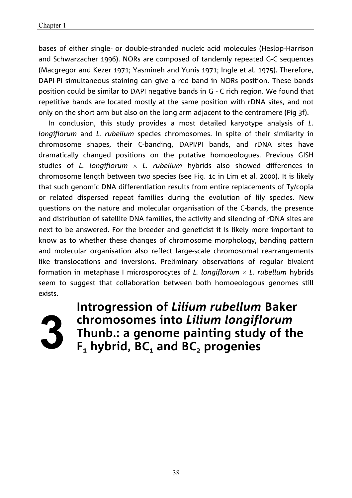bases of either single- or double-stranded nucleic acid molecules (Heslop-Harrison and Schwarzacher 1996). NORs are composed of tandemly repeated G-C sequences (Macgregor and Kezer 1971; Yasmineh and Yunis 1971; Ingle et al. 1975). Therefore, DAPI-PI simultaneous staining can give a red band in NORs position. These bands position could be similar to DAPI negative bands in G - C rich region. We found that repetitive bands are located mostly at the same position with rDNA sites, and not only on the short arm but also on the long arm adjacent to the centromere (Fig 3f).

In conclusion, this study provides a most detailed karyotype analysis of *L. longiflorum* and *L. rubellum* species chromosomes. In spite of their similarity in chromosome shapes, their C-banding, DAPI/PI bands, and rDNA sites have dramatically changed positions on the putative homoeologues. Previous GISH studies of *L. longiflorum L. rubellum* hybrids also showed differences in chromosome length between two species (see Fig. 1c in Lim et al*.* 2000). It is likely that such genomic DNA differentiation results from entire replacements of Ty/copia or related dispersed repeat families during the evolution of lily species. New questions on the nature and molecular organisation of the C-bands, the presence and distribution of satellite DNA families, the activity and silencing of rDNA sites are next to be answered. For the breeder and geneticist it is likely more important to know as to whether these changes of chromosome morphology, banding pattern and molecular organisation also reflect large-scale chromosomal rearrangements like translocations and inversions. Preliminary observations of regular bivalent formation in metaphase I microsporocytes of *L. longiflorum L. rubellum* hybrids seem to suggest that collaboration between both homoeologous genomes still exists.



**Introgression of** *Lilium rubellum* **Baker chromosomes into** *Lilium longiflorum* **Thunb.: a genome painting study of the F<sub>1</sub>** hybrid, BC<sub>1</sub> and BC<sub>2</sub> progenies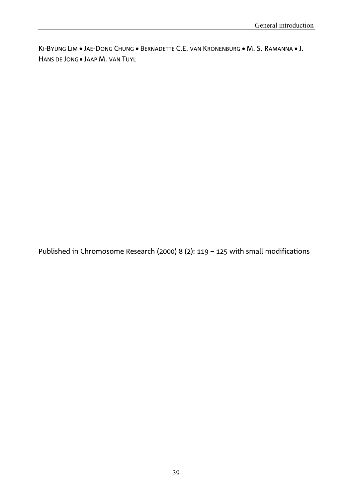KI-BYUNG LIM . JAE-DONG CHUNG . BERNADETTE C.E. VAN KRONENBURG . M. S. RAMANNA . J. HANS DE JONG . JAAP M. VAN TUYL

Published in Chromosome Research (2000) 8 (2): 119 – 125 with small modifications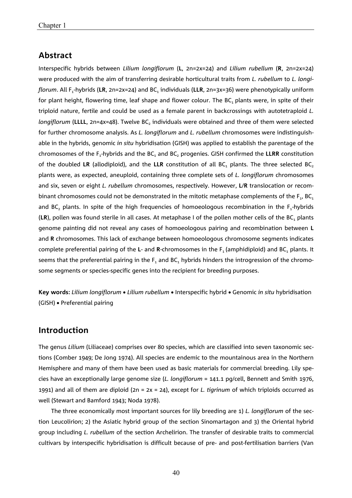## **Abstract**

Interspecific hybrids between *Lilium longiflorum* (**L**, 2n=2x=24) and *Lilium rubellum* (**R**, 2n=2x=24) were produced with the aim of transferring desirable horticultural traits from *L. rubellum* to *L. longiflorum*. All F<sub>1</sub>-hybrids (LR, 2n=2x=24) and BC<sub>1</sub> individuals (LLR, 2n=3x=36) were phenotypically uniform for plant height, flowering time, leaf shape and flower colour. The BC, plants were, in spite of their triploid nature, fertile and could be used as a female parent in backcrossings with autotetraploid *L. longiflorum* (LLLL, 2n=4x=48). Twelve BC<sub>2</sub> individuals were obtained and three of them were selected for further chromosome analysis. As *L. longiflorum* and *L. rubellum* chromosomes were indistinguishable in the hybrids, genomic *in situ* hybridisation (GISH) was applied to establish the parentage of the chromosomes of the F<sub>1</sub>-hybrids and the BC<sub>1</sub> and BC, progenies. GISH confirmed the LLRR constitution of the doubled LR (allodiploid), and the LLR constitution of all BC<sub>1</sub> plants. The three selected BC<sub>2</sub> plants were, as expected, aneuploid, containing three complete sets of *L. longiflorum* chromosomes and six, seven or eight *L. rubellum* chromosomes, respectively. However, **L**/**R** translocation or recombinant chromosomes could not be demonstrated in the mitotic metaphase complements of the  $F_1$ , BC<sub>1</sub> and BC<sub>2</sub> plants. In spite of the high frequencies of homoeologous recombination in the  $F_1$ -hybrids (**LR**), pollen was found sterile in all cases. At metaphase I of the pollen mother cells of the BC1 plants genome painting did not reveal any cases of homoeologous pairing and recombination between **L** and **R** chromosomes. This lack of exchange between homoeologous chromosome segments indicates complete preferential pairing of the L- and R-chromosomes in the F<sub>1</sub> (amphidiploid) and BC<sub>1</sub> plants. It seems that the preferential pairing in the  $F_1$  and  $BC_1$  hybrids hinders the introgression of the chromosome segments or species-specific genes into the recipient for breeding purposes.

**Key words:** *Lilium longiflorum Lilium rubellum*  Interspecific hybrid Genomic *in situ* hybridisation (GISH) Preferential pairing

## **Introduction**

The genus *Lilium* (Liliaceae) comprises over 80 species, which are classified into seven taxonomic sections (Comber 1949; De Jong 1974). All species are endemic to the mountainous area in the Northern Hemisphere and many of them have been used as basic materials for commercial breeding. Lily species have an exceptionally large genome size (*L. longiflorum* = 141.1 pg/cell, Bennett and Smith 1976, 1991) and all of them are diploid (2n = 2x = 24), except for *L. tigrinum* of which triploids occurred as well (Stewart and Bamford 1943; Noda 1978).

The three economically most important sources for lily breeding are 1) *L. longiflorum* of the section Leucolirion; 2) the Asiatic hybrid group of the section Sinomartagon and 3) the Oriental hybrid group including *L. rubellum* of the section Archelirion. The transfer of desirable traits to commercial cultivars by interspecific hybridisation is difficult because of pre- and post-fertilisation barriers (Van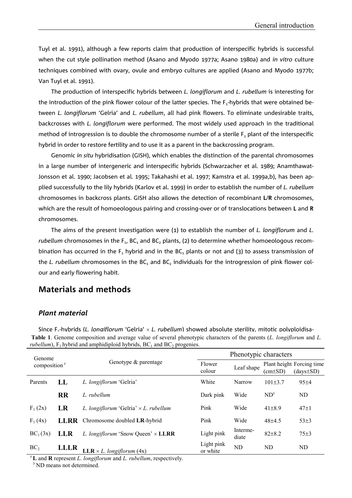Tuyl et al. 1991), although a few reports claim that production of interspecific hybrids is successful when the cut style pollination method (Asano and Myodo 1977a; Asano 1980a) and *in vitro* culture techniques combined with ovary, ovule and embryo cultures are applied (Asano and Myodo 1977b; Van Tuyl et al. 1991).

The production of interspecific hybrids between *L. longiflorum* and *L. rubellum* is interesting for the introduction of the pink flower colour of the latter species. The  $F_1$ -hybrids that were obtained between *L. longiflorum* 'Gelria' and *L. rubellum*, all had pink flowers. To eliminate undesirable traits, backcrosses with *L. longiflorum* were performed. The most widely used approach in the traditional method of introgression is to double the chromosome number of a sterile  $F_1$  plant of the interspecific hybrid in order to restore fertility and to use it as a parent in the backcrossing program.

Genomic *in situ* hybridisation (GISH), which enables the distinction of the parental chromosomes in a large number of intergeneric and interspecific hybrids (Schwarzacher et al. 1989; Anamthawat-Jonsson et al. 1990; Jacobsen et al. 1995; Takahashi et al. 1997; Kamstra et al. 1999a,b), has been applied successfully to the lily hybrids (Karlov et al. 1999) in order to establish the number of *L. rubellum* chromosomes in backcross plants. GISH also allows the detection of recombinant **L**/**R** chromosomes, which are the result of homoeologous pairing and crossing-over or of translocations between **L** and **R** chromosomes.

The aims of the present investigation were (1) to establish the number of *L. longiflorum* and *L. rubellum* chromosomes in the  $F_1$ , BC<sub>1</sub> and BC<sub>2</sub> plants, (2) to determine whether homoeologous recombination has occurred in the  $F_1$  hybrid and in the BC<sub>1</sub> plants or not and (3) to assess transmission of the *L. rubellum* chromosomes in the BC<sub>1</sub> and BC<sub>2</sub> individuals for the introgression of pink flower colour and early flowering habit.

## **Materials and methods**

#### *Plant material*

Since F.-hybrids (*L. lonaiflorum* 'Gelria' × *L. rubellum*) showed absolute sterility, mitotic polyploidisa-**Table 1**. Genome composition and average value of several phenotypic characters of the parents  $(L.$  longiflorum and  $L$ . *rubellum*),  $F_1$  hybrid and amphidiploid hybrids,  $BC_1$  and  $BC_2$  progenies.

| Genome<br>composition $z$ |             |                                                | Phenotypic characters  |                   |                 |                                              |  |
|---------------------------|-------------|------------------------------------------------|------------------------|-------------------|-----------------|----------------------------------------------|--|
|                           |             | Genotype & parentage                           | Flower<br>colour       | Leaf shape        | (cm±SD)         | Plant height Forcing time<br>$(days \pm SD)$ |  |
| Parents                   | $\bf{L}$    | L. longiflorum 'Gelria'                        | White                  | Narrow            | $101\pm3.7$     | $95+4$                                       |  |
|                           | <b>RR</b>   | L. rubellum                                    | Dark pink              | Wide              | ND <sup>y</sup> | ND                                           |  |
| $F_1(2x)$                 | LR          | L. longiflorum 'Gelria' $\times$ L. rubellum   | Pink                   | Wide              | $41\pm8.9$      | $47 \pm 1$                                   |  |
| $F_1(4x)$                 |             | <b>LLRR</b> Chromosome doubled LR-hybrid       | Pink                   | Wide              | $48+4.5$        | $53\pm3$                                     |  |
| $BC_1(3x)$                | <b>LLR</b>  | L. longiflorum 'Snow Queen' × LLRR             | Light pink             | Interme-<br>diate | $82\pm8.2$      | $75\pm3$                                     |  |
| BC <sub>2</sub>           | <b>LLLR</b> | <b>LLR</b> $\times$ <i>L. longiflorum</i> (4x) | Light pink<br>or white | ND                | ND              | ND                                           |  |

<sup>z</sup>**L** and **R** represent *L. longiflorum* and *L. rubellum*, respectively.

<sup>y</sup> ND means not determined.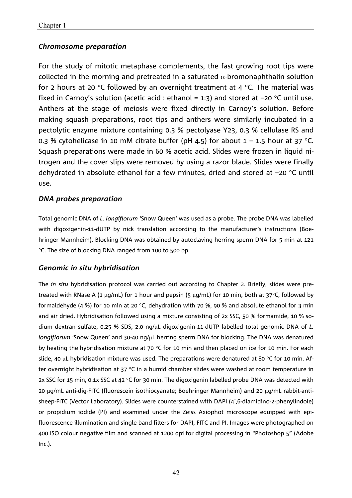## *Chromosome preparation*

For the study of mitotic metaphase complements, the fast growing root tips were collected in the morning and pretreated in a saturated  $\alpha$ -bromonaphthalin solution for 2 hours at 20 °C followed by an overnight treatment at 4 °C. The material was fixed in Carnoy's solution (acetic acid : ethanol = 1:3) and stored at  $-20$  °C until use. Anthers at the stage of meiosis were fixed directly in Carnoy's solution. Before making squash preparations, root tips and anthers were similarly incubated in a pectolytic enzyme mixture containing 0.3 % pectolyase Y23, 0.3 % cellulase RS and 0.3 % cytohelicase in 10 mM citrate buffer (pH 4.5) for about  $1 - 1.5$  hour at 37 °C. Squash preparations were made in 60 % acetic acid. Slides were frozen in liquid nitrogen and the cover slips were removed by using a razor blade. Slides were finally dehydrated in absolute ethanol for a few minutes, dried and stored at  $-20$  °C until use.

## *DNA probes preparation*

Total genomic DNA of *L. longiflorum* 'Snow Queen' was used as a probe. The probe DNA was labelled with digoxigenin-11-dUTP by nick translation according to the manufacturer's instructions (Boehringer Mannheim). Blocking DNA was obtained by autoclaving herring sperm DNA for 5 min at 121 C. The size of blocking DNA ranged from 100 to 500 bp.

## *Genomic in situ hybridisation*

The *in situ* hybridisation protocol was carried out according to Chapter 2. Briefly, slides were pretreated with RNase A (1  $\mu$ g/mL) for 1 hour and pepsin (5  $\mu$ g/mL) for 10 min, both at 37°C, followed by formaldehyde (4 %) for 10 min at 20 °C, dehydration with 70 %, 90 % and absolute ethanol for 3 min and air dried. Hybridisation followed using a mixture consisting of 2x SSC, 50 % formamide, 10 % sodium dextran sulfate, 0.25 % SDS, 2.0 ng/µL digoxigenin-11-dUTP labelled total genomic DNA of *L*. *longiflorum* 'Snow Queen' and 30-40 ng/µL herring sperm DNA for blocking. The DNA was denatured by heating the hybridisation mixture at 70  $\degree$ C for 10 min and then placed on ice for 10 min. For each slide, 40  $\mu$ L hybridisation mixture was used. The preparations were denatured at 80 °C for 10 min. After overnight hybridisation at  $37 \text{ °C}$  in a humid chamber slides were washed at room temperature in 2x SSC for 15 min, 0.1x SSC at 42  $^{\circ}$ C for 30 min. The digoxigenin labelled probe DNA was detected with 20 µg/mL anti-dig-FITC (fluorescein isothiocyanate; Boehringer Mannheim) and 20 µg/mL rabbit-antisheep-FITC (Vector Laboratory). Slides were counterstained with DAPI (4´,6-diamidino-2-phenylindole) or propidium iodide (PI) and examined under the Zeiss Axiophot microscope equipped with epifluorescence illumination and single band filters for DAPI, FITC and PI. Images were photographed on 400 ISO colour negative film and scanned at 1200 dpi for digital processing in "Photoshop 5" (Adobe Inc.).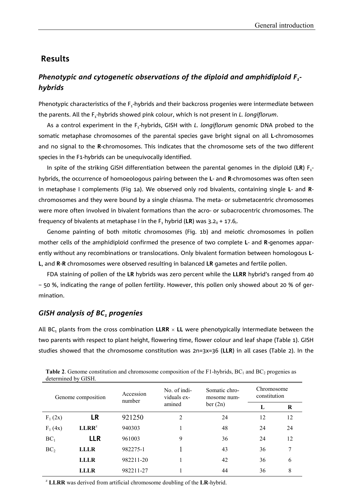#### **Results**

# *Phenotypic and cytogenetic observations of the diploid and amphidiploid F<sub>1</sub>hybrids*

Phenotypic characteristics of the F<sub>1</sub>-hybrids and their backcross progenies were intermediate between the parents. All the F<sub>1</sub>-hybrids showed pink colour, which is not present in *L. longiflorum*.

As a control experiment in the F<sub>1</sub>-hybrids, GISH with *L. longiflorum* genomic DNA probed to the somatic metaphase chromosomes of the parental species gave bright signal on all **L**-chromosomes and no signal to the **R**-chromosomes. This indicates that the chromosome sets of the two different species in the F1-hybrids can be unequivocally identified.

In spite of the striking GISH differentiation between the parental genomes in the diploid (LR) F<sub>1</sub>hybrids, the occurrence of homoeologous pairing between the **L**- and **R**-chromosomes was often seen in metaphase I complements (Fig 1a). We observed only rod bivalents, containing single **L**- and **R**chromosomes and they were bound by a single chiasma. The meta- or submetacentric chromosomes were more often involved in bivalent formations than the acro- or subacrocentric chromosomes. The frequency of bivalents at metaphase I in the  $F_1$  hybrid (LR) was 3.2 $_{II}$  + 17.6 $_{II}$ .

Genome painting of both mitotic chromosomes (Fig. 1b) and meiotic chromosomes in pollen mother cells of the amphidiploid confirmed the presence of two complete **L**- and **R**-genomes apparently without any recombinations or translocations. Only bivalent formation between homologous **L**-**L**, and **R**-**R** chromosomes were observed resulting in balanced **LR** gametes and fertile pollen.

FDA staining of pollen of the **LR** hybrids was zero percent while the **LLRR** hybrid's ranged from 40 – 50 %, indicating the range of pollen fertility. However, this pollen only showed about 20 % of germination.

#### **GISH analysis of BC, progenies**

All BC $_1$  plants from the cross combination  $\textsf{LLRR}\times\textsf{LL}$  were phenotypically intermediate between the two parents with respect to plant height, flowering time, flower colour and leaf shape (Table 1). GISH studies showed that the chromosome constitution was 2n=3x=36 (**LLR**) in all cases (Table 2). In the

| Genome composition |             | Accession<br>number | No. of indi-<br>viduals ex- | Somatic chro-<br>mosome num- | Chromosome<br>constitution |    |
|--------------------|-------------|---------------------|-----------------------------|------------------------------|----------------------------|----|
|                    |             |                     | amined                      | ber(2n)                      | L                          | R  |
| $F_1(2x)$          | <b>LR</b>   | 921250              | 2                           | 24                           | 12                         | 12 |
| $F_1(4x)$          | $LLRR^z$    | 940303              |                             | 48                           | 24                         | 24 |
| BC <sub>1</sub>    | <b>LLR</b>  | 961003              | 9                           | 36                           | 24                         | 12 |
| BC <sub>2</sub>    | <b>LLLR</b> | 982275-1            |                             | 43                           | 36                         | 7  |
|                    | <b>LLLR</b> | 982211-20           |                             | 42                           | 36                         | 6  |
|                    | LLLR        | 982211-27           |                             | 44                           | 36                         | 8  |

**Table 2.** Genome constitution and chromosome composition of the F1-hybrids,  $BC_1$  and  $BC_2$  progenies as determined by GISH.

<sup>z</sup> **LLRR** was derived from artificial chromosome doubling of the **LR**-hybrid.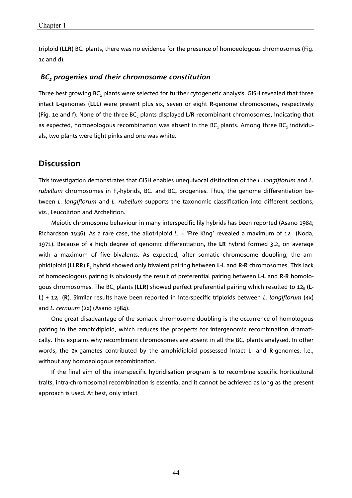triploid (LLR) BC, plants, there was no evidence for the presence of homoeologous chromosomes (Fig. 1c and d).

#### BC<sub>2</sub> progenies and their chromosome constitution

Three best growing  $BC_2$  plants were selected for further cytogenetic analysis. GISH revealed that three intact **L**-genomes (**LLL**) were present plus six, seven or eight **R**-genome chromosomes, respectively (Fig. 1e and f). None of the three BC<sub>2</sub> plants displayed L/R recombinant chromosomes, indicating that as expected, homoeologous recombination was absent in the BC<sub>1</sub> plants. Among three BC<sub>2</sub> individuals, two plants were light pinks and one was white.

## **Discussion**

This investigation demonstrates that GISH enables unequivocal distinction of the *L*. *longiflorum* and *L. rubellum* chromosomes in F<sub>1</sub>-hybrids, BC<sub>1</sub> and BC<sub>2</sub> progenies. Thus, the genome differentiation between *L. longiflorum* and *L. rubellum* supports the taxonomic classification into different sections, viz., Leucolirion and Archelirion.

Meiotic chromosome behaviour in many interspecific lily hybrids has been reported (Asano 1984; Richardson 1936). As a rare case, the allotriploid *L*.  $\times$  'Fire King' revealed a maximum of 12<sub>III</sub> (Noda, 1971). Because of a high degree of genomic differentiation, the LR hybrid formed 3.2<sub>II</sub> on average with a maximum of five bivalents. As expected, after somatic chromosome doubling, the amphidiploid (**LLRR**) F1 hybrid showed only bivalent pairing between **L**-**L** and **R**-**R** chromosomes. This lack of homoeologous pairing is obviously the result of preferential pairing between **L**-**L** and **R**-**R** homologous chromosomes. The BC<sub>1</sub> plants (LLR) showed perfect preferential pairing which resulted to 12<sub>II</sub> (L-L) + 12<sub>1</sub> (R). Similar results have been reported in interspecific triploids between *L. longiflorum* (4x) and *L. cernuum* (2x) (Asano 1984).

One great disadvantage of the somatic chromosome doubling is the occurrence of homologous pairing in the amphidiploid, which reduces the prospects for intergenomic recombination dramatically. This explains why recombinant chromosomes are absent in all the BC, plants analysed. In other words, the 2x-gametes contributed by the amphidiploid possessed intact **L**- and **R**-genomes, i.e., without any homoeologous recombination.

If the final aim of the interspecific hybridisation program is to recombine specific horticultural traits, intra-chromosomal recombination is essential and it cannot be achieved as long as the present approach is used. At best, only intact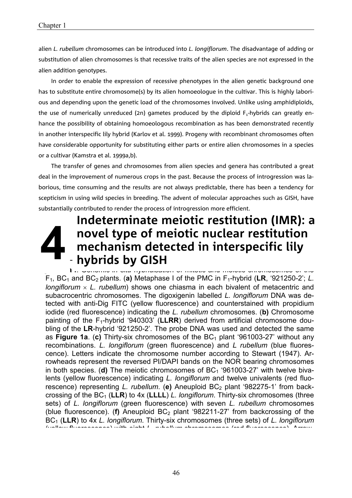alien *L. rubellum* chromosomes can be introduced into *L. longiflorum*. The disadvantage of adding or substitution of alien chromosomes is that recessive traits of the alien species are not expressed in the alien addition genotypes.

In order to enable the expression of recessive phenotypes in the alien genetic background one has to substitute entire chromosome(s) by its alien homoeologue in the cultivar. This is highly laborious and depending upon the genetic load of the chromosomes involved. Unlike using amphidiploids, the use of numerically unreduced (2n) gametes produced by the diploid  $F_1$ -hybrids can greatly enhance the possibility of obtaining homoeologous recombination as has been demonstrated recently in another interspecific lily hybrid (Karlov et al. 1999). Progeny with recombinant chromosomes often have considerable opportunity for substituting either parts or entire alien chromosomes in a species or a cultivar (Kamstra et al. 1999a,b).

The transfer of genes and chromosomes from alien species and genera has contributed a great deal in the improvement of numerous crops in the past. Because the process of introgression was laborious, time consuming and the results are not always predictable, there has been a tendency for scepticism in using wild species in breeding. The advent of molecular approaches such as GISH, have substantially contributed to render the process of introgression more efficient.

# **Indeterminate meiotic restitution (IMR): a novel type of meiotic nuclear restitution mechanism detected in interspecific lily hybrids by GISH**

**Figure 1 a-f**. Genomic *in situ* hybridisation of mitotic and meiotic chromosomes of the F1, BC1 and BC2 plants. (**a)** Metaphase I of the PMC in F1-hybrid (**LR**, '921250-2'; *L. longiflorum L. rubellum*) shows one chiasma in each bivalent of metacentric and subacrocentric chromosomes. The digoxigenin labelled *L. longiflorum* DNA was detected with anti-Dig FITC (yellow fluorescence) and counterstained with propidium iodide (red fluorescence) indicating the *L. rubellum* chromosomes. (**b)** Chromosome painting of the F<sub>1</sub>-hybrid '940303' (LLRR) derived from artificial chromosome doubling of the **LR**-hybrid '921250-2'. The probe DNA was used and detected the same as **Figure 1a**. (c) Thirty-six chromosomes of the BC<sub>1</sub> plant '961003-27' without any recombinations. *L. longiflorum* (green fluorescence) and *L rubellum* (blue fluorescence). Letters indicate the chromosome number according to Stewart (1947). Arrowheads represent the reversed PI/DAPI bands on the NOR bearing chromosomes in both species. (**d**) The meiotic chromosomes of BC<sub>1</sub> '961003-27' with twelve bivalents (yellow fluorescence) indicating *L. longiflorum* and twelve univalents (red fluorescence) representing *L. rubellum*. (e) Aneuploid BC<sub>2</sub> plant '982275-1' from backcrossing of the BC1 (**LLR**) to 4x (**LLLL**) *L. longiflorum*. Thirty-six chromosomes (three sets) of *L. longiflorum* (green fluorescence) with seven *L. rubellum* chromosomes (blue fluorescence). (**f**) Aneuploid  $BC_2$  plant '982211-27' from backcrossing of the BC1 (**LLR**) to 4x *L. longiflorum*. Thirty-six chromosomes (three sets) of *L. longiflorum* (yellow fluorescence) with eight *L rubellum* chromosomes (red fluorescence) Arrow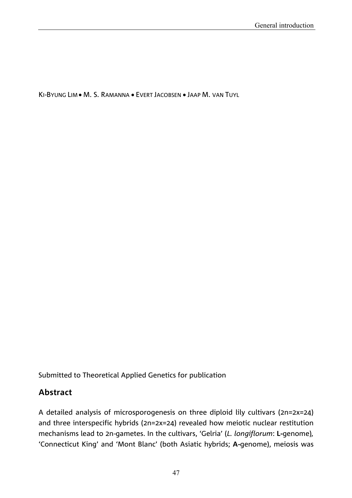KI-BYUNG LIM • M. S. RAMANNA • EVERT JACOBSEN • JAAP M. VAN TUYL

Submitted to Theoretical Applied Genetics for publication

# **Abstract**

A detailed analysis of microsporogenesis on three diploid lily cultivars (2n=2x=24) and three interspecific hybrids (2n=2x=24) revealed how meiotic nuclear restitution mechanisms lead to 2n-gametes. In the cultivars, 'Gelria' (*L. longiflorum*: **L-**genome)*,* 'Connecticut King' and 'Mont Blanc' (both Asiatic hybrids; **A-**genome), meiosis was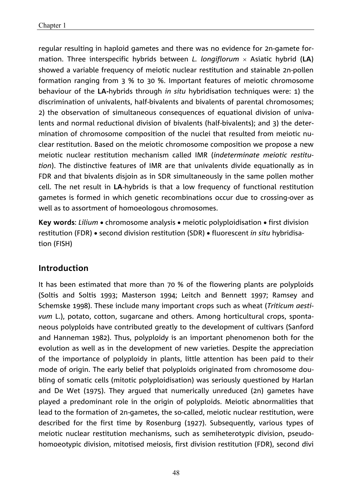regular resulting in haploid gametes and there was no evidence for 2n-gamete formation. Three interspecific hybrids between *L. longiflorum* Asiatic hybrid (**LA**) showed a variable frequency of meiotic nuclear restitution and stainable 2n-pollen formation ranging from 3 % to 30 %. Important features of meiotic chromosome behaviour of the **LA-**hybrids through *in situ* hybridisation techniques were: 1) the discrimination of univalents, half-bivalents and bivalents of parental chromosomes; 2) the observation of simultaneous consequences of equational division of univalents and normal reductional division of bivalents (half-bivalents); and 3) the determination of chromosome composition of the nuclei that resulted from meiotic nuclear restitution. Based on the meiotic chromosome composition we propose a new meiotic nuclear restitution mechanism called IMR (*indeterminate meiotic restitution*). The distinctive features of IMR are that univalents divide equationally as in FDR and that bivalents disjoin as in SDR simultaneously in the same pollen mother cell. The net result in **LA**-hybrids is that a low frequency of functional restitution gametes is formed in which genetic recombinations occur due to crossing-over as well as to assortment of homoeologous chromosomes.

**Key words:** Lilium • chromosome analysis • meiotic polyploidisation • first division restitution (FDR) • second division restitution (SDR) • fluorescent *in situ* hybridisation (FISH)

# **Introduction**

It has been estimated that more than 70 % of the flowering plants are polyploids (Soltis and Soltis 1993; Masterson 1994; Leitch and Bennett 1997; Ramsey and Schemske 1998). These include many important crops such as wheat (*Triticum aestivum* L.), potato, cotton, sugarcane and others. Among horticultural crops, spontaneous polyploids have contributed greatly to the development of cultivars (Sanford and Hanneman 1982). Thus, polyploidy is an important phenomenon both for the evolution as well as in the development of new varieties. Despite the appreciation of the importance of polyploidy in plants, little attention has been paid to their mode of origin. The early belief that polyploids originated from chromosome doubling of somatic cells (mitotic polyploidisation) was seriously questioned by Harlan and De Wet (1975). They argued that numerically unreduced (2n) gametes have played a predominant role in the origin of polyploids. Meiotic abnormalities that lead to the formation of 2n-gametes, the so-called, meiotic nuclear restitution, were described for the first time by Rosenburg (1927). Subsequently, various types of meiotic nuclear restitution mechanisms, such as semiheterotypic division, pseudohomoeotypic division, mitotised meiosis, first division restitution (FDR), second divi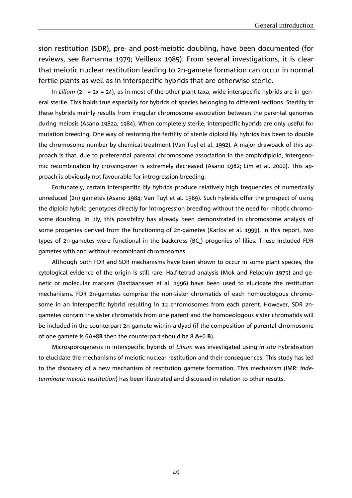sion restitution (SDR), pre- and post-meiotic doubling, have been documented (for reviews, see Ramanna 1979; Veilleux 1985). From several investigations, it is clear that meiotic nuclear restitution leading to 2n-gamete formation can occur in normal fertile plants as well as in interspecific hybrids that are otherwise sterile.

In *Lilium* (2n = 2x = 24), as in most of the other plant taxa, wide interspecific hybrids are in general sterile. This holds true especially for hybrids of species belonging to different sections. Sterility in these hybrids mainly results from irregular chromosome association between the parental genomes during meiosis (Asano 1982a, 1984). When completely sterile, interspecific hybrids are only useful for mutation breeding. One way of restoring the fertility of sterile diploid lily hybrids has been to double the chromosome number by chemical treatment (Van Tuyl et al. 1992). A major drawback of this approach is that, due to preferential parental chromosome association in the amphidiploid, intergenomic recombination by crossing-over is extremely decreased (Asano 1982; Lim et al. 2000). This approach is obviously not favourable for introgression breeding.

Fortunately, certain interspecific lily hybrids produce relatively high frequencies of numerically unreduced (2n) gametes (Asano 1984; Van Tuyl et al. 1989). Such hybrids offer the prospect of using the diploid hybrid genotypes directly for introgression breeding without the need for mitotic chromosome doubling. In lily, this possibility has already been demonstrated in chromosome analysis of some progenies derived from the functioning of 2n-gametes (Karlov et al. 1999). In this report, two types of 2n-gametes were functional in the backcross  $(BC<sub>1</sub>)$  progenies of lilies. These included FDR gametes with and without recombinant chromosomes.

Although both FDR and SDR mechanisms have been shown to occur in some plant species, the cytological evidence of the origin is still rare. Half-tetrad analysis (Mok and Peloquin 1975) and genetic or molecular markers (Bastiaanssen et al. 1996) have been used to elucidate the restitution mechanisms. FDR 2n-gametes comprise the non-sister chromatids of each homoeologous chromosome in an interspecific hybrid resulting in 12 chromosomes from each parent. However, SDR 2ngametes contain the sister chromatids from one parent and the homoeologous sister chromatids will be included in the counterpart 2n-gamete within a dyad (if the composition of parental chromosome of one gamete is 6**A**+8**B** then the counterpart should be 8 **A**+6 **B**).

Microsporogenesis in interspecific hybrids of *Lilium* was investigated using *in situ* hybridisation to elucidate the mechanisms of meiotic nuclear restitution and their consequences. This study has led to the discovery of a new mechanism of restitution gamete formation. This mechanism (IMR: *indeterminate meiotic restitution*) has been illustrated and discussed in relation to other results.

49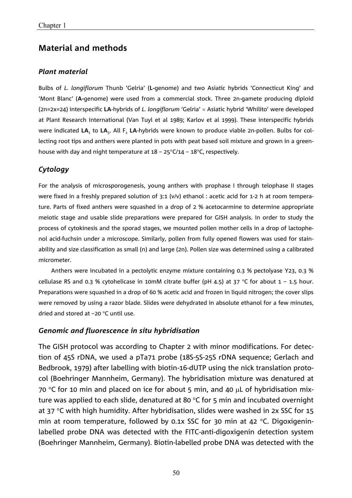# **Material and methods**

#### *Plant material*

Bulbs of *L. longiflorum* Thunb 'Gelria' (**L-**genome) and two Asiatic hybrids 'Connecticut King' and 'Mont Blanc' (**A-**genome) were used from a commercial stock. Three 2n-gamete producing diploid (2n=2x=24) interspecific **LA**-hybrids of *L. longiflorum* 'Gelria' × Asiatic hybrid 'Whilito' were developed at Plant Research International (Van Tuyl et al 1989; Karlov et al 1999). These interspecific hybrids were indicated LA<sub>1</sub> to LA<sub>3</sub>. All F<sub>1</sub> LA-hybrids were known to produce viable 2n-pollen. Bulbs for collecting root tips and anthers were planted in pots with peat based soil mixture and grown in a greenhouse with day and night temperature at  $18 - 25^{\circ}C/14 - 18^{\circ}C$ , respectively.

## *Cytology*

For the analysis of microsporogenesis, young anthers with prophase I through telophase II stages were fixed in a freshly prepared solution of 3:1 (v/v) ethanol : acetic acid for 1-2 h at room temperature. Parts of fixed anthers were squashed in a drop of 2 % acetocarmine to determine appropriate meiotic stage and usable slide preparations were prepared for GISH analysis. In order to study the process of cytokinesis and the sporad stages, we mounted pollen mother cells in a drop of lactophenol acid-fuchsin under a microscope. Similarly, pollen from fully opened flowers was used for stainability and size classification as small (n) and large (2n). Pollen size was determined using a calibrated micrometer.

Anthers were incubated in a pectolytic enzyme mixture containing 0.3 % pectolyase Y23, 0.3 % cellulase RS and 0.3 % cytohelicase in 10mM citrate buffer (pH 4.5) at 37 °C for about 1 – 1.5 hour. Preparations were squashed in a drop of 60 % acetic acid and frozen in liquid nitrogen; the cover slips were removed by using a razor blade. Slides were dehydrated in absolute ethanol for a few minutes, dried and stored at  $-20$  °C until use.

## *Genomic and fluorescence in situ hybridisation*

The GISH protocol was according to Chapter 2 with minor modifications. For detection of 45S rDNA, we used a pTa71 probe (18S-5S-25S rDNA sequence; Gerlach and Bedbrook, 1979) after labelling with biotin-16-dUTP using the nick translation protocol (Boehringer Mannheim, Germany). The hybridisation mixture was denatured at 70 °C for 10 min and placed on ice for about 5 min, and 40  $\mu$ L of hybridisation mixture was applied to each slide, denatured at 80  $\degree$ C for 5 min and incubated overnight at  $37$  °C with high humidity. After hybridisation, slides were washed in 2x SSC for 15 min at room temperature, followed by 0.1x SSC for 30 min at 42  $\degree$ C. Digoxigeninlabelled probe DNA was detected with the FITC-anti-digoxigenin detection system (Boehringer Mannheim, Germany). Biotin-labelled probe DNA was detected with the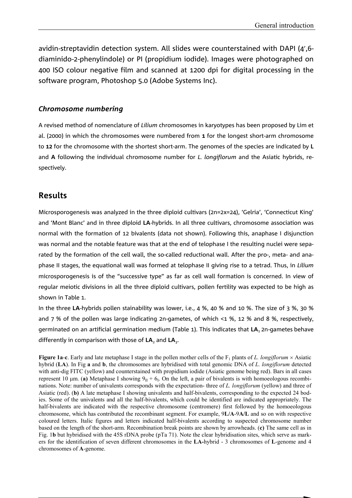avidin-streptavidin detection system. All slides were counterstained with DAPI (4',6diaminido-2-phenylindole) or PI (propidium iodide). Images were photographed on 400 ISO colour negative film and scanned at 1200 dpi for digital processing in the software program, Photoshop 5.0 (Adobe Systems Inc).

#### *Chromosome numbering*

A revised method of nomenclature of *Lilium* chromosomes in karyotypes has been proposed by Lim et al. (2000) in which the chromosomes were numbered from **1** for the longest short-arm chromosome to **12** for the chromosome with the shortest short-arm. The genomes of the species are indicated by **L** and **A** following the individual chromosome number for *L. longiflorum* and the Asiatic hybrids, respectively.

# **Results**

Microsporogenesis was analyzed in the three diploid cultivars (2n=2x=24), 'Gelria', 'Connecticut King' and 'Mont Blanc' and in three diploid **LA**-hybrids. In all three cultivars, chromosome association was normal with the formation of 12 bivalents (data not shown). Following this, anaphase I disjunction was normal and the notable feature was that at the end of telophase I the resulting nuclei were separated by the formation of the cell wall, the so-called reductional wall. After the pro-, meta- and anaphase II stages, the equational wall was formed at telophase II giving rise to a tetrad. Thus, in *Lilium* microsporogenesis is of the "successive type" as far as cell wall formation is concerned. In view of regular meiotic divisions in all the three diploid cultivars, pollen fertility was expected to be high as shown in Table 1.

In the three **LA**-hybrids pollen stainability was lower, i.e., 4 %, 40 % and 10 %. The size of 3 %, 30 % and 7 % of the pollen was large indicating 2n-gametes, of which <1 %, 12 % and 8 %, respectively, germinated on an artificial germination medium (Table 1). This indicates that **LA**1 2n-gametes behave differently in comparison with those of LA<sub>2</sub> and LA<sub>2</sub>.

The table 11. Percentage and solution in six different collection in six different collection in the six dif-<br>represent 10  $\mu$ m. (**a**) Metaphase I showing  $9_H + 6_I$ . On the left, a pair of bivalents is with homoeologous r nations. Note: number of univalents corresponds with the expectation- three of *L. longiflorum* (yellow) and three of Asiatic (red). (**b)** A late metaphase I showing univalents and half-bivalents, corresponding to the expected 24 bod-General General States in the univalents and all the half-bivalents, which could be identified are indicated appropriately. The half-bivalents, which could be identified are indicated appropriately. The half-bivalents are nail-bivalents are indicated with the respective chromosome (centromere) first followed by the homoeologous chromosome, which has contributed the recombinant segment. For example, 9L/A-9A/L and so on with respective half-bivalents are indicated with the respective chromosome (centromere) first followed by the homoeologous half-bivalents are indicated with the respective chromosome (centromere) first followed by the homoeologous coloured letters. Italic figures and letters indicated half-bivalents according to suspected chromosome number based on the length of the short-arm. Recombination break points are shown by arrowheads. (c) The same cell as in Fig. 1b but hybridised with the 45S rDNA probe (pTa 71). Note the clear hybridisation sites, which serve as markers for the identification of seven different chromosomes in the **LA-hybrid - 3 chromosomes of <b>L**-genome and 4 chromosomes of **A** genome  $85.12<sub>5</sub>$ **Figure 1a-c**. Early and late metaphase I stage in the pollen mother cells of the  $F_1$  plants of *L. longiflorum*  $\times$  Asiatic hybrid (**LA**). In Fig **a** and **b**, the chromosomes are hybridised with total genomic DNA of *L. longiflorum* detected with anti-dig FITC (yellow) and counterstained with propidium iodide (Asiatic genome being red). Bars in all cases chromosomes of **A**-genome.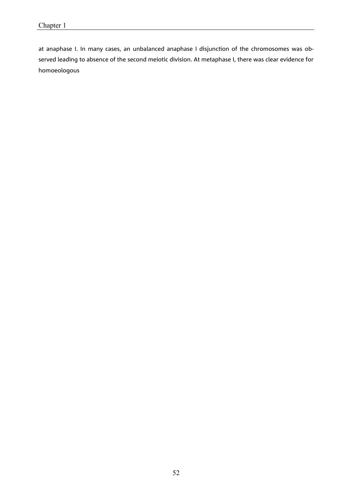at anaphase I. In many cases, an unbalanced anaphase I disjunction of the chromosomes was observed leading to absence of the second meiotic division. At metaphase I, there was clear evidence for homoeologous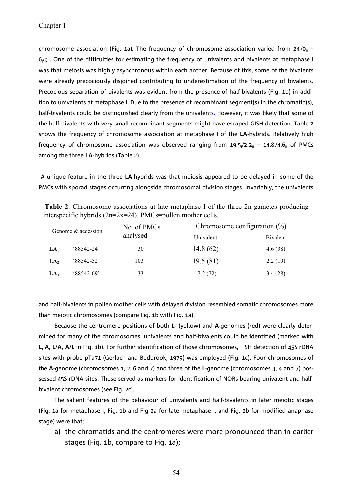chromosome association (Fig. 1a). The frequency of chromosome association varied from 24 $/$ 0<sub>11</sub> –  $6/9<sub>II</sub>$ . One of the difficulties for estimating the frequency of univalents and bivalents at metaphase I was that meiosis was highly asynchronous within each anther. Because of this, some of the bivalents were already precociously disjoined contributing to underestimation of the frequency of bivalents. Precocious separation of bivalents was evident from the presence of half-bivalents (Fig. 1b) in addition to univalents at metaphase I. Due to the presence of recombinant segment(s) in the chromatid(s), half-bivalents could be distinguished clearly from the univalents. However, it was likely that some of the half-bivalents with very small recombinant segments might have escaped GISH detection. Table 2 shows the frequency of chromosome association at metaphase I of the **LA**-hybrids. Relatively high frequency of chromosome association was observed ranging from 19.5 $/$ 2.2 $_{\textrm{\tiny{H}}}$  – 14.8 $/$ 4.6 $_{\textrm{\tiny{H}}}$  of PMCs among the three **LA**-hybrids (Table 2).

 A unique feature in the three **LA**-hybrids was that meiosis appeared to be delayed in some of the PMCs with sporad stages occurring alongside chromosomal division stages. Invariably, the univalents

| Genome & accession |               | No. of PMCs | Chromosome configuration $(\%)$ |          |  |  |  |
|--------------------|---------------|-------------|---------------------------------|----------|--|--|--|
|                    |               | analysed    | Univalent                       | Bivalent |  |  |  |
| LA <sub>1</sub>    | $88542 - 24'$ | 30          | 14.8(62)                        | 4.6(38)  |  |  |  |
| LA <sub>2</sub>    | $88542 - 52$  | 103         | 19.5(81)                        | 2.2(19)  |  |  |  |
| LA <sub>3</sub>    | $88542 - 69'$ | 33          | 17.2(72)                        | 3.4(28)  |  |  |  |

**Table 2**. Chromosome associations at late metaphase I of the three 2n-gametes producing interspecific hybrids (2n=2x=24). PMCs=pollen mother cells.

and half-bivalents in pollen mother cells with delayed division resembled somatic chromosomes more than meiotic chromosomes (compare Fig. 1b with Fig. 1a).

Because the centromere positions of both **L-** (yellow) and **A-**genomes (red) were clearly determined for many of the chromosomes, univalents and half-bivalents could be identified (marked with **L**, **A**, **L/A**, **A/L** in Fig. 1b). For further identification of those chromosomes, FISH detection of 45S rDNA sites with probe pTa71 (Gerlach and Bedbrook, 1979) was employed (Fig. 1c). Four chromosomes of the **A**-genome (chromosomes 1, 2, 6 and 7) and three of the **L**-genome (chromosomes 3, 4 and 7) possessed 45S rDNA sites. These served as markers for identification of NORs bearing univalent and halfbivalent chromosomes (see Fig. 2c).

The salient features of the behaviour of univalents and half-bivalents in later meiotic stages (Fig. 1a for metaphase I, Fig. 1b and Fig 2a for late metaphase I, and Fig. 2b for modified anaphase stage) were that;

a) the chromatids and the centromeres were more pronounced than in earlier stages (Fig. 1b, compare to Fig. 1a);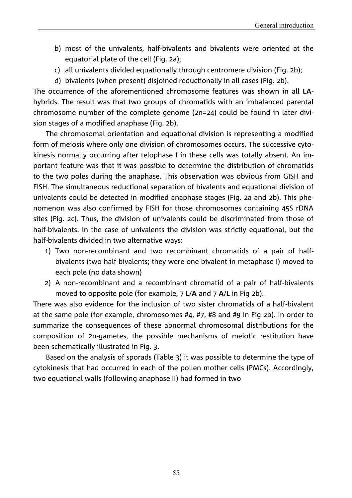- b) most of the univalents, half-bivalents and bivalents were oriented at the equatorial plate of the cell (Fig. 2a);
- c) all univalents divided equationally through centromere division (Fig. 2b);
- d) bivalents (when present) disjoined reductionally in all cases (Fig. 2b).

The occurrence of the aforementioned chromosome features was shown in all **LA**hybrids. The result was that two groups of chromatids with an imbalanced parental chromosome number of the complete genome (2n=24) could be found in later division stages of a modified anaphase (Fig. 2b).

The chromosomal orientation and equational division is representing a modified form of meiosis where only one division of chromosomes occurs. The successive cytokinesis normally occurring after telophase I in these cells was totally absent. An important feature was that it was possible to determine the distribution of chromatids to the two poles during the anaphase. This observation was obvious from GISH and FISH. The simultaneous reductional separation of bivalents and equational division of univalents could be detected in modified anaphase stages (Fig. 2a and 2b). This phenomenon was also confirmed by FISH for those chromosomes containing 45S rDNA sites (Fig. 2c). Thus, the division of univalents could be discriminated from those of half-bivalents. In the case of univalents the division was strictly equational, but the half-bivalents divided in two alternative ways:

- 1) Two non-recombinant and two recombinant chromatids of a pair of halfbivalents (two half-bivalents; they were one bivalent in metaphase I) moved to each pole (no data shown)
- 2) A non-recombinant and a recombinant chromatid of a pair of half-bivalents moved to opposite pole (for example, 7 **L**/**A** and 7 **A**/**L** in Fig 2b).

There was also evidence for the inclusion of two sister chromatids of a half-bivalent at the same pole (for example, chromosomes #4, #7, #8 and #9 in Fig 2b). In order to summarize the consequences of these abnormal chromosomal distributions for the composition of 2n-gametes, the possible mechanisms of meiotic restitution have been schematically illustrated in Fig. 3.

Based on the analysis of sporads (Table 3) it was possible to determine the type of cytokinesis that had occurred in each of the pollen mother cells (PMCs). Accordingly, two equational walls (following anaphase II) had formed in two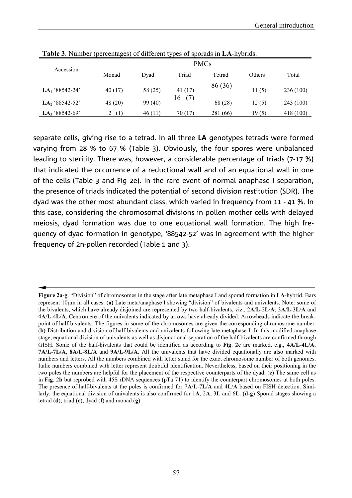|                            | <b>PMCs</b> |         |           |          |        |           |  |  |
|----------------------------|-------------|---------|-----------|----------|--------|-----------|--|--|
| Accession                  | Monad       | Dvad    | Triad     | Tetrad   | Others | Total     |  |  |
| LA <sub>1</sub> '88542-24' | 40 (17)     | 58 (25) | 41 $(17)$ | 86 (36)  | 11(5)  | 236 (100) |  |  |
| LA <sub>2</sub> '88542-52' | 48 (20)     | 99 (40) | (7)<br>16 | 68 (28)  | 12(5)  | 243 (100) |  |  |
| LA <sub>3</sub> '88542-69' | (1)<br>∠    | 46(11)  | 70(17)    | 281 (66) | 19(5)  | 418 (100) |  |  |

**Table 3**. Number (percentages) of different types of sporads in **LA**-hybrids.

separate cells, giving rise to a tetrad. In all three **LA** genotypes tetrads were formed varying from 28 % to 67 % (Table 3). Obviously, the four spores were unbalanced leading to sterility. There was, however, a considerable percentage of triads (7-17 %) that indicated the occurrence of a reductional wall and of an equational wall in one of the cells (Table 3 and Fig 2e). In the rare event of normal anaphase I separation, the presence of triads indicated the potential of second division restitution (SDR). The dyad was the other most abundant class, which varied in frequency from 11 - 41 %. In this case, considering the chromosomal divisions in pollen mother cells with delayed meiosis, dyad formation was due to one equational wall formation. The high frequency of dyad formation in genotype, '88542-52' was in agreement with the higher frequency of 2n-pollen recorded (Table 1 and 3).

**Figure 2a-g**. "Division" of chromosomes in the stage after late metaphase I and sporad formation in **LA**-hybrid. Bars represent 10m in all cases. (**a)** Late meta/anaphase I showing "division" of bivalents and univalents. Note: some of the bivalents, which have already disjoined are represented by two half-bivalents, viz., 2**A**/**L**-2**L**/**A**; 3**A**/**L**-3**L**/**A** and 4**A**/**L**-4**L**/**A**. Centromere of the univalents indicated by arrows have already divided. Arrowheads indicate the breakpoint of half-bivalents. The figures in some of the chromosomes are given the corresponding chromosome number. (**b)** Distribution and division of half-bivalents and univalents following late metaphase I. In this modified anaphase stage, equational division of univalents as well as disjunctional separation of the half-bivalents are confirmed through GISH. Some of the half-bivalents that could be identified as according to **Fig**. **2c** are marked, e.g., **4A/L**-**4L/A**, **7A/L**-**7L/A**, **8A/L**-**8L/A** and **9A/L**-**9L/A**. All the univalents that have divided equationally are also marked with numbers and letters. All the numbers combined with letter stand for the exact chromosome number of both genomes. Italic numbers combined with letter represent doubtful identification. Nevertheless, based on their positioning in the two poles the numbers are helpful for the placement of the respective counterparts of the dyad. (**c)** The same cell as in **Fig**. 2**b** but reprobed with 45S rDNA sequences (pTa 71) to identify the counterpart chromosomes at both poles. The presence of half-bivalents at the poles is confirmed for 7**A**/**L**-7**L**/**A** and 4**L**/**A** based on FISH detection. Similarly, the equational division of univalents is also confirmed for 1**A**, 2**A**, 3**L** and 6**L**. (**d-g)** Sporad stages showing a tetrad (**d**), triad (**e**), dyad (**f**) and monad (**g**).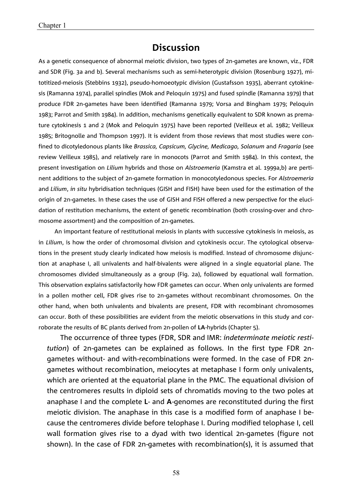# **Discussion**

As a genetic consequence of abnormal meiotic division, two types of 2n-gametes are known, viz., FDR and SDR (Fig. 3a and b). Several mechanisms such as semi-heterotypic division (Rosenburg 1927), mitotitized-meiosis (Stebbins 1932), pseudo-homoeotypic division (Gustafsson 1935), aberrant cytokinesis (Ramanna 1974), parallel spindles (Mok and Peloquin 1975) and fused spindle (Ramanna 1979) that produce FDR 2n-gametes have been identified (Ramanna 1979; Vorsa and Bingham 1979; Peloquin 1983; Parrot and Smith 1984). In addition, mechanisms genetically equivalent to SDR known as premature cytokinesis 1 and 2 (Mok and Peloquin 1975) have been reported (Veilleux et al. 1982; Veilleux 1985; Britognolle and Thompson 1997). It is evident from those reviews that most studies were confined to dicotyledonous plants like *Brassica, Capsicum, Glycine, Medicago, Solanum* and *Fragaria* (see review Veilleux 1985), and relatively rare in monocots (Parrot and Smith 1984). In this context, the present investigation on *Lilium* hybrids and those on *Alstroemeria* (Kamstra et al. 1999a,b) are pertinent additions to the subject of 2n-gamete formation in monocotyledonous species. For *Alstroemeria* and *Lilium*, *in situ* hybridisation techniques (GISH and FISH) have been used for the estimation of the origin of 2n-gametes. In these cases the use of GISH and FISH offered a new perspective for the elucidation of restitution mechanisms, the extent of genetic recombination (both crossing-over and chromosome assortment) and the composition of 2n-gametes.

An important feature of restitutional meiosis in plants with successive cytokinesis in meiosis, as in *Lilium*, is how the order of chromosomal division and cytokinesis occur. The cytological observations in the present study clearly indicated how meiosis is modified. Instead of chromosome disjunction at anaphase I, all univalents and half-bivalents were aligned in a single equatorial plane. The chromosomes divided simultaneously as a group (Fig. 2a), followed by equational wall formation. This observation explains satisfactorily how FDR gametes can occur. When only univalents are formed in a pollen mother cell, FDR gives rise to 2n-gametes without recombinant chromosomes. On the other hand, when both univalents and bivalents are present, FDR with recombinant chromosomes can occur. Both of these possibilities are evident from the meiotic observations in this study and corroborate the results of BC plants derived from 2n-pollen of **LA**-hybrids (Chapter 5).

The occurrence of three types (FDR, SDR and IMR: *indeterminate meiotic restitution*) of 2n-gametes can be explained as follows. In the first type FDR 2ngametes without- and with-recombinations were formed. In the case of FDR 2ngametes without recombination, meiocytes at metaphase I form only univalents, which are oriented at the equatorial plane in the PMC. The equational division of the centromeres results in diploid sets of chromatids moving to the two poles at anaphase I and the complete **L**- and **A**-genomes are reconstituted during the first meiotic division. The anaphase in this case is a modified form of anaphase I because the centromeres divide before telophase I. During modified telophase I, cell wall formation gives rise to a dyad with two identical 2n-gametes (figure not shown). In the case of FDR 2n-gametes with recombination(s), it is assumed that

58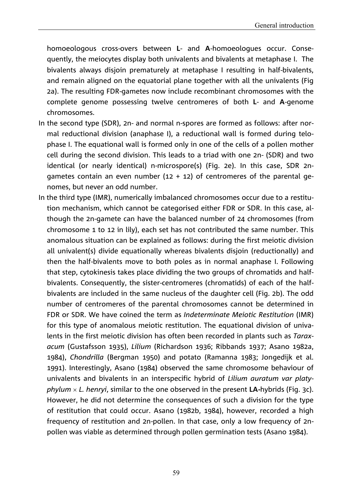homoeologous cross-overs between **L**- and **A**-homoeologues occur. Consequently, the meiocytes display both univalents and bivalents at metaphase I. The bivalents always disjoin prematurely at metaphase I resulting in half-bivalents, and remain aligned on the equatorial plane together with all the univalents (Fig 2a). The resulting FDR-gametes now include recombinant chromosomes with the complete genome possessing twelve centromeres of both **L**- and **A**-genome chromosomes.

- In the second type (SDR), 2n- and normal n-spores are formed as follows: after normal reductional division (anaphase I), a reductional wall is formed during telophase I. The equational wall is formed only in one of the cells of a pollen mother cell during the second division. This leads to a triad with one 2n- (SDR) and two identical (or nearly identical) n-microspore(s) (Fig. 2e). In this case, SDR 2ngametes contain an even number  $(12 + 12)$  of centromeres of the parental genomes, but never an odd number.
- In the third type (IMR), numerically imbalanced chromosomes occur due to a restitution mechanism, which cannot be categorised either FDR or SDR. In this case, although the 2n-gamete can have the balanced number of 24 chromosomes (from chromosome 1 to 12 in lily), each set has not contributed the same number. This anomalous situation can be explained as follows: during the first meiotic division all univalent(s) divide equationally whereas bivalents disjoin (reductionally) and then the half-bivalents move to both poles as in normal anaphase I. Following that step, cytokinesis takes place dividing the two groups of chromatids and halfbivalents. Consequently, the sister-centromeres (chromatids) of each of the halfbivalents are included in the same nucleus of the daughter cell (Fig. 2b). The odd number of centromeres of the parental chromosomes cannot be determined in FDR or SDR. We have coined the term as *Indeterminate Meiotic Restitution* (IMR) for this type of anomalous meiotic restitution. The equational division of univalents in the first meiotic division has often been recorded in plants such as *Taraxacum* (Gustafsson 1935), *Lilium* (Richardson 1936; Ribbands 1937; Asano 1982a, 1984), *Chondrilla* (Bergman 1950) and potato (Ramanna 1983; Jongedijk et al. 1991). Interestingly, Asano (1984) observed the same chromosome behaviour of univalents and bivalents in an interspecific hybrid of *Lilium auratum var platyphylum L. henryi*, similar to the one observed in the present **LA-**hybrids (Fig. 3c). However, he did not determine the consequences of such a division for the type of restitution that could occur. Asano (1982b, 1984), however, recorded a high frequency of restitution and 2n-pollen. In that case, only a low frequency of 2npollen was viable as determined through pollen germination tests (Asano 1984).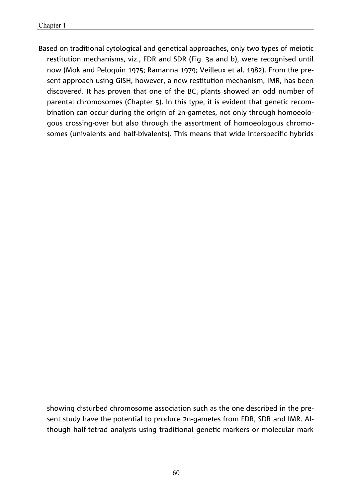Based on traditional cytological and genetical approaches, only two types of meiotic restitution mechanisms, viz., FDR and SDR (Fig. 3a and b), were recognised until now (Mok and Peloquin 1975; Ramanna 1979; Veilleux et al. 1982). From the present approach using GISH, however, a new restitution mechanism, IMR, has been discovered. It has proven that one of the  $BC<sub>1</sub>$  plants showed an odd number of parental chromosomes (Chapter 5). In this type, it is evident that genetic recombination can occur during the origin of 2n-gametes, not only through homoeologous crossing-over but also through the assortment of homoeologous chromosomes (univalents and half-bivalents). This means that wide interspecific hybrids

showing disturbed chromosome association such as the one described in the present study have the potential to produce 2n-gametes from FDR, SDR and IMR. Although half-tetrad analysis using traditional genetic markers or molecular mark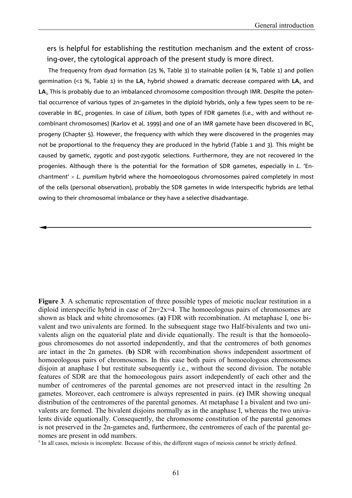ers is helpful for establishing the restitution mechanism and the extent of crossing-over, the cytological approach of the present study is more direct.

The frequency from dyad formation (25 %, Table 3) to stainable pollen (4 %, Table 1) and pollen germination (<1 %, Table 1) in the LA<sub>1</sub> hybrid showed a dramatic decrease compared with LA<sub>2</sub> and LA<sub>3</sub>. This is probably due to an imbalanced chromosome composition through IMR. Despite the potential occurrence of various types of 2n-gametes in the diploid hybrids, only a few types seem to be recoverable in BC<sub>1</sub> progenies. In case of *Lilium*, both types of FDR gametes (i.e., with and without recombinant chromosomes) (Karlov et al. 1999) and one of an IMR gamete have been discovered in BC<sub>1</sub> progeny (Chapter 5). However, the frequency with which they were discovered in the progenies may not be proportional to the frequency they are produced in the hybrid (Table 1 and 3). This might be caused by gametic, zygotic and post-zygotic selections. Furthermore, they are not recovered in the progenies. Although there is the potential for the formation of SDR gametes, especially in *L*. 'Enchantment' × L. pumilum hybrid where the homoeologous chromosomes paired completely in most of the cells (personal observation), probably the SDR gametes in wide interspecific hybrids are lethal owing to their chromosomal imbalance or they have a selective disadvantage.

**Figure 3**. A schematic representation of three possible types of meiotic nuclear restitution in a diploid interspecific hybrid in case of  $2n=2x=4$ . The homoeologous pairs of chromosomes are shown as black and white chromosomes. (**a)** FDR with recombination. At metaphase I, one bivalent and two univalents are formed. In the subsequent stage two Half-bivalents and two univalents align on the equatorial plate and divide equationally. The result is that the homoeologous chromosomes do not assorted independently, and that the centromeres of both genomes are intact in the 2n gametes. (**b)** SDR with recombination shows independent assortment of homoeologous pairs of chromosomes. In this case both pairs of homoeologous chromosomes disjoin at anaphase I but restitute subsequently i.e., without the second division. The notable features of SDR are that the homoeologous pairs assort independently of each other and the number of centromeres of the parental genomes are not preserved intact in the resulting 2n gametes. Moreover, each centromere is always represented in pairs. (**c)** IMR showing unequal distribution of the centromeres of the parental genomes. At metaphase I a bivalent and two univalents are formed. The bivalent disjoins normally as in the anaphase I, whereas the two univalents divide equationally. Consequently, the chromosome constitution of the parental genomes is not preserved in the 2n-gametes and, furthermore, the centromeres of each of the parental genomes are present in odd numbers.

 $z$  In all cases, meiosis is incomplete. Because of this, the different stages of meiosis cannot be strictly defined.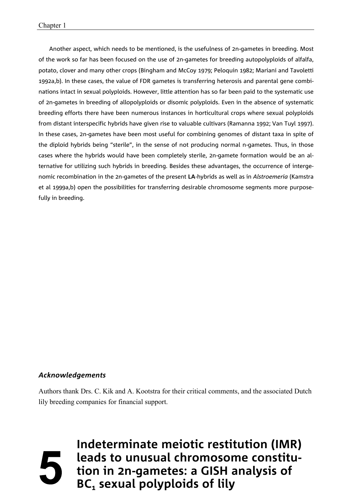Another aspect, which needs to be mentioned, is the usefulness of 2n-gametes in breeding. Most of the work so far has been focused on the use of 2n-gametes for breeding autopolyploids of alfalfa, potato, clover and many other crops (Bingham and McCoy 1979; Peloquin 1982; Mariani and Tavoletti 1992a,b). In these cases, the value of FDR gametes is transferring heterosis and parental gene combinations intact in sexual polyploids. However, little attention has so far been paid to the systematic use of 2n-gametes in breeding of allopolyploids or disomic polyploids. Even in the absence of systematic breeding efforts there have been numerous instances in horticultural crops where sexual polyploids from distant interspecific hybrids have given rise to valuable cultivars (Ramanna 1992; Van Tuyl 1997). In these cases, 2n-gametes have been most useful for combining genomes of distant taxa in spite of the diploid hybrids being "sterile", in the sense of not producing normal n-gametes. Thus, in those cases where the hybrids would have been completely sterile, 2n-gamete formation would be an alternative for utilizing such hybrids in breeding. Besides these advantages, the occurrence of intergenomic recombination in the 2n-gametes of the present **LA**-hybrids as well as in *Alstroemeria* (Kamstra et al 1999a,b) open the possibilities for transferring desirable chromosome segments more purposefully in breeding.

#### *Acknowledgements*

Authors thank Drs. C. Kik and A. Kootstra for their critical comments, and the associated Dutch lily breeding companies for financial support.

62 **tion in 2n-gametes: a GISH analysis of Indeterminate meiotic restitution (IMR) leads to unusual chromosome constitu-BC<sub>1</sub>** sexual polyploids of lily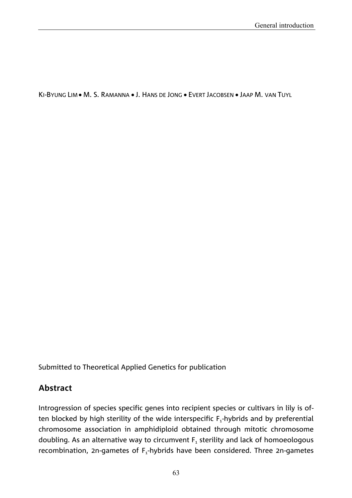KI-BYUNG LIM • M. S. RAMANNA • J. HANS DE JONG • EVERT JACOBSEN • JAAP M. VAN TUYL

Submitted to Theoretical Applied Genetics for publication

# **Abstract**

Introgression of species specific genes into recipient species or cultivars in lily is often blocked by high sterility of the wide interspecific  $F_1$ -hybrids and by preferential chromosome association in amphidiploid obtained through mitotic chromosome doubling. As an alternative way to circumvent  $F_1$  sterility and lack of homoeologous recombination, 2n-gametes of  $F_1$ -hybrids have been considered. Three 2n-gametes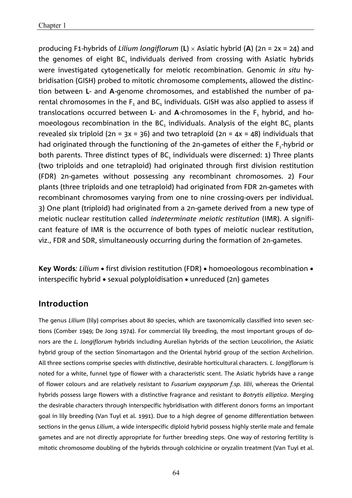producing F1-hybrids of *Lilium longiflorum* (**L**) Asiatic hybrid (**A**) (2n = 2x = 24) and the genomes of eight  $BC_1$  individuals derived from crossing with Asiatic hybrids were investigated cytogenetically for meiotic recombination. Genomic *in situ* hybridisation (GISH) probed to mitotic chromosome complements, allowed the distinction between **L**- and **A**-genome chromosomes, and established the number of parental chromosomes in the  $F_1$  and BC<sub>1</sub> individuals. GISH was also applied to assess if translocations occurred between  $L$ - and  $A$ -chromosomes in the  $F<sub>1</sub>$  hybrid, and homoeologous recombination in the  $BC_1$  individuals. Analysis of the eight  $BC_1$  plants revealed six triploid (2n =  $3x = 36$ ) and two tetraploid (2n =  $4x = 48$ ) individuals that had originated through the functioning of the 2n-gametes of either the  $F_1$ -hybrid or both parents. Three distinct types of  $BC<sub>1</sub>$  individuals were discerned: 1) Three plants (two triploids and one tetraploid) had originated through first division restitution (FDR) 2n-gametes without possessing any recombinant chromosomes. 2) Four plants (three triploids and one tetraploid) had originated from FDR 2n-gametes with recombinant chromosomes varying from one to nine crossing-overs per individual. 3) One plant (triploid) had originated from a 2n-gamete derived from a new type of meiotic nuclear restitution called *indeterminate meiotic restitution* (IMR). A significant feature of IMR is the occurrence of both types of meiotic nuclear restitution, viz., FDR and SDR, simultaneously occurring during the formation of 2n-gametes.

**Key Words**: Lilium • first division restitution (FDR) • homoeologous recombination • interspecific hybrid  $\bullet$  sexual polyploidisation  $\bullet$  unreduced (2n) gametes

## **Introduction**

The genus *Lilium* (lily) comprises about 80 species, which are taxonomically classified into seven sections (Comber 1949; De Jong 1974). For commercial lily breeding, the most important groups of donors are the *L. longiflorum* hybrids including Aurelian hybrids of the section Leucolirion, the Asiatic hybrid group of the section Sinomartagon and the Oriental hybrid group of the section Archelirion. All three sections comprise species with distinctive, desirable horticultural characters. *L. longiflorum* is noted for a white, funnel type of flower with a characteristic scent. The Asiatic hybrids have a range of flower colours and are relatively resistant to *Fusarium oxysporum f.sp. lilii*, whereas the Oriental hybrids possess large flowers with a distinctive fragrance and resistant to *Botrytis elliptica*. Merging the desirable characters through interspecific hybridisation with different donors forms an important goal in lily breeding (Van Tuyl et al. 1991). Due to a high degree of genome differentiation between sections in the genus *Lilium*, a wide interspecific diploid hybrid possess highly sterile male and female gametes and are not directly appropriate for further breeding steps. One way of restoring fertility is mitotic chromosome doubling of the hybrids through colchicine or oryzalin treatment (Van Tuyl et al.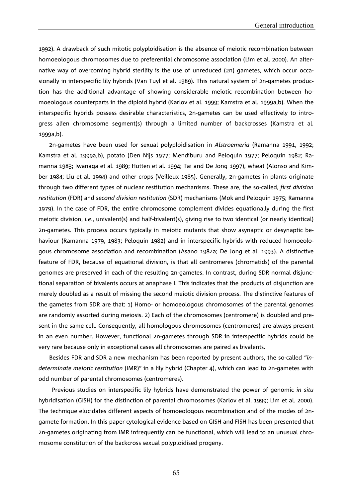1992). A drawback of such mitotic polyploidisation is the absence of meiotic recombination between homoeologous chromosomes due to preferential chromosome association (Lim et al. 2000). An alternative way of overcoming hybrid sterility is the use of unreduced (2n) gametes, which occur occasionally in interspecific lily hybrids (Van Tuyl et al. 1989). This natural system of 2n-gametes production has the additional advantage of showing considerable meiotic recombination between homoeologous counterparts in the diploid hybrid (Karlov et al. 1999; Kamstra et al. 1999a,b). When the interspecific hybrids possess desirable characteristics, 2n-gametes can be used effectively to introgress alien chromosome segment(s) through a limited number of backcrosses (Kamstra et al. 1999a,b).

2n-gametes have been used for sexual polyploidisation in *Alstroemeria* (Ramanna 1991, 1992; Kamstra et al. 1999a,b), potato (Den Nijs 1977; Mendiburu and Peloquin 1977; Peloquin 1982; Ramanna 1983; Iwanaga et al. 1989; Hutten et al. 1994; Tai and De Jong 1997), wheat (Alonso and Kimber 1984; Liu et al. 1994) and other crops (Veilleux 1985). Generally, 2n-gametes in plants originate through two different types of nuclear restitution mechanisms. These are, the so-called, *first division restitution* (FDR) and *second division restitution* (SDR) mechanisms (Mok and Peloquin 1975; Ramanna 1979). In the case of FDR, the entire chromosome complement divides equationally during the first meiotic division, *i.e*., univalent(s) and half-bivalent(s), giving rise to two identical (or nearly identical) 2n-gametes. This process occurs typically in meiotic mutants that show asynaptic or desynaptic behaviour (Ramanna 1979, 1983; Peloquin 1982) and in interspecific hybrids with reduced homoeologous chromosome association and recombination (Asano 1982a; De Jong et al. 1993). A distinctive feature of FDR, because of equational division, is that all centromeres (chromatids) of the parental genomes are preserved in each of the resulting 2n-gametes. In contrast, during SDR normal disjunctional separation of bivalents occurs at anaphase I. This indicates that the products of disjunction are merely doubled as a result of missing the second meiotic division process. The distinctive features of the gametes from SDR are that: 1) Homo- or homoeologous chromosomes of the parental genomes are randomly assorted during meiosis. 2) Each of the chromosomes (centromere) is doubled and present in the same cell. Consequently, all homologous chromosomes (centromeres) are always present in an even number. However, functional 2n-gametes through SDR in interspecific hybrids could be very rare because only in exceptional cases all chromosomes are paired as bivalents.

Besides FDR and SDR a new mechanism has been reported by present authors, the so-called "*indeterminate meiotic restitution* (IMR)" in a lily hybrid (Chapter 4), which can lead to 2n-gametes with odd number of parental chromosomes (centromeres).

Previous studies on interspecific lily hybrids have demonstrated the power of genomic *in situ* hybridisation (GISH) for the distinction of parental chromosomes (Karlov et al. 1999; Lim et al. 2000). The technique elucidates different aspects of homoeologous recombination and of the modes of 2ngamete formation. In this paper cytological evidence based on GISH and FISH has been presented that 2n-gametes originating from IMR infrequently can be functional, which will lead to an unusual chromosome constitution of the backcross sexual polyploidised progeny.

65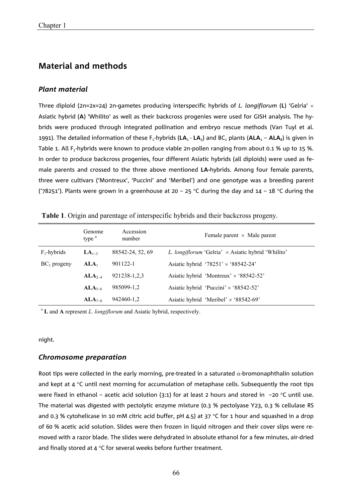## **Material and methods**

#### *Plant material*

Three diploid (2n=2x=24) 2n-gametes producing interspecific hybrids of *L. longiflorum* (**L**) 'Gelria' - Asiatic hybrid (**A**) 'Whilito' as well as their backcross progenies were used for GISH analysis. The hybrids were produced through integrated pollination and embryo rescue methods (Van Tuyl et al. 1991). The detailed information of these  $F_1$ -hybrids ( $LA_1$  -  $LA_3$ ) and BC<sub>1</sub> plants ( $ALA_1 - ALA_8$ ) is given in Table 1. All F<sub>1</sub>-hybrids were known to produce viable 2n-pollen ranging from about 0.1 % up to 15 %. In order to produce backcross progenies, four different Asiatic hybrids (all diploids) were used as female parents and crossed to the three above mentioned **LA-**hybrids. Among four female parents, three were cultivars ('Montreux', 'Puccini' and 'Meribel') and one genotype was a breeding parent ('78251'). Plants were grown in a greenhouse at 20 – 25 °C during the day and 14 – 18 °C during the

|                | Genome<br>type $a$ | Accession<br>number | Female parent $\times$ Male parent                        |
|----------------|--------------------|---------------------|-----------------------------------------------------------|
| $F_1$ -hybrids | $LA_{1\sim}$       | 88542-24, 52, 69    | L. longiflorum 'Gelria' $\times$ Asiatic hybrid 'Whilito' |
| $BC_1$ progeny | ALA <sub>1</sub>   | 901122-1            | Asiatic hybrid '78251' $\times$ '88542-24'                |
|                | $ALA_{2-4}$        | 921238-1,2,3        | Asiatic hybrid 'Montreux' $\times$ '88542-52'             |
|                | $ALA_{5-6}$        | 985099-1.2          | Asiatic hybrid 'Puccini' $\times$ '88542-52'              |
|                | $ALA_{7-8}$        | 942460-1,2          | Asiatic hybrid 'Meribel' $\times$ '88542-69'              |

**Table 1**. Origin and parentage of interspecific hybrids and their backcross progeny.

<sup>a</sup> **L** and **A** represent *L. longiflorum* and Asiatic hybrid, respectively.

night.

#### *Chromosome preparation*

Root tips were collected in the early morning, pre-treated in a saturated  $\alpha$ -bromonaphthalin solution and kept at  $4 \text{ }^{\circ}$ C until next morning for accumulation of metaphase cells. Subsequently the root tips were fixed in ethanol – acetic acid solution (3:1) for at least 2 hours and stored in  $-20$  °C until use. The material was digested with pectolytic enzyme mixture (0.3 % pectolyase Y23, 0.3 % cellulase RS and 0.3 % cytohelicase in 10 mM citric acid buffer, pH 4.5) at 37 °C for 1 hour and squashed in a drop of 60 % acetic acid solution. Slides were then frozen in liquid nitrogen and their cover slips were removed with a razor blade. The slides were dehydrated in absolute ethanol for a few minutes, air-dried and finally stored at  $4^{\circ}$ C for several weeks before further treatment.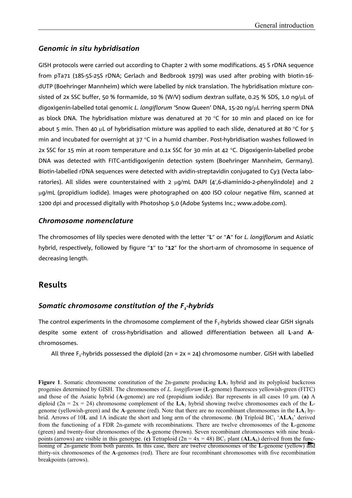#### *Genomic in situ hybridisation*

GISH protocols were carried out according to Chapter 2 with some modifications. 45 S rDNA sequence from pTa71 (18S-5S-25S rDNA; Gerlach and Bedbrook 1979) was used after probing with biotin-16 dUTP (Boehringer Mannheim) which were labelled by nick translation. The hybridisation mixture consisted of 2x SSC buffer, 50 % formamide, 10 % (W/V) sodium dextran sulfate, 0.25 % SDS, 1.0 ng/ $\mu$ L of digoxigenin-labelled total genomic *L. longiflorum* 'Snow Queen' DNA, 15-20 ng/uL herring sperm DNA as block DNA. The hybridisation mixture was denatured at 70 °C for 10 min and placed on ice for about 5 min. Then 40  $\mu$ L of hybridisation mixture was applied to each slide, denatured at 80 °C for 5 min and incubated for overnight at  $37 \degree C$  in a humid chamber. Post-hybridisation washes followed in 2x SSC for 15 min at room temperature and 0.1x SSC for 30 min at 42  $\degree$ C. Digoxigenin-labelled probe DNA was detected with FITC-antidigoxigenin detection system (Boehringer Mannheim, Germany). Biotin-labelled rDNA sequences were detected with avidin-streptavidin conjugated to Cy3 (Vecta laboratories). All slides were counterstained with 2  $\mu q/mL$  DAPI (4',6-diaminido-2-phenylindole) and 2 g/mL (propidium iodide). Images were photographed on 400 ISO colour negative film, scanned at 1200 dpi and processed digitally with Photoshop 5.0 (Adobe Systems Inc.; www.adobe.com).

#### *Chromosome nomenclature*

The chromosomes of lily species were denoted with the letter "L" or "A" for L. longiflorum and Asiatic hybrid, respectively, followed by figure "1" to "12" for the short-arm of chromosome in sequence of decreasing length.

## **Results**

#### *Somatic chromosome constitution of the F<sub>1</sub>-hybrids*

The control experiments in the chromosome complement of the F<sub>1</sub>-hybrids showed clear GISH signals despite some extent of cross-hybridisation and allowed differentiation between all **L**-and **A**chromosomes.

All three F<sub>1</sub>-hybrids possessed the diploid ( $2n = 2x = 24$ ) chromosome number. GISH with labelled

**Figure 1**. Somatic chromosome constitution of the 2n-gamete producing **LA**1 hybrid and its polyploid backcross progenies determined by GISH. The chromosomes of *L. longiflorum* (**L**-genome) fluoresces yellowish-green (FITC) and those of the Asiatic hybrid (A-genome) are red (propidium iodide). Bar represents in all cases 10  $\mu$ m. (**a**) A diploid (2n = 2x = 24) chromosome complement of the  $LA<sub>1</sub>$  hybrid showing twelve chromosomes each of the Lgenome (yellowish-green) and the **A**-genome (red). Note that there are no recombinant chromosomes in the **LA**1 hybrid. Arrows of 10L and 1A indicate the short and long arm of the chromosome. (**b**) Triploid  $BC_1$  '**ALA**<sub>5</sub>' derived from the functioning of a FDR 2n-gamete with recombinations. There are twelve chromosomes of the **L**-genome (green) and twenty-four chromosomes of the **A**-genome (brown). Seven recombinant chromosomes with nine breakpoints (arrows) are visible in this genotype. (c) Tetraploid  $(2n = 4x = 48)$  BC<sub>1</sub> plant ( $ALA<sub>6</sub>$ ) derived from the functioning of 2n-gamete from both parents. In this case, there are twelve chromosomes of the **L**-genome (yellow) and thirty-six chromosomes of the **A**-genomes (red). There are four recombinant chromosomes with five recombination breakpoints (arrows).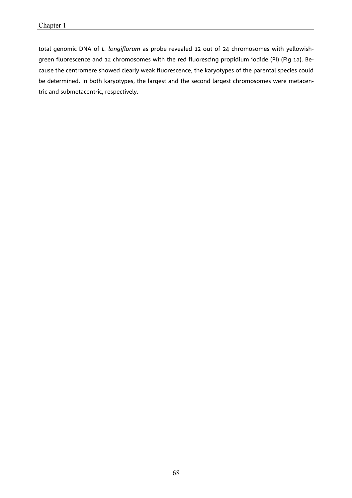total genomic DNA of *L. longiflorum* as probe revealed 12 out of 24 chromosomes with yellowishgreen fluorescence and 12 chromosomes with the red fluorescing propidium iodide (PI) (Fig 1a). Because the centromere showed clearly weak fluorescence, the karyotypes of the parental species could be determined. In both karyotypes, the largest and the second largest chromosomes were metacentric and submetacentric, respectively.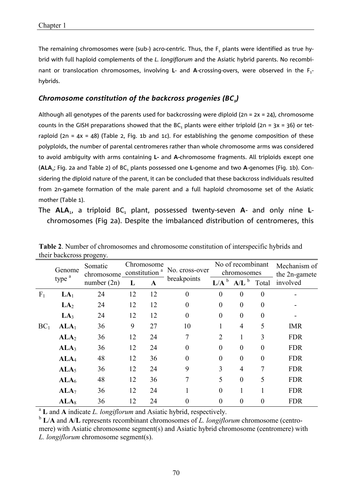The remaining chromosomes were (sub-) acro-centric. Thus, the  $F_1$  plants were identified as true hybrid with full haploid complements of the *L. longiflorum* and the Asiatic hybrid parents. No recombinant or translocation chromosomes, involving L- and A-crossing-overs, were observed in the F<sub>1</sub>hybrids.

#### *Chromosome constitution of the backcross progenies (BC1)*

Although all genotypes of the parents used for backcrossing were diploid (2n = 2x = 24), chromosome counts in the GISH preparations showed that the BC<sub>1</sub> plants were either triploid (2n = 3x = 36) or tetraploid (2n =  $4x = 48$ ) (Table 2, Fig. 1b and 1c). For establishing the genome composition of these polyploids, the number of parental centromeres rather than whole chromosome arms was considered to avoid ambiguity with arms containing **L-** and **A-**chromosome fragments. All triploids except one (ALA<sub>1</sub>; Fig. 2a and Table 2) of BC<sub>1</sub> plants possessed one L-genome and two A-genomes (Fig. 1b). Considering the diploid nature of the parent, it can be concluded that these backcross individuals resulted from 2n-gamete formation of the male parent and a full haploid chromosome set of the Asiatic mother (Table 1).

The **ALA**<sub>1</sub>, a triploid BC<sub>1</sub> plant, possessed twenty-seven **A**- and only nine **L**chromosomes (Fig 2a). Despite the imbalanced distribution of centromeres, this

|                 | Genome            | Somatic<br>chromosome_ | Chromosome<br>constitution <sup>a</sup> |    | No. cross-over<br>breakpoints | No of recombinant<br>chromosomes |                  |                  | Mechanism of<br>the 2n-gamete |
|-----------------|-------------------|------------------------|-----------------------------------------|----|-------------------------------|----------------------------------|------------------|------------------|-------------------------------|
|                 | type <sup>a</sup> | number $(2n)$          |                                         | A  |                               | L/A <sup>b</sup>                 | $A/L^b$          | Total            | involved                      |
| F <sub>1</sub>  | LA <sub>1</sub>   | 24                     | 12                                      | 12 | $\overline{0}$                | $\theta$                         | $\theta$         | $\theta$         |                               |
|                 | LA <sub>2</sub>   | 24                     | 12                                      | 12 | $\boldsymbol{0}$              | $\theta$                         | $\boldsymbol{0}$ | 0                |                               |
|                 | LA <sub>3</sub>   | 24                     | 12                                      | 12 | $\boldsymbol{0}$              | $\theta$                         | $\boldsymbol{0}$ | $\theta$         |                               |
| BC <sub>1</sub> | $ALA_1$           | 36                     | 9                                       | 27 | 10                            |                                  | $\overline{4}$   | 5                | <b>IMR</b>                    |
|                 | ALA <sub>2</sub>  | 36                     | 12                                      | 24 | 7                             | $\overline{2}$                   |                  | 3                | <b>FDR</b>                    |
|                 | ALA <sub>3</sub>  | 36                     | 12                                      | 24 | $\boldsymbol{0}$              | $\theta$                         | $\boldsymbol{0}$ | $\boldsymbol{0}$ | <b>FDR</b>                    |
|                 | ALA <sub>4</sub>  | 48                     | 12                                      | 36 | $\boldsymbol{0}$              | $\theta$                         | $\boldsymbol{0}$ | $\boldsymbol{0}$ | <b>FDR</b>                    |
|                 | ALA <sub>5</sub>  | 36                     | 12                                      | 24 | 9                             | 3                                | $\overline{4}$   | 7                | <b>FDR</b>                    |
|                 | ALA <sub>6</sub>  | 48                     | 12                                      | 36 | 7                             | 5                                | $\theta$         | 5                | <b>FDR</b>                    |
|                 | ALA <sub>7</sub>  | 36                     | 12                                      | 24 |                               | $\theta$                         |                  |                  | <b>FDR</b>                    |
|                 | $ALA_8$           | 36                     | 12                                      | 24 | 0                             | $\Omega$                         | $\boldsymbol{0}$ | 0                | <b>FDR</b>                    |

**Table 2**. Number of chromosomes and chromosome constitution of interspecific hybrids and their backcross progeny.

<sup>a</sup> **L** and **A** indicate *L. longiflorum* and Asiatic hybrid, respectively.

<sup>b</sup> **L**/**A** and **A**/**L** represents recombinant chromosomes of *L. longiflorum* chromosome (centromere) with Asiatic chromosome segment(s) and Asiatic hybrid chromosome (centromere) with *L. longiflorum* chromosome segment(s).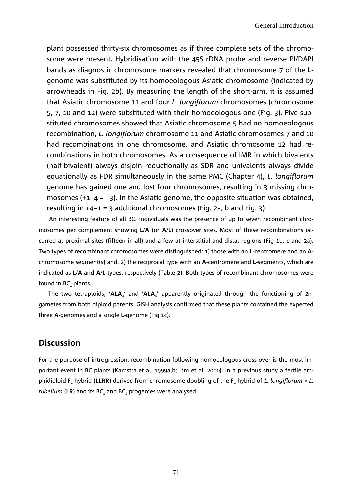plant possessed thirty-six chromosomes as if three complete sets of the chromosome were present. Hybridisation with the 45S rDNA probe and reverse PI/DAPI bands as diagnostic chromosome markers revealed that chromosome 7 of the **L**genome was substituted by its homoeologous Asiatic chromosome (indicated by arrowheads in Fig. 2b). By measuring the length of the short-arm, it is assumed that Asiatic chromosome 11 and four *L. longiflorum* chromosomes (chromosome 5, 7, 10 and 12) were substituted with their homoeologous one (Fig. 3). Five substituted chromosomes showed that Asiatic chromosome 5 had no homoeologous recombination, *L. longiflorum* chromosome 11 and Asiatic chromosomes 7 and 10 had recombinations in one chromosome, and Asiatic chromosome 12 had recombinations in both chromosomes. As a consequence of IMR in which bivalents (half-bivalent) always disjoin reductionally as SDR and univalents always divide equationally as FDR simultaneously in the same PMC (Chapter 4), *L. longiflorum* genome has gained one and lost four chromosomes, resulting in 3 missing chromosomes  $(+1-4 = -3)$ . In the Asiatic genome, the opposite situation was obtained, resulting in  $+4-1 = 3$  additional chromosomes (Fig. 2a, b and Fig. 3).

An interesting feature of all BC, individuals was the presence of up to seven recombinant chromosomes per complement showing **L**/**A** (or **A**/**L**) crossover sites. Most of these recombinations occurred at proximal sites (fifteen in all) and a few at interstitial and distal regions (Fig 1b, c and 2a). Two types of recombinant chromosomes were distinguished: 1) those with an **L**-centromere and an **A**chromosome segment(s) and, 2) the reciprocal type with an **A**-centromere and **L**-segments, which are indicated as **L**/**A** and **A**/**L** types, respectively (Table 2). Both types of recombinant chromosomes were found in  $BC<sub>1</sub>$  plants.

The two tetraploids, 'ALA<sub>4</sub>' and 'ALA<sub>6</sub>' apparently originated through the functioning of 2ngametes from both diploid parents. GISH analysis confirmed that these plants contained the expected three **A**-genomes and a single **L**-genome (Fig 1c).

# **Discussion**

For the purpose of introgression, recombination following homoeologous cross-over is the most important event in BC plants (Kamstra et al. 1999a,b; Lim et al. 2000). In a previous study a fertile amphidiploid F $_{\text{1}}$  hybrid (LLRR) derived from chromosome doubling of the F $_{\text{1}}$ -hybrid of *L. longiflorum*  $\times$  *L*. *rubellum* (LR) and its BC<sub>1</sub> and BC<sub>2</sub> progenies were analysed.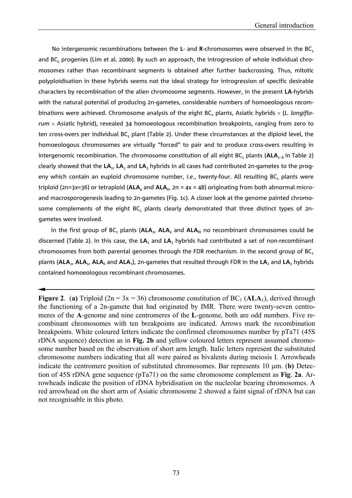No intergenomic recombinations between the L- and R-chromosomes were observed in the BC<sub>1</sub> and BC<sub>2</sub> progenies (Lim et al. 2000). By such an approach, the introgression of whole individual chromosomes rather than recombinant segments is obtained after further backcrossing. Thus, mitotic polyploidisation in these hybrids seems not the ideal strategy for introgression of specific desirable characters by recombination of the alien chromosome segments. However, in the present **LA**-hybrids with the natural potential of producing 2n-gametes, considerable numbers of homoeologous recombinations were achieved. Chromosome analysis of the eight BC<sub>1</sub> plants, Asiatic hybrids  $\times$  (L. longiflo*rum* - Asiatic hybrid), revealed 34 homoeologous recombination breakpoints, ranging from zero to ten cross-overs per individual  $BC<sub>1</sub>$  plant (Table 2). Under these circumstances at the diploid level, the homoeologous chromosomes are virtually "forced" to pair and to produce cross-overs resulting in intergenomic recombination. The chromosome constitution of all eight BC<sub>1</sub> plants ( $ALA<sub>1-8</sub>$  in Table 2) clearly showed that the **LA**1, **LA**2 and **LA**3 hybrids in all cases had contributed 2n-gametes to the progeny which contain an euploid chromosome number, *i.e.*, twenty-four. All resulting BC<sub>1</sub> plants were triploid (2n=3x=36) or tetraploid ( $ALA<sub>4</sub>$  and  $ALA<sub>6</sub>$ , 2n = 4x = 48) originating from both abnormal microand macrosporogenesis leading to 2n-gametes (Fig. 1c). A closer look at the genome painted chromosome complements of the eight BC<sub>1</sub> plants clearly demonstrated that three distinct types of 2ngametes were involved.

In the first group of  $BC_1$  plants ( $ALA_3$ ,  $ALA_4$  and  $ALA_8$ ) no recombinant chromosomes could be discerned (Table 2). In this case, the **LA**2 and **LA**3 hybrids had contributed a set of non-recombinant chromosomes from both parental genomes through the FDR mechanism. In the second group of  $BC<sub>1</sub>$ plants (ALA<sub>2</sub>, ALA<sub>5</sub>, ALA<sub>6</sub> and ALA<sub>7</sub>), 2n-gametes that resulted through FDR in the LA<sub>2</sub> and LA<sub>3</sub> hybrids contained homoeologous recombinant chromosomes.

**Figure 2.** (a) Triploid ( $2n = 3x = 36$ ) chromosome constitution of BC<sub>1</sub> ( $ALA_1$ ), derived through the functioning of a 2n-gamete that had originated by IMR. There were twenty-seven centromeres of the **A**-genome and nine centromeres of the **L**-genome, both are odd numbers. Five recombinant chromosomes with ten breakpoints are indicated. Arrows mark the recombination breakpoints. White coloured letters indicate the confirmed chromosomes number by pTa71 (45S rDNA sequence) detection as in **Fig. 2b** and yellow coloured letters represent assumed chromosome number based on the observation of short arm length. Italic letters represent the substituted chromosome numbers indicating that all were paired as bivalents during meiosis I. Arrowheads indicate the centromere position of substituted chromosomes. Bar represents 10  $\mu$ m. (**b**) Detection of 45S rDNA gene sequence (pTa71) on the same chromosome complement as **Fig**. **2a**. Arrowheads indicate the position of rDNA hybridisation on the nucleolar bearing chromosomes. A red arrowhead on the short arm of Asiatic chromosome 2 showed a faint signal of rDNA but can not recognisable in this photo.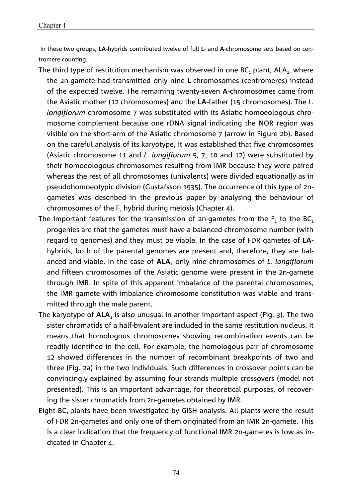In these two groups, **LA-**hybrids contributed twelve of full **L**- and **A**-chromosome sets based on centromere counting.

- The third type of restitution mechanism was observed in one  $BC_1$  plant,  $ALA_1$ , where the 2n-gamete had transmitted only nine **L**-chromosomes (centromeres) instead of the expected twelve. The remaining twenty-seven **A**-chromosomes came from the Asiatic mother (12 chromosomes) and the **LA-**father (15 chromosomes). The *L. longiflorum* chromosome 7 was substituted with its Asiatic homoeologous chromosome complement because one rDNA signal indicating the NOR region was visible on the short-arm of the Asiatic chromosome 7 (arrow in Figure 2b). Based on the careful analysis of its karyotype, it was established that five chromosomes (Asiatic chromosome 11 and *L*. *longiflorum* 5, 7, 10 and 12) were substituted by their homoeologous chromosomes resulting from IMR because they were paired whereas the rest of all chromosomes (univalents) were divided equationally as in pseudohomoeotypic division (Gustafsson 1935). The occurrence of this type of 2ngametes was described in the previous paper by analysing the behaviour of chromosomes of the  $F_1$  hybrid during meiosis (Chapter 4).
- The important features for the transmission of 2n-gametes from the  $F_1$  to the BC<sub>1</sub> progenies are that the gametes must have a balanced chromosome number (with regard to genomes) and they must be viable. In the case of FDR gametes of **LA**hybrids, both of the parental genomes are present and, therefore, they are balanced and viable. In the case of **ALA**1 only nine chromosomes of *L. longiflorum* and fifteen chromosomes of the Asiatic genome were present in the 2n-gamete through IMR. In spite of this apparent imbalance of the parental chromosomes, the IMR gamete with imbalance chromosome constitution was viable and transmitted through the male parent.
- The karyotype of **ALA**<sub>1</sub> is also unusual in another important aspect (Fig. 3). The two sister chromatids of a half-bivalent are included in the same restitution nucleus. It means that homologous chromosomes showing recombination events can be readily identified in the cell. For example, the homologous pair of chromosome 12 showed differences in the number of recombinant breakpoints of two and three (Fig. 2a) in the two individuals. Such differences in crossover points can be convincingly explained by assuming four strands multiple crossovers (model not presented). This is an important advantage, for theoretical purposes, of recovering the sister chromatids from 2n-gametes obtained by IMR.
- Eight BC, plants have been investigated by GISH analysis. All plants were the result of FDR 2n-gametes and only one of them originated from an IMR 2n-gamete. This is a clear indication that the frequency of functional IMR 2n-gametes is low as indicated in Chapter 4.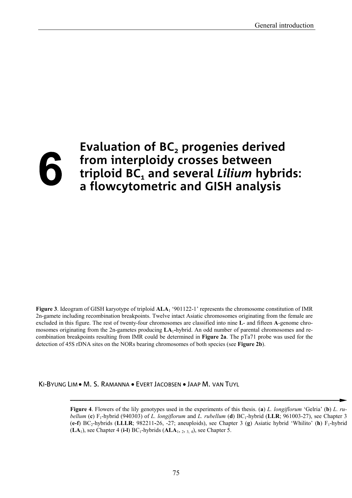## **Evaluation of BC<sub>2</sub> progenies derived** ĥ **from interploidy crosses between triploid BC1 and several** *Lilium* **hybrids: a flowcytometric and GISH analysis**

**Figure 3**. Ideogram of GISH karyotype of triploid **ALA**1 '901122-1' represents the chromosome constitution of IMR 2n-gamete including recombination breakpoints. Twelve intact Asiatic chromosomes originating from the female are excluded in this figure. The rest of twenty-four chromosomes are classified into nine **L**- and fifteen **A**-genome chromosomes originating from the 2n-gametes producing **LA**1**-**hybrid. An odd number of parental chromosomes and recombination breakpoints resulting from IMR could be determined in **Figure 2a**. The pTa71 probe was used for the detection of 45S rDNA sites on the NORs bearing chromosomes of both species (see **Figure 2b**).

KI-BYUNG LIM • M. S. RAMANNA • EVERT JACOBSEN • JAAP M. VAN TUYL

**Figure 4**. Flowers of the lily genotypes used in the experiments of this thesis. (**a**) *L. longiflorum* 'Gelria' (**b**) *L. rubellum* (**c**) F<sub>1</sub>-hybrid (940303) of *L. longiflorum* and *L. rubellum* (**d**) BC<sub>1</sub>-hybrid (LLR; 961003-27), see Chapter 3 (e-f) BC<sub>2</sub>-hybrids (LLLR; 982211-26, -27; aneuploids), see Chapter 3 (g) Asiatic hybrid 'Whilito' (h) F<sub>1</sub>-hybrid (**LA**1), see Chapter 4 (**i-l**) BC1-hybrids (**ALA**1, 2, 3, 4), see Chapter 5.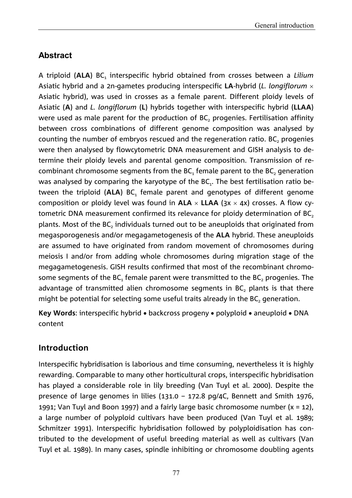# **Abstract**

A triploid (ALA) BC, interspecific hybrid obtained from crosses between a *Lilium* Asiatic hybrid and a 2n-gametes producing interspecific **LA**-hybrid (*L. longiflorum* Asiatic hybrid), was used in crosses as a female parent. Different ploidy levels of Asiatic (**A**) and *L. longiflorum* (**L**) hybrids together with interspecific hybrid (**LLAA**) were used as male parent for the production of  $BC<sub>2</sub>$  progenies. Fertilisation affinity between cross combinations of different genome composition was analysed by counting the number of embryos rescued and the regeneration ratio. BC, progenies were then analysed by flowcytometric DNA measurement and GISH analysis to determine their ploidy levels and parental genome composition. Transmission of recombinant chromosome segments from the  $BC_1$  female parent to the  $BC_2$  generation was analysed by comparing the karyotype of the  $BC_1$ . The best fertilisation ratio between the triploid (ALA) BC<sub>1</sub> female parent and genotypes of different genome composition or ploidy level was found in  $ALA \times LLAA$  ( $3x \times 4x$ ) crosses. A flow cytometric DNA measurement confirmed its relevance for ploidy determination of BC<sub>2</sub> plants. Most of the  $BC<sub>2</sub>$  individuals turned out to be aneuploids that originated from megasporogenesis and/or megagametogenesis of the **ALA** hybrid. These aneuploids are assumed to have originated from random movement of chromosomes during meiosis I and/or from adding whole chromosomes during migration stage of the megagametogenesis. GISH results confirmed that most of the recombinant chromosome segments of the  $BC_1$  female parent were transmitted to the  $BC_2$  progenies. The advantage of transmitted alien chromosome segments in  $BC<sub>2</sub>$  plants is that there might be potential for selecting some useful traits already in the  $BC<sub>2</sub>$  generation.

**Key Words:** interspecific hybrid • backcross progeny • polyploid • aneuploid • DNA content

## **Introduction**

Interspecific hybridisation is laborious and time consuming, nevertheless it is highly rewarding. Comparable to many other horticultural crops, interspecific hybridisation has played a considerable role in lily breeding (Van Tuyl et al. 2000). Despite the presence of large genomes in lilies (131.0 – 172.8 pg/4C, Bennett and Smith 1976, 1991; Van Tuyl and Boon 1997) and a fairly large basic chromosome number  $(x = 12)$ , a large number of polyploid cultivars have been produced (Van Tuyl et al. 1989; Schmitzer 1991). Interspecific hybridisation followed by polyploidisation has contributed to the development of useful breeding material as well as cultivars (Van Tuyl et al. 1989). In many cases, spindle inhibiting or chromosome doubling agents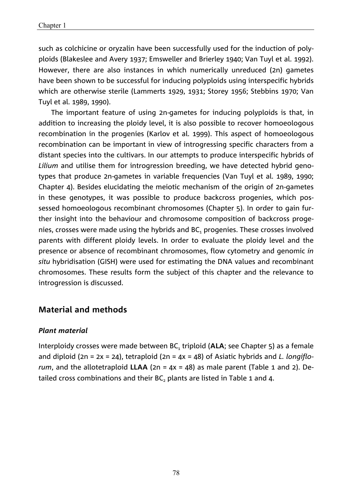such as colchicine or oryzalin have been successfully used for the induction of polyploids (Blakeslee and Avery 1937; Emsweller and Brierley 1940; Van Tuyl et al. 1992). However, there are also instances in which numerically unreduced (2n) gametes have been shown to be successful for inducing polyploids using interspecific hybrids which are otherwise sterile (Lammerts 1929, 1931; Storey 1956; Stebbins 1970; Van Tuyl et al. 1989, 1990).

The important feature of using 2n-gametes for inducing polyploids is that, in addition to increasing the ploidy level, it is also possible to recover homoeologous recombination in the progenies (Karlov et al. 1999). This aspect of homoeologous recombination can be important in view of introgressing specific characters from a distant species into the cultivars. In our attempts to produce interspecific hybrids of *Lilium* and utilise them for introgression breeding, we have detected hybrid genotypes that produce 2n-gametes in variable frequencies (Van Tuyl et al. 1989, 1990; Chapter 4). Besides elucidating the meiotic mechanism of the origin of 2n-gametes in these genotypes, it was possible to produce backcross progenies, which possessed homoeologous recombinant chromosomes (Chapter 5). In order to gain further insight into the behaviour and chromosome composition of backcross progenies, crosses were made using the hybrids and BC<sub>1</sub> progenies. These crosses involved parents with different ploidy levels. In order to evaluate the ploidy level and the presence or absence of recombinant chromosomes, flow cytometry and genomic *in situ* hybridisation (GISH) were used for estimating the DNA values and recombinant chromosomes. These results form the subject of this chapter and the relevance to introgression is discussed.

#### **Material and methods**

#### *Plant material*

Interploidy crosses were made between BC<sub>1</sub> triploid (ALA; see Chapter 5) as a female and diploid (2n = 2x = 24), tetraploid (2n = 4x = 48) of Asiatic hybrids and *L. longiflorum*, and the allotetraploid **LLAA** (2n = 4x = 48) as male parent (Table 1 and 2). Detailed cross combinations and their BC, plants are listed in Table 1 and 4.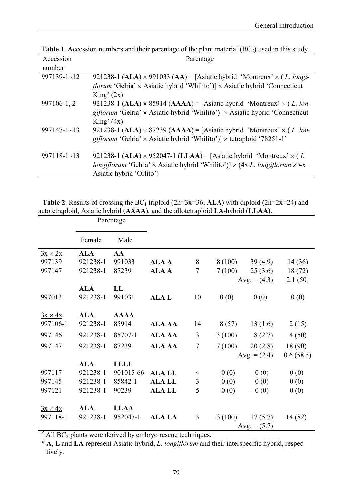| Accession            | Parentage                                                                                                                                                                                                                       |
|----------------------|---------------------------------------------------------------------------------------------------------------------------------------------------------------------------------------------------------------------------------|
| number               |                                                                                                                                                                                                                                 |
| $997139 - 1 - 12$    | 921238-1 (ALA) $\times$ 991033 (AA) = [Asiatic hybrid 'Montreux' $\times$ (L. longi-<br><i>florum</i> 'Gelria' $\times$ Asiatic hybrid 'Whilito')] $\times$ Asiatic hybrid 'Connecticut<br>King'(2x)                            |
| 997106-1, 2          | 921238-1 (ALA) $\times$ 85914 (AAAA) = [Asiatic hybrid 'Montreux' $\times$ (L. lon-<br>giflorum 'Gelria' $\times$ Asiatic hybrid 'Whilito')] $\times$ Asiatic hybrid 'Connecticut<br>King' $(4x)$                               |
| $997147 - 1 \sim 13$ | 921238-1 (ALA) $\times$ 87239 (AAAA) = [Asiatic hybrid 'Montreux' $\times$ (L. lon-<br>giflorum 'Gelria' $\times$ Asiatic hybrid 'Whilito')] $\times$ tetraploid '78251-1'                                                      |
| $997118 - 1 \sim 13$ | 921238-1 (ALA) $\times$ 952047-1 (LLAA) = [Asiatic hybrid 'Montreux' $\times$ (L.<br><i>longiflorum</i> 'Gelria' $\times$ Asiatic hybrid 'Whilito')] $\times$ (4x <i>L. longiflorum</i> $\times$ 4x<br>Asiatic hybrid 'Orlito') |

**Table 1**. Accession numbers and their parentage of the plant material  $(BC_2)$  used in this study.

|  | <b>Table 2.</b> Results of crossing the BC <sub>1</sub> triploid (2n=3x=36; ALA) with diploid (2n=2x=24) and |  |  |
|--|--------------------------------------------------------------------------------------------------------------|--|--|
|  | autotetraploid, Asiatic hybrid (AAAA), and the allotetraploid LA-hybrid (LLAA).                              |  |  |

|                | Parentage  |             |               |                |         |                |           |
|----------------|------------|-------------|---------------|----------------|---------|----------------|-----------|
|                | Female     | Male        |               |                |         |                |           |
| $3x \times 2x$ | <b>ALA</b> | AA          |               |                |         |                |           |
| 997139         | 921238-1   | 991033      | <b>ALA A</b>  | 8              | 8 (100) | 39(4.9)        | 14 (36)   |
| 997147         | 921238-1   | 87239       | <b>ALAA</b>   | $\overline{7}$ | 7(100)  | 25(3.6)        | 18(72)    |
|                |            |             |               |                |         | Avg. $=(4.3)$  | 2.1(50)   |
|                | <b>ALA</b> | LL          |               |                |         |                |           |
| 997013         | 921238-1   | 991031      | <b>ALAL</b>   | 10             | 0(0)    | 0(0)           | 0(0)      |
|                |            |             |               |                |         |                |           |
| $3x \times 4x$ | <b>ALA</b> | <b>AAAA</b> |               |                |         |                |           |
| 997106-1       | 921238-1   | 85914       | <b>ALA AA</b> | 14             | 8(57)   | 13(1.6)        | 2(15)     |
| 997146         | 921238-1   | 85707-1     | <b>ALA AA</b> | 3              | 3(100)  | 8(2.7)         | 4(50)     |
| 997147         | 921238-1   | 87239       | <b>ALA AA</b> | $\overline{7}$ | 7(100)  | 20(2.8)        | 18 (90)   |
|                |            |             |               |                |         | Avg. $=(2.4)$  | 0.6(58.5) |
|                | <b>ALA</b> | <b>LLLL</b> |               |                |         |                |           |
| 997117         | 921238-1   | 901015-66   | <b>ALA LL</b> | 4              | 0(0)    | 0(0)           | 0(0)      |
| 997145         | 921238-1   | 85842-1     | <b>ALA LL</b> | 3              | 0(0)    | 0(0)           | 0(0)      |
| 997121         | 921238-1   | 90239       | <b>ALA LL</b> | 5              | 0(0)    | 0(0)           | 0(0)      |
| $3x \times 4x$ | <b>ALA</b> | <b>LLAA</b> |               |                |         |                |           |
| 997118-1       | 921238-1   | 952047-1    | <b>ALA LA</b> | 3              | 3(100)  | 17(5.7)        | 14 (82)   |
|                |            |             |               |                |         | Avg. $= (5.7)$ |           |

 $Z$  All BC<sub>2</sub> plants were derived by embryo rescue techniques.

\* **A**, **L** and **LA** represent Asiatic hybrid, *L. longiflorum* and their interspecific hybrid, respectively.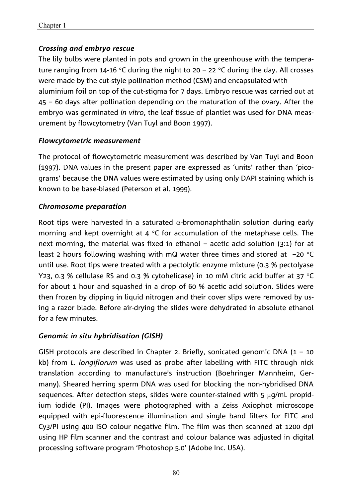## *Crossing and embryo rescue*

The lily bulbs were planted in pots and grown in the greenhouse with the temperature ranging from 14-16 °C during the night to 20 – 22 °C during the day. All crosses were made by the cut-style pollination method (CSM) and encapsulated with aluminium foil on top of the cut-stigma for 7 days. Embryo rescue was carried out at 45 – 60 days after pollination depending on the maturation of the ovary. After the embryo was germinated *in vitro*, the leaf tissue of plantlet was used for DNA measurement by flowcytometry (Van Tuyl and Boon 1997).

#### *Flowcytometric measurement*

The protocol of flowcytometric measurement was described by Van Tuyl and Boon (1997). DNA values in the present paper are expressed as 'units' rather than 'picograms' because the DNA values were estimated by using only DAPI staining which is known to be base-biased (Peterson et al. 1999).

#### *Chromosome preparation*

Root tips were harvested in a saturated  $\alpha$ -bromonaphthalin solution during early morning and kept overnight at 4  $\degree$ C for accumulation of the metaphase cells. The next morning, the material was fixed in ethanol – acetic acid solution (3:1) for at least 2 hours following washing with mQ water three times and stored at  $-20$  °C until use. Root tips were treated with a pectolytic enzyme mixture (0.3 % pectolyase Y23, 0.3 % cellulase RS and 0.3 % cytohelicase) in 10 mM citric acid buffer at 37  $^{\circ}$ C for about 1 hour and squashed in a drop of 60 % acetic acid solution. Slides were then frozen by dipping in liquid nitrogen and their cover slips were removed by using a razor blade. Before air-drying the slides were dehydrated in absolute ethanol for a few minutes.

## *Genomic in situ hybridisation (GISH)*

GISH protocols are described in Chapter 2. Briefly, sonicated genomic DNA  $(1 - 10)$ kb) from *L. longiflorum* was used as probe after labelling with FITC through nick translation according to manufacture's instruction (Boehringer Mannheim, Germany). Sheared herring sperm DNA was used for blocking the non-hybridised DNA sequences. After detection steps, slides were counter-stained with 5  $\mu$ q/mL propidium iodide (PI). Images were photographed with a Zeiss Axiophot microscope equipped with epi-fluorescence illumination and single band filters for FITC and Cy3/PI using 400 ISO colour negative film. The film was then scanned at 1200 dpi using HP film scanner and the contrast and colour balance was adjusted in digital processing software program 'Photoshop 5.0' (Adobe Inc. USA).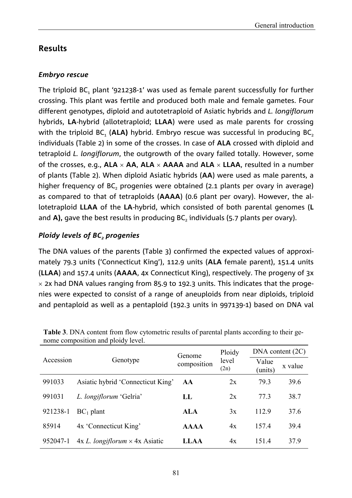## **Results**

## *Embryo rescue*

The triploid  $BC_1$  plant '921238-1' was used as female parent successfully for further crossing. This plant was fertile and produced both male and female gametes. Four different genotypes, diploid and autotetraploid of Asiatic hybrids and *L. longiflorum* hybrids, **LA**-hybrid (allotetraploid; **LLAA**) were used as male parents for crossing with the triploid BC<sub>1</sub> (ALA) hybrid. Embryo rescue was successful in producing BC<sub>2</sub> individuals (Table 2) in some of the crosses. In case of **ALA** crossed with diploid and tetraploid *L. longiflorum*, the outgrowth of the ovary failed totally. However, some of the crosses, e.g.,  $ALA \times AA$ ,  $ALA \times AAAA$  and  $ALA \times LLAA$ , resulted in a number of plants (Table 2). When diploid Asiatic hybrids (**AA**) were used as male parents, a higher frequency of BC, progenies were obtained (2.1 plants per ovary in average) as compared to that of tetraploids (**AAAA**) (0.6 plant per ovary). However, the allotetraploid **LLAA** of the **LA**-hybrid, which consisted of both parental genomes (**L** and A), gave the best results in producing BC<sub>2</sub> individuals (5.7 plants per ovary).

## *Ploidy levels of BC<sub>2</sub> progenies*

The DNA values of the parents (Table 3) confirmed the expected values of approximately 79.3 units ('Connecticut King'), 112.9 units (**ALA** female parent), 151.4 units (**LLAA**) and 157.4 units (**AAAA**, 4x Connecticut King), respectively. The progeny of 3x  $\times$  2x had DNA values ranging from 85.9 to 192.3 units. This indicates that the progenies were expected to consist of a range of aneuploids from near diploids, triploid and pentaploid as well as a pentaploid (192.3 units in 997139-1) based on DNA val

|           |                                                 | Genome      | Ploidy        | DNA content (2C) |         |  |
|-----------|-------------------------------------------------|-------------|---------------|------------------|---------|--|
| Accession | Genotype                                        | composition | level<br>(2n) | Value<br>(units) | x value |  |
| 991033    | Asiatic hybrid 'Connecticut King'               | AA          | 2x            | 79.3             | 39.6    |  |
| 991031    | L. longiflorum 'Gelria'                         | LL          | 2x            | 77.3             | 38.7    |  |
| 921238-1  | $BC_1$ plant                                    | <b>ALA</b>  | 3x            | 112.9            | 37.6    |  |
| 85914     | 4x 'Connecticut King'                           | <b>AAAA</b> | 4x            | 157.4            | 39.4    |  |
| 952047-1  | $4x L$ . <i>longiflorum</i> $\times$ 4x Asiatic | <b>LLAA</b> | 4x            | 151.4            | 37.9    |  |

**Table 3**. DNA content from flow cytometric results of parental plants according to their genome composition and ploidy level.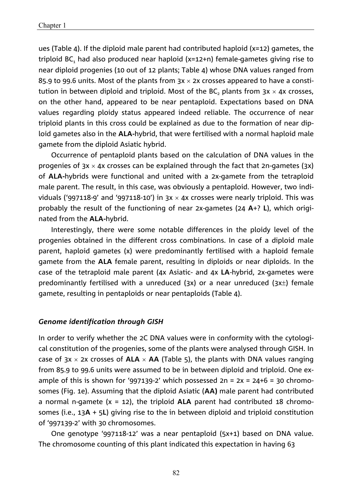ues (Table 4). If the diploid male parent had contributed haploid (x=12) gametes, the triploid  $BC_1$  had also produced near haploid (x=12+n) female-gametes giving rise to near diploid progenies (10 out of 12 plants; Table 4) whose DNA values ranged from 85.9 to 99.6 units. Most of the plants from  $3x \times 2x$  crosses appeared to have a constitution in between diploid and triploid. Most of the BC, plants from  $3x \times 4x$  crosses, on the other hand, appeared to be near pentaploid. Expectations based on DNA values regarding ploidy status appeared indeed reliable. The occurrence of near triploid plants in this cross could be explained as due to the formation of near diploid gametes also in the **ALA-**hybrid, that were fertilised with a normal haploid male gamete from the diploid Asiatic hybrid.

Occurrence of pentaploid plants based on the calculation of DNA values in the progenies of  $3x \times 4x$  crosses can be explained through the fact that 2n-gametes ( $3x$ ) of **ALA-**hybrids were functional and united with a 2x-gamete from the tetraploid male parent. The result, in this case, was obviously a pentaploid. However, two individuals ('997118-9' and '997118-10') in  $3x \times 4x$  crosses were nearly triploid. This was probably the result of the functioning of near 2x-gametes (24 **A**+? **L**), which originated from the **ALA-**hybrid.

Interestingly, there were some notable differences in the ploidy level of the progenies obtained in the different cross combinations. In case of a diploid male parent, haploid gametes (x) were predominantly fertilised with a haploid female gamete from the **ALA** female parent, resulting in diploids or near diploids. In the case of the tetraploid male parent (4x Asiatic- and 4x **LA**-hybrid, 2x-gametes were predominantly fertilised with a unreduced (3x) or a near unreduced (3x $\pm$ ) female gamete, resulting in pentaploids or near pentaploids (Table 4).

#### *Genome identification through GISH*

In order to verify whether the 2C DNA values were in conformity with the cytological constitution of the progenies, some of the plants were analysed through GISH. In case of  $3x \times 2x$  crosses of  $ALA \times AA$  (Table 5), the plants with DNA values ranging from 85.9 to 99.6 units were assumed to be in between diploid and triploid. One example of this is shown for '997139-2' which possessed  $2n = 2x = 24+6 = 30$  chromosomes (Fig. 1e). Assuming that the diploid Asiatic (**AA)** male parent had contributed a normal n-gamete (x = 12), the triploid **ALA** parent had contributed 18 chromosomes (i.e., 13**A** + 5**L**) giving rise to the in between diploid and triploid constitution of '997139-2' with 30 chromosomes.

One genotype '997118-12' was a near pentaploid (5x+1) based on DNA value. The chromosome counting of this plant indicated this expectation in having 63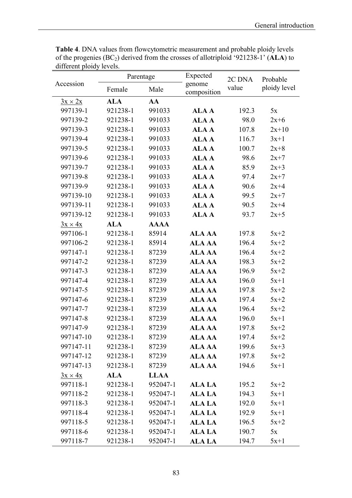|                | Parentage  |             | Expected              | 2C DNA | Probable     |  |
|----------------|------------|-------------|-----------------------|--------|--------------|--|
| Accession      | Female     | Male        | genome<br>composition | value  | ploidy level |  |
| $3x \times 2x$ | <b>ALA</b> | AA          |                       |        |              |  |
| 997139-1       | 921238-1   | 991033      | <b>ALAA</b>           | 192.3  | 5x           |  |
| 997139-2       | 921238-1   | 991033      | <b>ALAA</b>           | 98.0   | $2x+6$       |  |
| 997139-3       | 921238-1   | 991033      | <b>ALAA</b>           | 107.8  | $2x+10$      |  |
| 997139-4       | 921238-1   | 991033      | <b>ALAA</b>           | 116.7  | $3x+1$       |  |
| 997139-5       | 921238-1   | 991033      | <b>ALAA</b>           | 100.7  | $2x+8$       |  |
| 997139-6       | 921238-1   | 991033      | <b>ALAA</b>           | 98.6   | $2x+7$       |  |
| 997139-7       | 921238-1   | 991033      | <b>ALAA</b>           | 85.9   | $2x+3$       |  |
| 997139-8       | 921238-1   | 991033      | <b>ALAA</b>           | 97.4   | $2x+7$       |  |
| 997139-9       | 921238-1   | 991033      | <b>ALAA</b>           | 90.6   | $2x+4$       |  |
| 997139-10      | 921238-1   | 991033      | <b>ALAA</b>           | 99.5   | $2x+7$       |  |
| 997139-11      | 921238-1   | 991033      | <b>ALAA</b>           | 90.5   | $2x+4$       |  |
| 997139-12      | 921238-1   | 991033      | <b>ALAA</b>           | 93.7   | $2x+5$       |  |
| $3x \times 4x$ | <b>ALA</b> | <b>AAAA</b> |                       |        |              |  |
| 997106-1       | 921238-1   | 85914       | <b>ALA AA</b>         | 197.8  | $5x+2$       |  |
| 997106-2       | 921238-1   | 85914       | <b>ALA AA</b>         | 196.4  | $5x+2$       |  |
| 997147-1       | 921238-1   | 87239       | <b>ALA AA</b>         | 196.4  | $5x+2$       |  |
| 997147-2       | 921238-1   | 87239       | <b>ALA AA</b>         | 198.3  | $5x+2$       |  |
| 997147-3       | 921238-1   | 87239       | <b>ALA AA</b>         | 196.9  | $5x+2$       |  |
| 997147-4       | 921238-1   | 87239       | <b>ALA AA</b>         | 196.0  | $5x+1$       |  |
| 997147-5       | 921238-1   | 87239       | <b>ALA AA</b>         | 197.8  | $5x+2$       |  |
| 997147-6       | 921238-1   | 87239       | <b>ALA AA</b>         | 197.4  | $5x+2$       |  |
| 997147-7       | 921238-1   | 87239       | <b>ALA AA</b>         | 196.4  | $5x+2$       |  |
| 997147-8       | 921238-1   | 87239       | <b>ALA AA</b>         | 196.0  | $5x+1$       |  |
| 997147-9       | 921238-1   | 87239       | <b>ALA AA</b>         | 197.8  | $5x+2$       |  |
| 997147-10      | 921238-1   | 87239       | <b>ALA AA</b>         | 197.4  | $5x+2$       |  |
| 997147-11      | 921238-1   | 87239       | ALA AA                | 199.6  | $5x+3$       |  |
| 997147-12      | 921238-1   | 87239       | ALA AA                | 197.8  | $5x+2$       |  |
| 997147-13      | 921238-1   | 87239       | ALA AA                | 194.6  | $5x+1$       |  |
| $3x \times 4x$ | <b>ALA</b> | <b>LLAA</b> |                       |        |              |  |
| 997118-1       | 921238-1   | 952047-1    | ALA LA                | 195.2  | $5x+2$       |  |
| 997118-2       | 921238-1   | 952047-1    | <b>ALA LA</b>         | 194.3  | $5x+1$       |  |
| 997118-3       | 921238-1   | 952047-1    | ALA LA                | 192.0  | $5x+1$       |  |
| 997118-4       | 921238-1   | 952047-1    | <b>ALA LA</b>         | 192.9  | $5x+1$       |  |
| 997118-5       | 921238-1   | 952047-1    | <b>ALA LA</b>         | 196.5  | $5x+2$       |  |
| 997118-6       | 921238-1   | 952047-1    | <b>ALA LA</b>         | 190.7  | 5x           |  |
| 997118-7       | 921238-1   | 952047-1    | <b>ALA LA</b>         | 194.7  | $5x+1$       |  |

**Table 4**. DNA values from flowcytometric measurement and probable ploidy levels of the progenies (BC2) derived from the crosses of allotriploid '921238-1' (**ALA**) to different ploidy levels.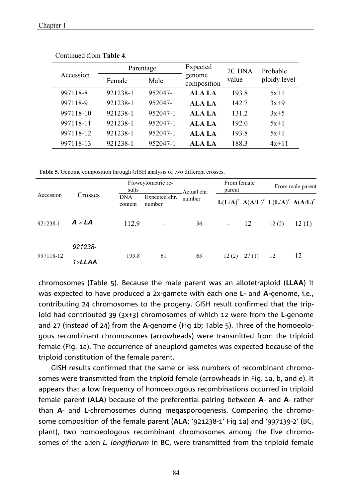|  |           | Parentage |          | Expected              | 2C DNA | Probable     |  |
|--|-----------|-----------|----------|-----------------------|--------|--------------|--|
|  | Accession | Female    | Male     | genome<br>composition | value  | ploidy level |  |
|  | 997118-8  | 921238-1  | 952047-1 | ALA LA                | 193.8  | $5x+1$       |  |
|  | 997118-9  | 921238-1  | 952047-1 | ALA LA                | 142.7  | $3x+9$       |  |
|  | 997118-10 | 921238-1  | 952047-1 | ALA LA                | 131.2  | $3x+5$       |  |
|  | 997118-11 | 921238-1  | 952047-1 | ALA LA                | 192.0  | $5x+1$       |  |
|  | 997118-12 | 921238-1  | 952047-1 | ALA LA                | 193.8  | $5x+1$       |  |
|  | 997118-13 | 921238-1  | 952047-1 | ALA LA                | 188.3  | $4x+11$      |  |

Continued from **Table 4**.

**Table 5**. Genome composition through GISH analysis of two different crosses.

| Accession | Crosses                    | sults          | Flowcytometric re-      |                       | From female<br>parent |       | From male parent |                                                                   |
|-----------|----------------------------|----------------|-------------------------|-----------------------|-----------------------|-------|------------------|-------------------------------------------------------------------|
|           |                            | DNA<br>content | Expected chr.<br>number | Actual chr.<br>number |                       |       |                  | $L(L/A)^{z}$ A(A/L) <sup>z</sup> $L(L/A)^{z}$ A(A/L) <sup>z</sup> |
| 921238-1  | $A \times LA$              | 112.9          |                         | 36                    | $\blacksquare$        | 12    | 12(2)            | 12(1)                                                             |
| 997118-12 | 921238-<br>$1 \times LLAA$ | 193.8          | 61                      | 63                    | 12(2)                 | 27(1) | 12               | 12                                                                |

chromosomes (Table 5). Because the male parent was an allotetraploid (**LLAA**) it was expected to have produced a 2x-gamete with each one **L-** and **A-**genome, i.e., contributing 24 chromosomes to the progeny. GISH result confirmed that the triploid had contributed 39 (3x+3) chromosomes of which 12 were from the **L-**genome and 27 (instead of 24) from the **A**-genome (Fig 1b; Table 5). Three of the homoeologous recombinant chromosomes (arrowheads) were transmitted from the triploid female (Fig. 1a). The occurrence of aneuploid gametes was expected because of the triploid constitution of the female parent.

GISH results confirmed that the same or less numbers of recombinant chromosomes were transmitted from the triploid female (arrowheads in Fig. 1a, b, and e). It appears that a low frequency of homoeologous recombinations occurred in triploid female parent (**ALA**) because of the preferential pairing between **A**- and **A**- rather than **A**- and **L**-chromosomes during megasporogenesis. Comparing the chromosome composition of the female parent (ALA; '921238-1' Fig 1a) and '997139-2' (BC<sub>2</sub> plant), two homoeologous recombinant chromosomes among the five chromosomes of the alien *L. longiflorum* in BC<sub>2</sub> were transmitted from the triploid female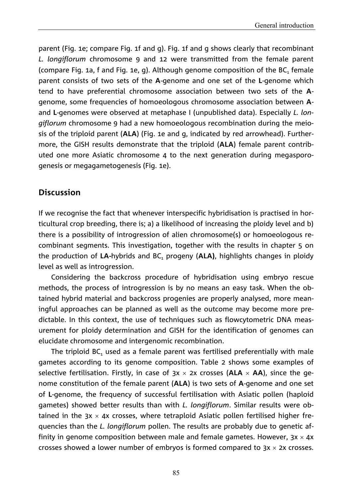parent (Fig. 1e; compare Fig. 1f and g). Fig. 1f and g shows clearly that recombinant *L. longiflorum* chromosome 9 and 12 were transmitted from the female parent (compare Fig. 1a, f and Fig. 1e, g). Although genome composition of the  $BC<sub>1</sub>$  female parent consists of two sets of the **A**-genome and one set of the **L**-genome which tend to have preferential chromosome association between two sets of the **A**genome, some frequencies of homoeologous chromosome association between **A**and **L**-genomes were observed at metaphase I (unpublished data). Especially *L. longiflorum* chromosome 9 had a new homoeologous recombination during the meiosis of the triploid parent (**ALA**) (Fig. 1e and g, indicated by red arrowhead). Furthermore, the GISH results demonstrate that the triploid (**ALA**) female parent contributed one more Asiatic chromosome 4 to the next generation during megasporogenesis or megagametogenesis (Fig. 1e).

## **Discussion**

If we recognise the fact that whenever interspecific hybridisation is practised in horticultural crop breeding, there is; a) a likelihood of increasing the ploidy level and b) there is a possibility of introgression of alien chromosome(s) or homoeologous recombinant segments. This investigation, together with the results in chapter 5 on the production of LA-hybrids and BC<sub>1</sub> progeny (ALA), highlights changes in ploidy level as well as introgression.

Considering the backcross procedure of hybridisation using embryo rescue methods, the process of introgression is by no means an easy task. When the obtained hybrid material and backcross progenies are properly analysed, more meaningful approaches can be planned as well as the outcome may become more predictable. In this context, the use of techniques such as flowcytometric DNA measurement for ploidy determination and GISH for the identification of genomes can elucidate chromosome and intergenomic recombination.

The triploid  $BC_1$  used as a female parent was fertilised preferentially with male gametes according to its genome composition. Table 2 shows some examples of selective fertilisation. Firstly, in case of  $3x \times 2x$  crosses (ALA  $\times$  AA), since the genome constitution of the female parent (**ALA**) is two sets of **A**-genome and one set of **L**-genome, the frequency of successful fertilisation with Asiatic pollen (haploid gametes) showed better results than with *L. longiflorum*. Similar results were obtained in the  $3x \times 4x$  crosses, where tetraploid Asiatic pollen fertilised higher frequencies than the *L. longiflorum* pollen. The results are probably due to genetic affinity in genome composition between male and female gametes. However,  $3x \times 4x$ crosses showed a lower number of embryos is formed compared to  $3x \times 2x$  crosses.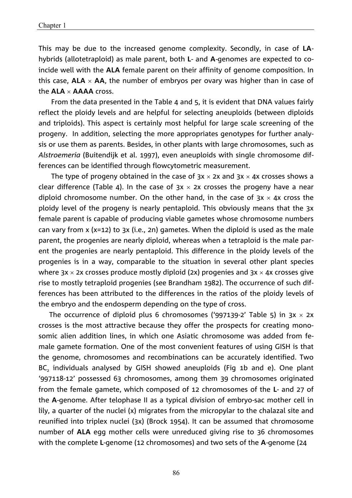This may be due to the increased genome complexity. Secondly, in case of **LA**hybrids (allotetraploid) as male parent, both **L**- and **A**-genomes are expected to coincide well with the **ALA** female parent on their affinity of genome composition. In this case,  $ALA \times AA$ , the number of embryos per ovary was higher than in case of the **ALA AAAA** cross.

From the data presented in the Table 4 and 5, it is evident that DNA values fairly reflect the ploidy levels and are helpful for selecting aneuploids (between diploids and triploids). This aspect is certainly most helpful for large scale screening of the progeny. In addition, selecting the more appropriates genotypes for further analysis or use them as parents. Besides, in other plants with large chromosomes, such as *Alstroemeria* (Buitendijk et al. 1997), even aneuploids with single chromosome differences can be identified through flowcytometric measurement.

The type of progeny obtained in the case of  $3x \times 2x$  and  $3x \times 4x$  crosses shows a clear difference (Table 4). In the case of  $3x \times 2x$  crosses the progeny have a near diploid chromosome number. On the other hand, in the case of  $3x \times 4x$  cross the ploidy level of the progeny is nearly pentaploid. This obviously means that the 3x female parent is capable of producing viable gametes whose chromosome numbers can vary from x (x=12) to 3x (i.e., 2n) gametes. When the diploid is used as the male parent, the progenies are nearly diploid, whereas when a tetraploid is the male parent the progenies are nearly pentaploid. This difference in the ploidy levels of the progenies is in a way, comparable to the situation in several other plant species where  $3x \times 2x$  crosses produce mostly diploid (2x) progenies and  $3x \times 4x$  crosses give rise to mostly tetraploid progenies (see Brandham 1982). The occurrence of such differences has been attributed to the differences in the ratios of the ploidy levels of the embryo and the endosperm depending on the type of cross.

The occurrence of diploid plus 6 chromosomes ('997139-2' Table 5) in  $3x \times 2x$ crosses is the most attractive because they offer the prospects for creating monosomic alien addition lines, in which one Asiatic chromosome was added from female gamete formation. One of the most convenient features of using GISH is that the genome, chromosomes and recombinations can be accurately identified. Two BC<sub>2</sub> individuals analysed by GISH showed aneuploids (Fig 1b and e). One plant '997118-12' possessed 63 chromosomes, among them 39 chromosomes originated from the female gamete, which composed of 12 chromosomes of the **L**- and 27 of the **A**-genome. After telophase II as a typical division of embryo-sac mother cell in lily, a quarter of the nuclei (x) migrates from the micropylar to the chalazal site and reunified into triplex nuclei (3x) (Brock 1954). It can be assumed that chromosome number of **ALA** egg mother cells were unreduced giving rise to 36 chromosomes with the complete **L**-genome (12 chromosomes) and two sets of the **A**-genome (24

86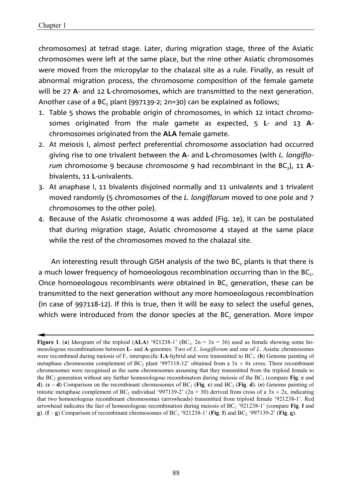chromosomes) at tetrad stage. Later, during migration stage, three of the Asiatic chromosomes were left at the same place, but the nine other Asiatic chromosomes were moved from the micropylar to the chalazal site as a rule. Finally, as result of abnormal migration process, the chromosome composition of the female gamete will be 27 **A**- and 12 **L**-chromosomes, which are transmitted to the next generation. Another case of a BC<sub>2</sub> plant (997139-2; 2n=30) can be explained as follows;

- 1. Table 5 shows the probable origin of chromosomes, in which 12 intact chromosomes originated from the male gamete as expected, 5 **L**- and 13 **A**chromosomes originated from the **ALA** female gamete.
- 2. At meiosis I, almost perfect preferential chromosome association had occurred giving rise to one trivalent between the **A**- and **L**-chromosomes (with *L. longiflorum* chromosome 9 because chromosome 9 had recombinant in the BC<sub>2</sub>), 11 Abivalents, 11 **L**-univalents.
- 3. At anaphase I, 11 bivalents disjoined normally and 11 univalents and 1 trivalent moved randomly (5 chromosomes of the *L. longiflorum* moved to one pole and 7 chromosomes to the other pole).
- 4. Because of the Asiatic chromosome 4 was added (Fig. 1e), it can be postulated that during migration stage, Asiatic chromosome 4 stayed at the same place while the rest of the chromosomes moved to the chalazal site.

An interesting result through GISH analysis of the two BC, plants is that there is a much lower frequency of homoeologous recombination occurring than in the  $BC<sub>1</sub>$ . Once homoeologous recombinants were obtained in  $BC_1$  generation, these can be transmitted to the next generation without any more homoeologous recombination (in case of 997118-12). If this is true, then it will be easy to select the useful genes, which were introduced from the donor species at the BC, generation. More impor

**Figure 1. (a)** Ideogram of the triploid (ALA) '921238-1' (BC<sub>1</sub>, 2n = 3x = 36) used as female showing some homoeologous recombinations between **L**- and **A**-genomes. Two of *L. longiflorum* and one of *L.* Asiatic chromosomes were recombined during meiosis of  $F_1$  interspecific **LA**-hybrid and were transmitted to  $BC_1$ . (**b**) Genome painting of metaphase chromosome complement of  $BC_2$  plant '997118-12' obtained from a 3x  $\times$  4x cross. Three recombinant chromosomes were recognised as the same chromosomes assuming that they transmitted from the triploid female to the BC<sub>2</sub> generation without any further homoeologous recombination during meiosis of the BC<sub>1</sub> (compare **Fig. c** and **d**). (**c** – **d**) Comparison on the recombinant chromosomes of  $BC_1$  (**Fig. c**) and  $BC_2$  (**Fig. d**). (**e**) Genome painting of mitotic metaphase complement of BC<sub>2</sub> individual '997139-2' (2n = 30) derived from cross of a 3x  $\times$  2x, indicating that two homoeologous recombinant chromosomes (arrowheads) transmitted from triploid female '921238-1'. Red arrowhead indicates the fact of homoeologous recombination during meiosis of BC1 '921238-1' (compare **Fig**. **f** and **g**).  $(f - g)$  Comparison of recombinant chromosomes of BC<sub>1</sub> '921238-1' (Fig. f) and BC<sub>2</sub> '997139-2' (Fig. g).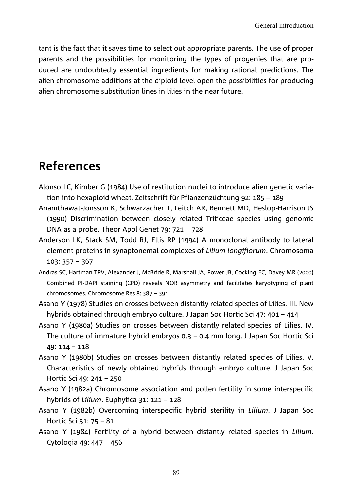tant is the fact that it saves time to select out appropriate parents. The use of proper parents and the possibilities for monitoring the types of progenies that are produced are undoubtedly essential ingredients for making rational predictions. The alien chromosome additions at the diploid level open the possibilities for producing alien chromosome substitution lines in lilies in the near future.

# **References**

- Alonso LC, Kimber G (1984) Use of restitution nuclei to introduce alien genetic variation into hexaploid wheat. Zeitschrift für Pflanzenzüchtung 92: 185 - 189
- Anamthawat-Jonsson K, Schwarzacher T, Leitch AR, Bennett MD, Heslop-Harrison JS (1990) Discrimination between closely related Triticeae species using genomic DNA as a probe. Theor Appl Genet  $79: 721 - 728$
- Anderson LK, Stack SM, Todd RJ, Ellis RP (1994) A monoclonal antibody to lateral element proteins in synaptonemal complexes of *Lilium longiflorum*. Chromosoma 103: 357 – 367
- Andras SC, Hartman TPV, Alexander J, McBride R, Marshall JA, Power JB, Cocking EC, Davey MR (2000) Combined PI-DAPI staining (CPD) reveals NOR asymmetry and facilitates karyotyping of plant chromosomes. Chromosome Res 8: 387 – 391
- Asano Y (1978) Studies on crosses between distantly related species of Lilies. III. New hybrids obtained through embryo culture. J Japan Soc Hortic Sci 47: 401 – 414
- Asano Y (1980a) Studies on crosses between distantly related species of Lilies. IV. The culture of immature hybrid embryos 0.3 – 0.4 mm long. J Japan Soc Hortic Sci 49: 114 – 118
- Asano Y (1980b) Studies on crosses between distantly related species of Lilies. V. Characteristics of newly obtained hybrids through embryo culture. J Japan Soc Hortic Sci 49: 241 – 250
- Asano Y (1982a) Chromosome association and pollen fertility in some interspecific hybrids of *Lilium*. Euphytica 31: 121 - 128
- Asano Y (1982b) Overcoming interspecific hybrid sterility in *Lilium*. J Japan Soc Hortic Sci 51: 75 – 81
- Asano Y (1984) Fertility of a hybrid between distantly related species in *Lilium*. Cytologia 49: 447 - 456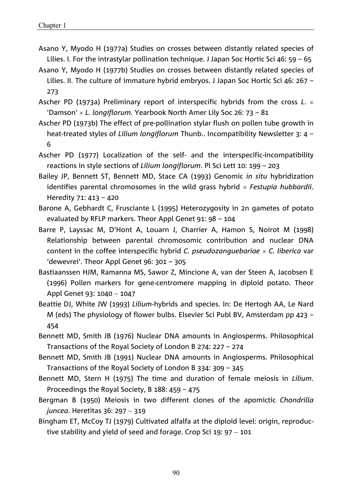- Asano Y, Myodo H (1977a) Studies on crosses between distantly related species of Lilies. I. For the intrastylar pollination technique. J Japan Soc Hortic Sci 46: 59 – 65
- Asano Y, Myodo H (1977b) Studies on crosses between distantly related species of Lilies. II. The culture of immature hybrid embryos. J Japan Soc Hortic Sci 46: 267 – 273
- Ascher PD (1973a) Preliminary report of interspecific hybrids from the cross *L*. 'Damson' *L. longiflorum.* Yearbook North Amer Lily Soc 26: 73 – 81
- Ascher PD (1973b) The effect of pre-pollination stylar flush on pollen tube growth in heat-treated styles of *Lilium longiflorum* Thunb.. Incompatibility Newsletter 3: 4 – 6
- Ascher PD (1977) Localization of the self- and the interspecific-incompatibility reactions in style sections of *Lilium longiflorum*. Pl Sci Lett 10: 199 – 203
- Bailey JP, Bennett ST, Bennett MD, Stace CA (1993) Genomic *in situ* hybridization identifies parental chromosomes in the wild grass hybrid *Festupia hubbardii*. Heredity 71: 413 – 420
- Barone A, Gebhardt C, Frusciante L (1995) Heterozygosity in 2n gametes of potato evaluated by RFLP markers. Theor Appl Genet 91: 98 – 104
- Barre P, Layssac M, D'Hont A, Louarn J, Charrier A, Hamon S, Noirot M (1998) Relationship between parental chromosomic contribution and nuclear DNA content in the coffee interspecific hybrid *C. pseudozanguebariae C. liberica* var 'dewevrei'. Theor Appl Genet 96: 301 – 305
- Bastiaanssen HJM, Ramanna MS, Sawor Z, Mincione A, van der Steen A, Jacobsen E (1996) Pollen markers for gene-centromere mapping in diploid potato. Theor Appl Genet 93: 1040 - 1047
- Beattie DJ, White JW (1993) *Lilium*-hybrids and species. In: De Hertogh AA, Le Nard M (eds) The physiology of flower bulbs. Elsevier Sci Publ BV, Amsterdam pp 423 – 454
- Bennett MD, Smith JB (1976) Nuclear DNA amounts in Angiosperms. Philosophical Transactions of the Royal Society of London B 274: 227 – 274
- Bennett MD, Smith JB (1991) Nuclear DNA amounts in Angiosperms. Philosophical Transactions of the Royal Society of London B 334: 309 – 345
- Bennett MD, Stern H (1975) The time and duration of female meiosis in *Lilium*. Proceedings the Royal Society, B 188: 459 – 475
- Bergman B (1950) Meiosis in two different clones of the apomictic *Chondrilla juncea*. Heretitas 36: 297 - 319
- Bingham ET, McCoy TJ (1979) Cultivated alfalfa at the diploid level: origin, reproductive stability and yield of seed and forage. Crop Sci 19:  $97 - 101$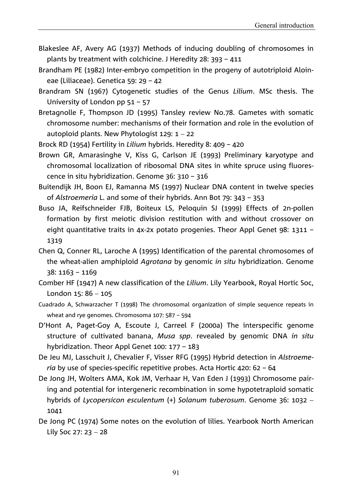- Blakeslee AF, Avery AG (1937) Methods of inducing doubling of chromosomes in plants by treatment with colchicine. J Heredity 28: 393 – 411
- Brandham PE (1982) Inter-embryo competition in the progeny of autotriploid Aloineae (Liliaceae). Genetica 59: 29 – 42
- Brandram SN (1967) Cytogenetic studies of the Genus *Lilium*. MSc thesis. The University of London pp 51 – 57
- Bretagnolle F, Thompson JD (1995) Tansley review No.78. Gametes with somatic chromosome number: mechanisms of their formation and role in the evolution of autoploid plants. New Phytologist  $129: 1 - 22$
- Brock RD (1954) Fertility in *Lilium* hybrids. Heredity 8: 409 420
- Brown GR, Amarasinghe V, Kiss G, Carlson JE (1993) Preliminary karyotype and chromosomal localization of ribosomal DNA sites in white spruce using fluorescence in situ hybridization. Genome 36: 310 – 316
- Buitendijk JH, Boon EJ, Ramanna MS (1997) Nuclear DNA content in twelve species of *Alstroemeria* L. and some of their hybrids. Ann Bot 79: 343 – 353
- Buso JA, Reifschneider FJB, Boiteux LS, Peloquin SJ (1999) Effects of 2n-pollen formation by first meiotic division restitution with and without crossover on eight quantitative traits in 4x-2x potato progenies. Theor Appl Genet 98: 1311 – 1319
- Chen Q, Conner RL, Laroche A (1995) Identification of the parental chromosomes of the wheat-alien amphiploid *Agrotana* by genomic *in situ* hybridization. Genome 38: 1163 – 1169
- Comber HF (1947) A new classification of the *Lilium*. Lily Yearbook, Royal Hortic Soc, London  $15: 86 - 105$
- Cuadrado A, Schwarzacher T (1998) The chromosomal organization of simple sequence repeats in wheat and rye genomes. Chromosoma 107: 587 – 594
- D'Hont A, Paget-Goy A, Escoute J, Carreel F (2000a) The interspecific genome structure of cultivated banana, *Musa spp*. revealed by genomic DNA *in situ* hybridization. Theor Appl Genet 100: 177 – 183
- De Jeu MJ, Lasschuit J, Chevalier F, Visser RFG (1995) Hybrid detection in *Alstroemeria* by use of species-specific repetitive probes. Acta Hortic 420: 62 – 64
- De Jong JH, Wolters AMA, Kok JM, Verhaar H, Van Eden J (1993) Chromosome pairing and potential for intergeneric recombination in some hypotetraploid somatic hybrids of *Lycopersicon esculentum* (+) *Solanum tuberosum*. Genome 36: 1032 1041
- De Jong PC (1974) Some notes on the evolution of lilies. Yearbook North American Lily Soc 27: 23  $-$  28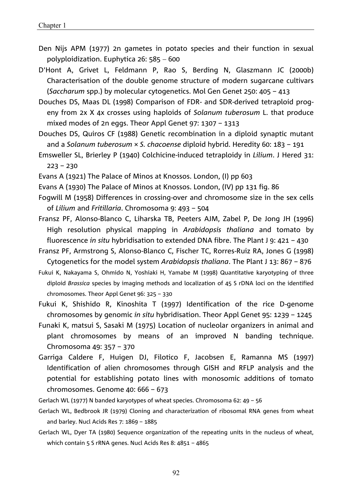Den Nijs APM (1977) 2n gametes in potato species and their function in sexual polyploidization. Euphytica  $26: 585 - 600$ 

D'Hont A, Grivet L, Feldmann P, Rao S, Berding N, Glaszmann JC (2000b) Characterisation of the double genome structure of modern sugarcane cultivars (*Saccharum* spp.) by molecular cytogenetics. Mol Gen Genet 250: 405 – 413

Douches DS, Maas DL (1998) Comparison of FDR- and SDR-derived tetraploid progeny from 2x X 4x crosses using haploids of *Solanum tuberosum* L. that produce mixed modes of 2n eggs. Theor Appl Genet 97: 1307 – 1313

Douches DS, Quiros CF (1988) Genetic recombination in a diploid synaptic mutant and a *Solanum tuberosum* × *S. chacoense* diploid hybrid. Heredity 60: 183 – 191

Emsweller SL, Brierley P (1940) Colchicine-induced tetraploidy in *Lilium*. J Hered 31: 223 – 230

Evans A (1921) The Palace of Minos at Knossos. London, (I) pp 603

- Evans A (1930) The Palace of Minos at Knossos. London, (IV) pp 131 fig. 86
- Fogwill M (1958) Differences in crossing-over and chromosome size in the sex cells of *Lilium* and *Fritillaria*. Chromosoma 9: 493 – 504
- Fransz PF, Alonso-Blanco C, Liharska TB, Peeters AJM, Zabel P, De Jong JH (1996) High resolution physical mapping in *Arabidopsis thaliana* and tomato by fluorescence *in situ* hybridisation to extended DNA fibre. The Plant J 9: 421 – 430
- Fransz PF, Armstrong S, Alonso-Blanco C, Fischer TC, Rorres-Ruiz RA, Jones G (1998) Cytogenetics for the model system *Arabidopsis thaliana*. The Plant J 13: 867 – 876
- Fukui K, Nakayama S, Ohmido N, Yoshiaki H, Yamabe M (1998) Quantitative karyotyping of three diploid *Brassica* species by imaging methods and localization of 45 S rDNA loci on the identified chromosomes. Theor Appl Genet 96: 325 – 330
- Fukui K, Shishido R, Kinoshita T (1997) Identification of the rice D-genome chromosomes by genomic *in situ* hybridisation. Theor Appl Genet 95: 1239 – 1245
- Funaki K, matsui S, Sasaki M (1975) Location of nucleolar organizers in animal and plant chromosomes by means of an improved N banding technique. Chromosoma 49: 357 – 370
- Garriga Caldere F, Huigen DJ, Filotico F, Jacobsen E, Ramanna MS (1997) Identification of alien chromosomes through GISH and RFLP analysis and the potential for establishing potato lines with monosomic additions of tomato chromosomes. Genome 40: 666 – 673
- Gerlach WL (1977) N banded karyotypes of wheat species. Chromosoma 62: 49 56
- Gerlach WL, Bedbrook JR (1979) Cloning and characterization of ribosomal RNA genes from wheat and barley. Nucl Acids Res 7: 1869 – 1885
- Gerlach WL, Dyer TA (1980) Sequence organization of the repeating units in the nucleus of wheat, which contain 5 S rRNA genes. Nucl Acids Res 8: 4851 – 4865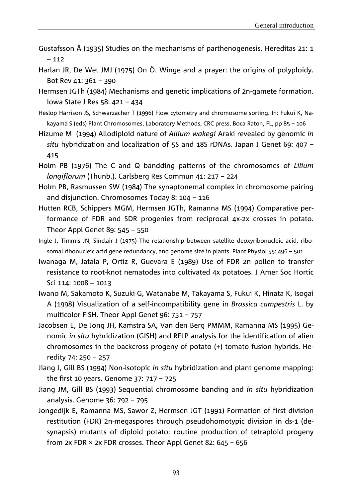- Gustafsson Å (1935) Studies on the mechanisms of parthenogenesis. Hereditas 21: 1  $-112$
- Harlan JR, De Wet JMJ (1975) On Ö. Winge and a prayer: the origins of polyploidy. Bot Rev 41: 361 – 390
- Hermsen JGTh (1984) Mechanisms and genetic implications of 2n-gamete formation. Iowa State J Res 58: 421 – 434
- Heslop Harrison JS, Schwarzacher T (1996) Flow cytometry and chromosome sorting. In: Fukui K, Nakayama S (eds) Plant Chromosomes, Laboratory Methods, CRC press, Boca Raton, FL, pp 85 – 106
- Hizume M (1994) Allodiploid nature of *Allium wakegi* Araki revealed by genomic *in situ* hybridization and localization of 5S and 18S rDNAs. Japan J Genet 69: 407 – 415
- Holm PB (1976) The C and Q bandding patterns of the chromosomes of *Lilium longiflorum* (Thunb.). Carlsberg Res Commun 41: 217 – 224
- Holm PB, Rasmussen SW (1984) The synaptonemal complex in chromosome pairing and disjunction. Chromosomes Today 8: 104 – 116
- Hutten RCB, Schippers MGM, Hermsen JGTh, Ramanna MS (1994) Comparative performance of FDR and SDR progenies from reciprocal 4x-2x crosses in potato. Theor Appl Genet 89:  $545 - 550$
- Ingle J, Timmis JN, Sinclair J (1975) The relationship between satellite deoxyribonucleic acid, ribosomal ribonucleic acid gene redundancy, and genome size in plants. Plant Physiol 55: 496 – 501
- Iwanaga M, Jatala P, Ortiz R, Guevara E (1989) Use of FDR 2n pollen to transfer resistance to root-knot nematodes into cultivated 4x potatoes. J Amer Soc Hortic Sci 114: 1008 - 1013
- Iwano M, Sakamoto K, Suzuki G, Watanabe M, Takayama S, Fukui K, Hinata K, Isogai A (1998) Visualization of a self-incompatibility gene in *Brassica campestris* L. by multicolor FISH. Theor Appl Genet 96: 751 – 757
- Jacobsen E, De Jong JH, Kamstra SA, Van den Berg PMMM, Ramanna MS (1995) Genomic *in situ* hybridization (GISH) and RFLP analysis for the identification of alien chromosomes in the backcross progeny of potato (+) tomato fusion hybrids. Heredity 74: 250  $-$  257
- Jiang J, Gill BS (1994) Non-isotopic *in situ* hybridization and plant genome mapping: the first 10 years. Genome 37: 717 – 725
- Jiang JM, Gill BS (1993) Sequential chromosome banding and *in situ* hybridization analysis. Genome 36: 792 – 795
- Jongedijk E, Ramanna MS, Sawor Z, Hermsen JGT (1991) Formation of first division restitution (FDR) 2n-megaspores through pseudohomotypic division in ds-1 (desynapsis) mutants of diploid potato: routine production of tetraploid progeny from 2x FDR  $\times$  2x FDR crosses. Theor Appl Genet 82: 645 - 656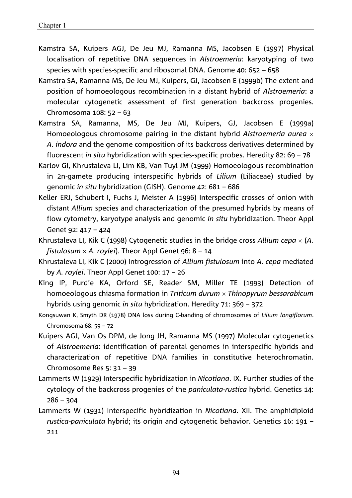- Kamstra SA, Kuipers AGJ, De Jeu MJ, Ramanna MS, Jacobsen E (1997) Physical localisation of repetitive DNA sequences in *Alstroemeria*: karyotyping of two species with species-specific and ribosomal DNA. Genome  $40: 652 - 658$
- Kamstra SA, Ramanna MS, De Jeu MJ, Kuipers, GJ, Jacobsen E (1999b) The extent and position of homoeologous recombination in a distant hybrid of *Alstroemeria*: a molecular cytogenetic assessment of first generation backcross progenies. Chromosoma 108: 52 – 63
- Kamstra SA, Ramanna, MS, De Jeu MJ, Kuipers, GJ, Jacobsen E (1999a) Homoeologous chromosome pairing in the distant hybrid *Alstroemeria aurea A. indora* and the genome composition of its backcross derivatives determined by fluorescent *in situ* hybridization with species-specific probes. Heredity 82: 69 – 78
- Karlov GI, Khrustaleva LI, Lim KB, Van Tuyl JM (1999) Homoeologous recombination in 2n-gamete producing interspecific hybrids of *Lilium* (Liliaceae) studied by genomic *in situ* hybridization (GISH). Genome 42: 681 – 686
- Keller ERJ, Schubert I, Fuchs J, Meister A (1996) Interspecific crosses of onion with distant *Allium* species and characterization of the presumed hybrids by means of flow cytometry, karyotype analysis and genomic *in situ* hybridization. Theor Appl Genet 92: 417 – 424
- Khrustaleva LI, Kik C (1998) Cytogenetic studies in the bridge cross *Allium cepa* (*A. fistulosum*  $\times$  *A. roylei*). Theor Appl Genet 96: 8 – 14
- Khrustaleva LI, Kik C (2000) Introgression of *Allium fistulosum* into *A. cepa* mediated by *A. roylei*. Theor Appl Genet 100: 17 – 26
- King IP, Purdie KA, Orford SE, Reader SM, Miller TE (1993) Detection of homoeologous chiasma formation in *Triticum durum Thinopyrum bessarabicum* hybrids using genomic *in situ* hybridization. Heredity 71: 369 – 372
- Kongsuwan K, Smyth DR (1978) DNA loss during C-banding of chromosomes of *Lilium longiflorum*. Chromosoma 68: 59 – 72
- Kuipers AGJ, Van Os DPM, de Jong JH, Ramanna MS (1997) Molecular cytogenetics of *Alstroemeria*: identification of parental genomes in interspecific hybrids and characterization of repetitive DNA families in constitutive heterochromatin. Chromosome Res  $5: 31 - 39$
- Lammerts W (1929) Interspecific hybridization in *Nicotiana*. IX. Further studies of the cytology of the backcross progenies of the *paniculata-rustica* hybrid. Genetics 14: 286 – 304
- Lammerts W (1931) Interspecific hybridization in *Nicotiana*. XII. The amphidiploid *rustica*-*paniculata* hybrid; its origin and cytogenetic behavior. Genetics 16: 191 – 211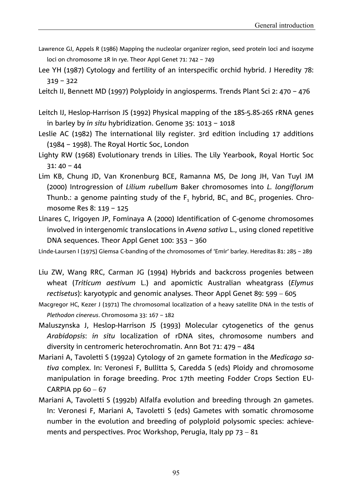- Lawrence GJ, Appels R (1986) Mapping the nucleolar organizer region, seed protein loci and isozyme loci on chromosome 1R in rye. Theor Appl Genet 71: 742 – 749
- Lee YH (1987) Cytology and fertility of an interspecific orchid hybrid. J Heredity 78: 319 – 322
- Leitch IJ, Bennett MD (1997) Polyploidy in angiosperms. Trends Plant Sci 2: 470 476
- Leitch IJ, Heslop-Harrison JS (1992) Physical mapping of the 18S-5.8S-26S rRNA genes in barley by *in situ* hybridization. Genome 35: 1013 – 1018
- Leslie AC (1982) The international lily register. 3rd edition including 17 additions (1984 – 1998). The Royal Hortic Soc, London
- Lighty RW (1968) Evolutionary trends in Lilies. The Lily Yearbook, Royal Hortic Soc 31: 40 – 44
- Lim KB, Chung JD, Van Kronenburg BCE, Ramanna MS, De Jong JH, Van Tuyl JM (2000) Introgression of *Lilium rubellum* Baker chromosomes into *L. longiflorum* Thunb.: a genome painting study of the  $F_1$  hybrid, BC<sub>1</sub> and BC<sub>2</sub> progenies. Chromosome Res 8: 119 – 125
- Linares C, Irigoyen JP, Fominaya A (2000) Identification of C-genome chromosomes involved in intergenomic translocations in *Avena sativa* L., using cloned repetitive DNA sequences. Theor Appl Genet 100: 353 – 360

Linde-Laursen I (1975) Giemsa C-banding of the chromosomes of 'Emir' barley. Hereditas 81: 285 – 289

- Liu ZW, Wang RRC, Carman JG (1994) Hybrids and backcross progenies between wheat (*Triticum aestivum* L.) and apomictic Australian wheatgrass (*Elymus rectisetus*): karyotypic and genomic analyses. Theor Appl Genet 89: 599 - 605
- Macgregor HC, Kezer J (1971) The chromosomal localization of a heavy satellite DNA in the testis of *Plethodon cinereus*. Chromosoma 33: 167 – 182
- Maluszynska J, Heslop-Harrison JS (1993) Molecular cytogenetics of the genus *Arabidopsis*: *in situ* localization of rDNA sites, chromosome numbers and diversity in centromeric heterochromatin. Ann Bot 71: 479 – 484
- Mariani A, Tavoletti S (1992a) Cytology of 2n gamete formation in the *Medicago sativa* complex. In: Veronesi F, Bullitta S, Caredda S (eds) Ploidy and chromosome manipulation in forage breeding. Proc 17th meeting Fodder Crops Section EU-CARPIA pp  $60 - 67$
- Mariani A, Tavoletti S (1992b) Alfalfa evolution and breeding through 2n gametes. In: Veronesi F, Mariani A, Tavoletti S (eds) Gametes with somatic chromosome number in the evolution and breeding of polyploid polysomic species: achievements and perspectives. Proc Workshop, Perugia, Italy pp  $73 - 81$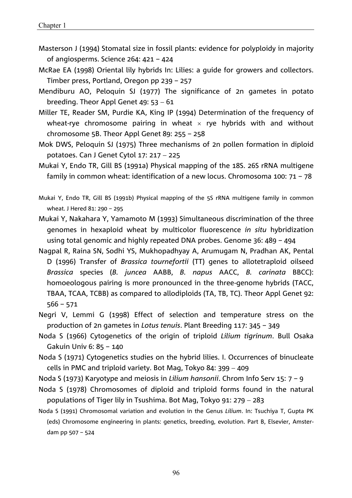- Masterson J (1994) Stomatal size in fossil plants: evidence for polyploidy in majority of angiosperms. Science 264: 421 – 424
- McRae EA (1998) Oriental lily hybrids In: Lilies: a guide for growers and collectors. Timber press, Portland, Oregon pp 239 – 257
- Mendiburu AO, Peloquin SJ (1977) The significance of 2n gametes in potato breeding. Theor Appl Genet  $49: 53 - 61$
- Miller TE, Reader SM, Purdie KA, King IP (1994) Determination of the frequency of wheat-rye chromosome pairing in wheat  $\times$  rye hybrids with and without chromosome 5B. Theor Appl Genet 89: 255 – 258
- Mok DWS, Peloquin SJ (1975) Three mechanisms of 2n pollen formation in diploid potatoes. Can J Genet Cytol  $17: 217 - 225$
- Mukai Y, Endo TR, Gill BS (1991a) Physical mapping of the 18S. 26S rRNA multigene family in common wheat: identification of a new locus. Chromosoma 100: 71 – 78
- Mukai Y, Endo TR, Gill BS (1991b) Physical mapping of the 5S rRNA multigene family in common wheat. J Hered 81: 290 – 295
- Mukai Y, Nakahara Y, Yamamoto M (1993) Simultaneous discrimination of the three genomes in hexaploid wheat by multicolor fluorescence *in situ* hybridization using total genomic and highly repeated DNA probes. Genome 36: 489 – 494
- Nagpal R, Raina SN, Sodhi YS, Mukhopadhyay A, Arumugam N, Pradhan AK, Pental D (1996) Transfer of *Brassica tournefortii* (TT) genes to allotetraploid oilseed *Brassica* species (*B. juncea* AABB, *B. napus* AACC, *B. carinata* BBCC): homoeologous pairing is more pronounced in the three-genome hybrids (TACC, TBAA, TCAA, TCBB) as compared to allodiploids (TA, TB, TC). Theor Appl Genet 92: 566 – 571
- Negri V, Lemmi G (1998) Effect of selection and temperature stress on the production of 2n gametes in *Lotus tenuis*. Plant Breeding 117: 345 – 349
- Noda S (1966) Cytogenetics of the origin of triploid *Lilium tigrinum*. Bull Osaka Gakuin Univ 6: 85 – 140
- Noda S (1971) Cytogenetics studies on the hybrid lilies. I. Occurrences of binucleate cells in PMC and triploid variety. Bot Mag, Tokyo 84:  $399 - 409$
- Noda S (1973) Karyotype and meiosis in *Lilium hansonii*. Chrom Info Serv 15: 7 9
- Noda S (1978) Chromosomes of diploid and triploid forms found in the natural populations of Tiger lily in Tsushima. Bot Mag, Tokyo 91: 279 283
- Noda S (1991) Chromosomal variation and evolution in the Genus *Lilium*. In: Tsuchiya T, Gupta PK (eds) Chromosome engineering in plants: genetics, breeding, evolution. Part B, Elsevier, Amsterdam pp 507 – 524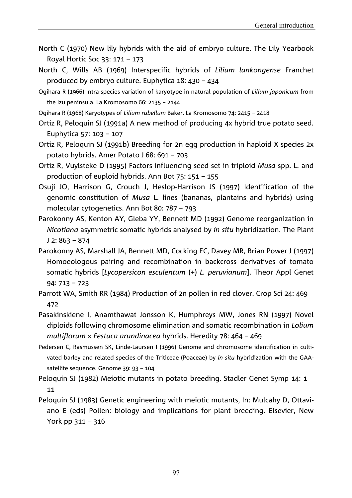- North C (1970) New lily hybrids with the aid of embryo culture. The Lily Yearbook Royal Hortic Soc 33: 171 – 173
- North C, Wills AB (1969) Interspecific hybrids of *Lilium lankongense* Franchet produced by embryo culture. Euphytica 18: 430 – 434
- Ogihara R (1966) Intra-species variation of karyotype in natural population of *Lilium japonicum* from the Izu peninsula. La Kromosomo 66: 2135 – 2144
- Ogihara R (1968) Karyotypes of *Lilium rubellum* Baker. La Kromosomo 74: 2415 2418
- Ortiz R, Peloquin SJ (1991a) A new method of producing 4x hybrid true potato seed. Euphytica 57: 103 – 107
- Ortiz R, Peloquin SJ (1991b) Breeding for 2n egg production in haploid X species 2x potato hybrids. Amer Potato J 68: 691 – 703
- Ortiz R, Vuylsteke D (1995) Factors influencing seed set in triploid *Musa* spp. L. and production of euploid hybrids. Ann Bot 75: 151 – 155
- Osuji JO, Harrison G, Crouch J, Heslop-Harrison JS (1997) Identification of the genomic constitution of *Musa* L. lines (bananas, plantains and hybrids) using molecular cytogenetics. Ann Bot 80: 787 – 793
- Parokonny AS, Kenton AY, Gleba YY, Bennett MD (1992) Genome reorganization in *Nicotiana* asymmetric somatic hybrids analysed by *in situ* hybridization. The Plant  $J$  2: 863 – 874
- Parokonny AS, Marshall JA, Bennett MD, Cocking EC, Davey MR, Brian Power J (1997) Homoeologous pairing and recombination in backcross derivatives of tomato somatic hybrids [*Lycopersicon esculentum* (+) *L. peruvianum*]. Theor Appl Genet 94: 713 – 723
- Parrott WA, Smith RR (1984) Production of 2n pollen in red clover. Crop Sci 24: 469 -472
- Pasakinskiene I, Anamthawat Jonsson K, Humphreys MW, Jones RN (1997) Novel diploids following chromosome elimination and somatic recombination in *Lolium multiflorum Festuca arundinacea* hybrids. Heredity 78: 464 – 469
- Pedersen C, Rasmussen SK, Linde-Laursen I (1996) Genome and chromosome identification in cultivated barley and related species of the Triticeae (Poaceae) by *in situ* hybridization with the GAAsatellite sequence. Genome 39: 93 – 104
- Peloquin SJ (1982) Meiotic mutants in potato breeding. Stadler Genet Symp 14: 1 11
- Peloquin SJ (1983) Genetic engineering with meiotic mutants, In: Mulcahy D, Ottaviano E (eds) Pollen: biology and implications for plant breeding. Elsevier, New York pp  $311 - 316$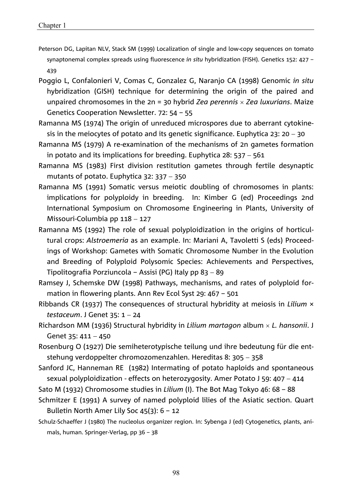- Peterson DG, Lapitan NLV, Stack SM (1999) Localization of single and low-copy sequences on tomato synaptonemal complex spreads using fluorescence *in situ* hybridization (FISH). Genetics 152: 427 – 439
- Poggio L, Confalonieri V, Comas C, Gonzalez G, Naranjo CA (1998) Genomic *in situ* hybridization (GISH) technique for determining the origin of the paired and unpaired chromosomes in the 2n = 30 hybrid *Zea perennis Zea luxurians*. Maize Genetics Cooperation Newsletter. 72: 54 – 55
- Ramanna MS (1974) The origin of unreduced microspores due to aberrant cytokinesis in the meiocytes of potato and its genetic significance. Euphytica 23: 20 - 30
- Ramanna MS (1979) A re-examination of the mechanisms of 2n gametes formation in potato and its implications for breeding. Euphytica 28:  $537 - 561$
- Ramanna MS (1983) First division restitution gametes through fertile desynaptic mutants of potato. Euphytica  $32: 337 - 350$
- Ramanna MS (1991) Somatic versus meiotic doubling of chromosomes in plants: implications for polyploidy in breeding. In: Kimber G (ed) Proceedings 2nd International Symposium on Chromosome Engineering in Plants, University of Missouri-Columbia pp  $118 - 127$
- Ramanna MS (1992) The role of sexual polyploidization in the origins of horticultural crops: *Alstroemeria* as an example. In: Mariani A, Tavoletti S (eds) Proceedings of Workshop: Gametes with Somatic Chromosome Number in the Evolution and Breeding of Polyploid Polysomic Species: Achievements and Perspectives, Tipolitografia Porziuncola – Assisi (PG) Italy pp 83 – 89
- Ramsey J, Schemske DW (1998) Pathways, mechanisms, and rates of polyploid formation in flowering plants. Ann Rev Ecol Syst 29: 467 – 501
- Ribbands CR (1937) The consequences of structural hybridity at meiosis in *Lilium* × *testaceum.* J Genet 35: 1 - 24
- Richardson MM (1936) Structural hybridity in *Lilium martagon* album  *L. hansonii*. J Genet  $35: 411 - 450$
- Rosenburg O (1927) Die semiheterotypische teilung und ihre bedeutung für die entstehung verdoppelter chromozomenzahlen. Hereditas 8: 305 - 358
- Sanford JC, Hanneman RE (1982) Intermating of potato haploids and spontaneous sexual polyploidization - effects on heterozygosity. Amer Potato J 59: 407 - 414
- Sato M (1932) Chromosome studies in *Lilium* (I). The Bot Mag Tokyo 46: 68 88
- Schmitzer E (1991) A survey of named polyploid lilies of the Asiatic section. Quart Bulletin North Amer Lily Soc 45(3): 6 – 12
- Schulz-Schaeffer J (1980) The nucleolus organizer region. In: Sybenga J (ed) Cytogenetics, plants, animals, human. Springer-Verlag, pp 36 – 38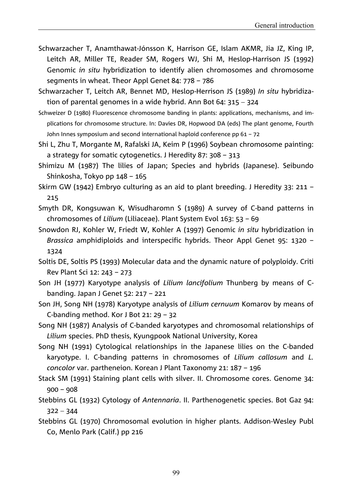- Schwarzacher T, Anamthawat-Jónsson K, Harrison GE, Islam AKMR, Jia JZ, King IP, Leitch AR, Miller TE, Reader SM, Rogers WJ, Shi M, Heslop-Harrison JS (1992) Genomic *in situ* hybridization to identify alien chromosomes and chromosome segments in wheat. Theor Appl Genet 84: 778 – 786
- Schwarzacher T, Leitch AR, Bennet MD, Heslop-Herrison JS (1989) *In situ* hybridization of parental genomes in a wide hybrid. Ann Bot 64:  $315 - 324$
- Schweizer D (1980) Fluorescence chromosome banding in plants: applications, mechanisms, and implications for chromosome structure. In: Davies DR, Hopwood DA (eds) The plant genome, Fourth John Innes symposium and second international haploid conference pp 61 – 72
- Shi L, Zhu T, Morgante M, Rafalski JA, Keim P (1996) Soybean chromosome painting: a strategy for somatic cytogenetics. J Heredity 87: 308 – 313
- Shimizu M (1987) The lilies of Japan; Species and hybrids (Japanese). Seibundo Shinkosha, Tokyo pp 148 – 165
- Skirm GW (1942) Embryo culturing as an aid to plant breeding. J Heredity 33: 211 215
- Smyth DR, Kongsuwan K, Wisudharomn S (1989) A survey of C-band patterns in chromosomes of *Lilium* (Liliaceae). Plant System Evol 163: 53 – 69
- Snowdon RJ, Kohler W, Friedt W, Kohler A (1997) Genomic *in situ* hybridization in *Brassica* amphidiploids and interspecific hybrids. Theor Appl Genet 95: 1320 – 1324
- Soltis DE, Soltis PS (1993) Molecular data and the dynamic nature of polyploidy. Criti Rev Plant Sci 12: 243 – 273
- Son JH (1977) Karyotype analysis of *Lilium lancifolium* Thunberg by means of Cbanding. Japan J Genet 52: 217 – 221
- Son JH, Song NH (1978) Karyotype analysis of *Lilium cernuum* Komarov by means of C-banding method. Kor J Bot 21: 29 – 32
- Song NH (1987) Analysis of C-banded karyotypes and chromosomal relationships of *Lilium* species. PhD thesis, Kyungpook National University, Korea
- Song NH (1991) Cytological relationships in the Japanese lilies on the C-banded karyotype. I. C-banding patterns in chromosomes of *Lilium callosum* and *L. concolor* var. partheneion. Korean J Plant Taxonomy 21: 187 – 196
- Stack SM (1991) Staining plant cells with silver. II. Chromosome cores. Genome 34: 900 – 908
- Stebbins GL (1932) Cytology of *Antennaria*. II. Parthenogenetic species. Bot Gaz 94:  $322 - 344$
- Stebbins GL (1970) Chromosomal evolution in higher plants. Addison-Wesley Publ Co, Menlo Park (Calif.) pp 216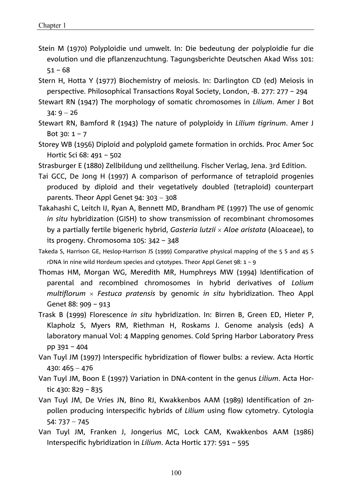- Stein M (1970) Polyploidie und umwelt. In: Die bedeutung der polyploidie fur die evolution und die pflanzenzuchtung. Tagungsberichte Deutschen Akad Wiss 101: 51 – 68
- Stern H, Hotta Y (1977) Biochemistry of meiosis. In: Darlington CD (ed) Meiosis in perspective. Philosophical Transactions Royal Society, London, -B. 277: 277 – 294
- Stewart RN (1947) The morphology of somatic chromosomes in *Lilium*. Amer J Bot  $34:9 - 26$
- Stewart RN, Bamford R (1943) The nature of polyploidy in *Lilium tigrinum*. Amer J Bot  $30: 1 - 7$
- Storey WB (1956) Diploid and polyploid gamete formation in orchids. Proc Amer Soc Hortic Sci 68: 491 – 502
- Strasburger E (1880) Zellbildung und zelltheilung. Fischer Verlag, Jena. 3rd Edition.
- Tai GCC, De Jong H (1997) A comparison of performance of tetraploid progenies produced by diploid and their vegetatively doubled (tetraploid) counterpart parents. Theor Appl Genet  $94: 303 - 308$
- Takahashi C, Leitch IJ, Ryan A, Bennett MD, Brandham PE (1997) The use of genomic *in situ* hybridization (GISH) to show transmission of recombinant chromosomes by a partially fertile bigeneric hybrid, *Gasteria lutzii Aloe aristata* (Aloaceae), to its progeny. Chromosoma 105: 342 – 348
- Takeda S, Harrison GE, Heslop-Harrison JS (1999) Comparative physical mapping of the 5 S and 45 S rDNA in nine wild Hordeum species and cytotypes. Theor Appl Genet 98: 1 – 9
- Thomas HM, Morgan WG, Meredith MR, Humphreys MW (1994) Identification of parental and recombined chromosomes in hybrid derivatives of *Lolium multiflorum Festuca pratensis* by genomic *in situ* hybridization. Theo Appl Genet 88: 909 – 913
- Trask B (1999) Florescence *in situ* hybridization. In: Birren B, Green ED, Hieter P, Klapholz S, Myers RM, Riethman H, Roskams J. Genome analysis (eds) A laboratory manual Vol: 4 Mapping genomes. Cold Spring Harbor Laboratory Press pp 391 – 404
- Van Tuyl JM (1997) Interspecific hybridization of flower bulbs: a review. Acta Hortic  $430: 465 - 476$
- Van Tuyl JM, Boon E (1997) Variation in DNA-content in the genus *Lilium*. Acta Hortic 430: 829 – 835
- Van Tuyl JM, De Vries JN, Bino RJ, Kwakkenbos AAM (1989) Identification of 2npollen producing interspecific hybrids of *Lilium* using flow cytometry. Cytologia  $54: 737 - 745$
- Van Tuyl JM, Franken J, Jongerius MC, Lock CAM, Kwakkenbos AAM (1986) Interspecific hybridization in *Lilium*. Acta Hortic 177: 591 – 595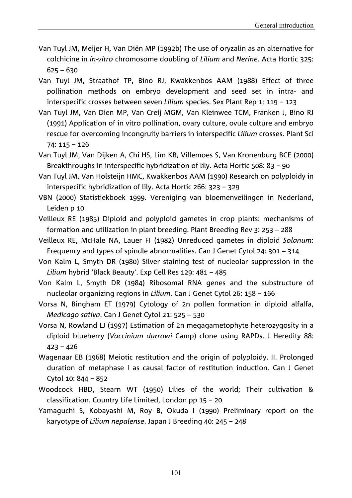- Van Tuyl JM, Meijer H, Van Diën MP (1992b) The use of oryzalin as an alternative for colchicine in *in-vitro* chromosome doubling of *Lilium* and *Nerine*. Acta Hortic 325:  $625 - 630$
- Van Tuyl JM, Straathof TP, Bino RJ, Kwakkenbos AAM (1988) Effect of three pollination methods on embryo development and seed set in intra- and interspecific crosses between seven *Lilium* species. Sex Plant Rep 1: 119 – 123
- Van Tuyl JM, Van Dien MP, Van Creij MGM, Van Kleinwee TCM, Franken J, Bino RJ (1991) Application of in vitro pollination, ovary culture, ovule culture and embryo rescue for overcoming incongruity barriers in interspecific *Lilium* crosses. Plant Sci 74: 115 – 126
- Van Tuyl JM, Van Dijken A, Chi HS, Lim KB, Villemoes S, Van Kronenburg BCE (2000) Breakthroughs in interspecific hybridization of lily. Acta Hortic 508: 83 – 90
- Van Tuyl JM, Van Holsteijn HMC, Kwakkenbos AAM (1990) Research on polyploidy in interspecific hybridization of lily. Acta Hortic 266: 323 – 329
- VBN (2000) Statistiekboek 1999. Vereniging van bloemenveilingen in Nederland, Leiden p 10
- Veilleux RE (1985) Diploid and polyploid gametes in crop plants: mechanisms of formation and utilization in plant breeding. Plant Breeding Rev 3: 253  $-$  288
- Veilleux RE, McHale NA, Lauer FI (1982) Unreduced gametes in diploid *Solanum*: Frequency and types of spindle abnormalities. Can J Genet Cytol 24:  $301 - 314$
- Von Kalm L, Smyth DR (1980) Silver staining test of nucleolar suppression in the *Lilium* hybrid 'Black Beauty'. Exp Cell Res 129: 481 – 485
- Von Kalm L, Smyth DR (1984) Ribosomal RNA genes and the substructure of nucleolar organizing regions in *Lilium*. Can J Genet Cytol 26: 158 – 166
- Vorsa N, Bingham ET (1979) Cytology of 2n pollen formation in diploid alfalfa, *Medicago sativa.* Can J Genet Cytol 21: 525 - 530
- Vorsa N, Rowland LJ (1997) Estimation of 2n megagametophyte heterozygosity in a diploid blueberry (*Vaccinium darrowi* Camp) clone using RAPDs. J Heredity 88:  $423 - 426$
- Wagenaar EB (1968) Meiotic restitution and the origin of polyploidy. II. Prolonged duration of metaphase I as causal factor of restitution induction. Can J Genet Cytol 10: 844 – 852
- Woodcock HBD, Stearn WT (1950) Lilies of the world; Their cultivation & classification. Country Life Limited, London pp 15 – 20
- Yamaguchi S, Kobayashi M, Roy B, Okuda I (1990) Preliminary report on the karyotype of *Lilium nepalense*. Japan J Breeding 40: 245 – 248